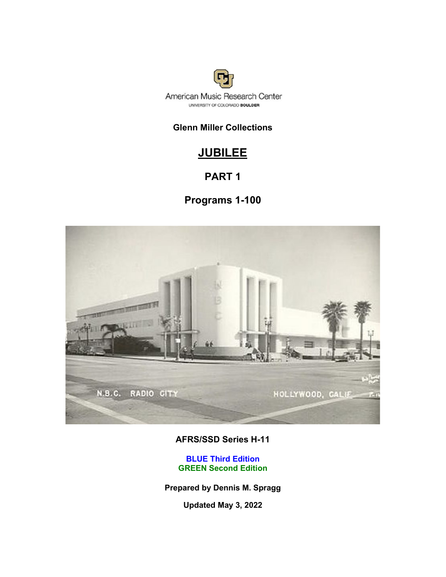

### **Glenn Miller Collections**

### **JUBILEE**

### **PART 1**

### **Programs 1-100**



### **AFRS/SSD Series H-11**

**BLUE Third Edition GREEN Second Edition**

**Prepared by Dennis M. Spragg**

**Updated May 3, 2022**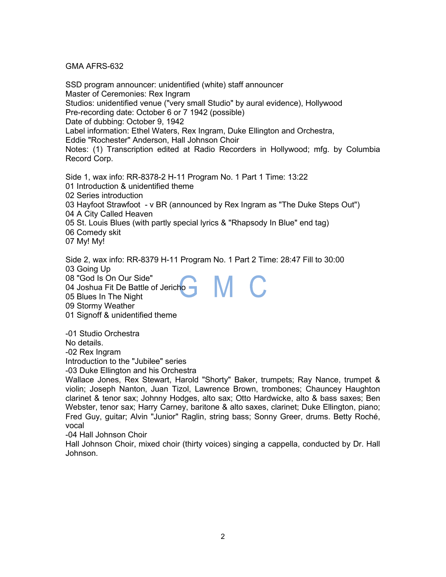#### GMA AFRS-632

SSD program announcer: unidentified (white) staff announcer Master of Ceremonies: Rex Ingram Studios: unidentified venue ("very small Studio" by aural evidence), Hollywood Pre-recording date: October 6 or 7 1942 (possible) Date of dubbing: October 9, 1942 Label information: Ethel Waters, Rex Ingram, Duke Ellington and Orchestra, Eddie "Rochester" Anderson, Hall Johnson Choir Notes: (1) Transcription edited at Radio Recorders in Hollywood; mfg. by Columbia Record Corp. Side 1, wax info: RR-8378-2 H-11 Program No. 1 Part 1 Time: 13:22 01 Introduction & unidentified theme

02 Series introduction

03 Hayfoot Strawfoot - v BR (announced by Rex Ingram as "The Duke Steps Out") 04 A City Called Heaven

05 St. Louis Blues (with partly special lyrics & "Rhapsody In Blue" end tag)

06 Comedy skit

07 My! My!

Side 2, wax info: RR-8379 H-11 Program No. 1 Part 2 Time: 28:47 Fill to 30:00 03 Going Up M C

08 "God Is On Our Side" 04 Joshua Fit De Battle of Jericho

05 Blues In The Night

09 Stormy Weather

01 Signoff & unidentified theme

-01 Studio Orchestra No details. -02 Rex Ingram

Introduction to the "Jubilee" series

-03 Duke Ellington and his Orchestra

Wallace Jones, Rex Stewart, Harold "Shorty" Baker, trumpets; Ray Nance, trumpet & violin; Joseph Nanton, Juan Tizol, Lawrence Brown, trombones; Chauncey Haughton clarinet & tenor sax; Johnny Hodges, alto sax; Otto Hardwicke, alto & bass saxes; Ben Webster, tenor sax; Harry Carney, baritone & alto saxes, clarinet; Duke Ellington, piano; Fred Guy, guitar; Alvin "Junior" Raglin, string bass; Sonny Greer, drums. Betty Roché, vocal

-04 Hall Johnson Choir

Hall Johnson Choir, mixed choir (thirty voices) singing a cappella, conducted by Dr. Hall Johnson.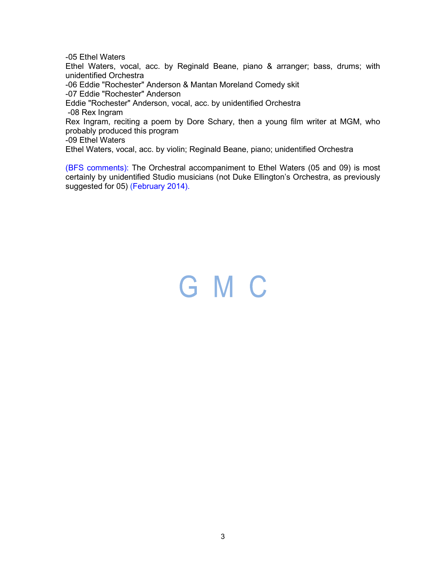-05 Ethel Waters

Ethel Waters, vocal, acc. by Reginald Beane, piano & arranger; bass, drums; with unidentified Orchestra

-06 Eddie "Rochester" Anderson & Mantan Moreland Comedy skit

-07 Eddie "Rochester" Anderson

Eddie "Rochester" Anderson, vocal, acc. by unidentified Orchestra

-08 Rex Ingram

Rex Ingram, reciting a poem by Dore Schary, then a young film writer at MGM, who probably produced this program

-09 Ethel Waters

Ethel Waters, vocal, acc. by violin; Reginald Beane, piano; unidentified Orchestra

(BFS comments): The Orchestral accompaniment to Ethel Waters (05 and 09) is most certainly by unidentified Studio musicians (not Duke Ellington's Orchestra, as previously suggested for 05) (February 2014).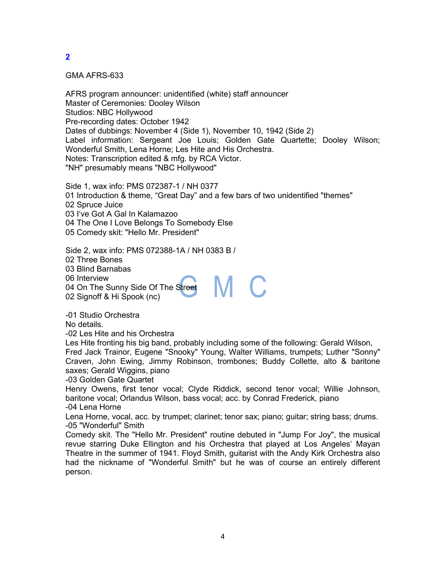GMA AFRS-633

AFRS program announcer: unidentified (white) staff announcer Master of Ceremonies: Dooley Wilson Studios: NBC Hollywood Pre-recording dates: October 1942 Dates of dubbings: November 4 (Side 1), November 10, 1942 (Side 2) Label information: Sergeant Joe Louis; Golden Gate Quartette; Dooley Wilson; Wonderful Smith, Lena Horne; Les Hite and His Orchestra. Notes: Transcription edited & mfg. by RCA Victor. "NH" presumably means "NBC Hollywood"

Side 1, wax info: PMS 072387-1 / NH 0377 01 Introduction & theme, "Great Day" and a few bars of two unidentified "themes" 02 Spruce Juice 03 I've Got A Gal In Kalamazoo 04 The One I Love Belongs To Somebody Else 05 Comedy skit: "Hello Mr. President"

Side 2, wax info: PMS 072388-1A / NH 0383 B /

02 Three Bones

03 Blind Barnabas

06 Interview

04 On The Sunny Side Of The Street

02 Signoff & Hi Spook (nc)

-01 Studio Orchestra

No details.

-02 Les Hite and his Orchestra

Les Hite fronting his big band, probably including some of the following: Gerald Wilson, Fred Jack Trainor, Eugene "Snooky" Young, Walter Williams, trumpets; Luther "Sonny" Craven, John Ewing, Jimmy Robinson, trombones; Buddy Collette, alto & baritone saxes; Gerald Wiggins, piano

M C

-03 Golden Gate Quartet

Henry Owens, first tenor vocal; Clyde Riddick, second tenor vocal; Willie Johnson, baritone vocal; Orlandus Wilson, bass vocal; acc. by Conrad Frederick, piano -04 Lena Horne

Lena Horne, vocal, acc. by trumpet; clarinet; tenor sax; piano; guitar; string bass; drums. -05 "Wonderful" Smith

Comedy skit. The "Hello Mr. President" routine debuted in "Jump For Joy", the musical revue starring Duke Ellington and his Orchestra that played at Los Angeles' Mayan Theatre in the summer of 1941. Floyd Smith, guitarist with the Andy Kirk Orchestra also had the nickname of "Wonderful Smith" but he was of course an entirely different person.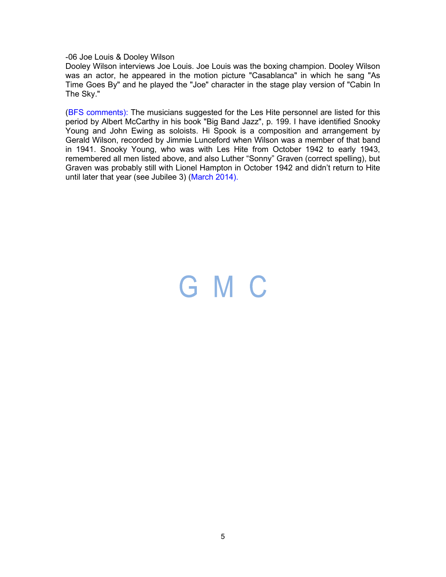-06 Joe Louis & Dooley Wilson

Dooley Wilson interviews Joe Louis. Joe Louis was the boxing champion. Dooley Wilson was an actor, he appeared in the motion picture "Casablanca" in which he sang "As Time Goes By" and he played the "Joe" character in the stage play version of "Cabin In The Sky."

(BFS comments): The musicians suggested for the Les Hite personnel are listed for this period by Albert McCarthy in his book "Big Band Jazz", p. 199. I have identified Snooky Young and John Ewing as soloists. Hi Spook is a composition and arrangement by Gerald Wilson, recorded by Jimmie Lunceford when Wilson was a member of that band in 1941. Snooky Young, who was with Les Hite from October 1942 to early 1943, remembered all men listed above, and also Luther "Sonny" Graven (correct spelling), but Graven was probably still with Lionel Hampton in October 1942 and didn't return to Hite until later that year (see Jubilee 3) (March 2014).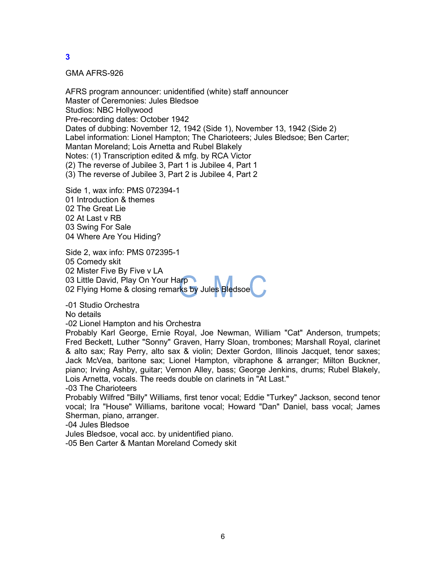GMA AFRS-926

AFRS program announcer: unidentified (white) staff announcer Master of Ceremonies: Jules Bledsoe Studios: NBC Hollywood Pre-recording dates: October 1942 Dates of dubbing: November 12, 1942 (Side 1), November 13, 1942 (Side 2) Label information: Lionel Hampton; The Charioteers; Jules Bledsoe; Ben Carter; Mantan Moreland; Lois Arnetta and Rubel Blakely Notes: (1) Transcription edited & mfg. by RCA Victor (2) The reverse of Jubilee 3, Part 1 is Jubilee 4, Part 1 (3) The reverse of Jubilee 3, Part 2 is Jubilee 4, Part 2

Side 1, wax info: PMS 072394-1 01 Introduction & themes 02 The Great Lie 02 At Last v RB 03 Swing For Sale 04 Where Are You Hiding?

Side 2, wax info: PMS 072395-1 05 Comedy skit 02 Mister Five By Five v LA 03 Little David, Play On Your Harp 02 Flying Home & closing remarks by Jules Bledsoe

-01 Studio Orchestra

No details

-02 Lionel Hampton and his Orchestra

Probably Karl George, Ernie Royal, Joe Newman, William "Cat" Anderson, trumpets; Fred Beckett, Luther "Sonny" Graven, Harry Sloan, trombones; Marshall Royal, clarinet & alto sax; Ray Perry, alto sax & violin; Dexter Gordon, Illinois Jacquet, tenor saxes; Jack McVea, baritone sax; Lionel Hampton, vibraphone & arranger; Milton Buckner, piano; Irving Ashby, guitar; Vernon Alley, bass; George Jenkins, drums; Rubel Blakely, Lois Arnetta, vocals. The reeds double on clarinets in "At Last."

-03 The Charioteers

Probably Wilfred "Billy" Williams, first tenor vocal; Eddie "Turkey" Jackson, second tenor vocal; Ira "House" Williams, baritone vocal; Howard "Dan" Daniel, bass vocal; James Sherman, piano, arranger.

-04 Jules Bledsoe

Jules Bledsoe, vocal acc. by unidentified piano.

-05 Ben Carter & Mantan Moreland Comedy skit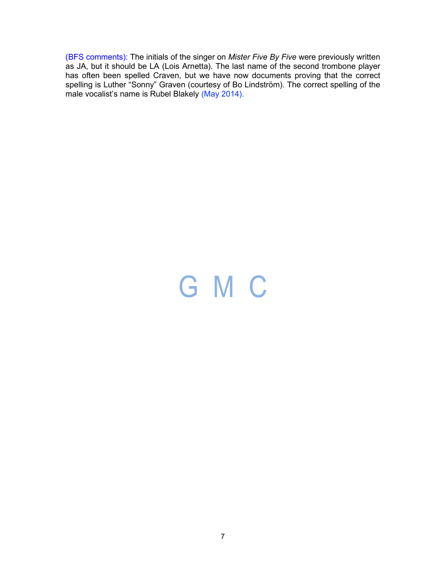(BFS comments): The initials of the singer on *Mister Five By Five* were previously written as JA, but it should be LA (Lois Arnetta). The last name of the second trombone player has often been spelled Craven, but we have now documents proving that the correct spelling is Luther "Sonny" Graven (courtesy of Bo Lindström). The correct spelling of the male vocalist's name is Rubel Blakely (May 2014).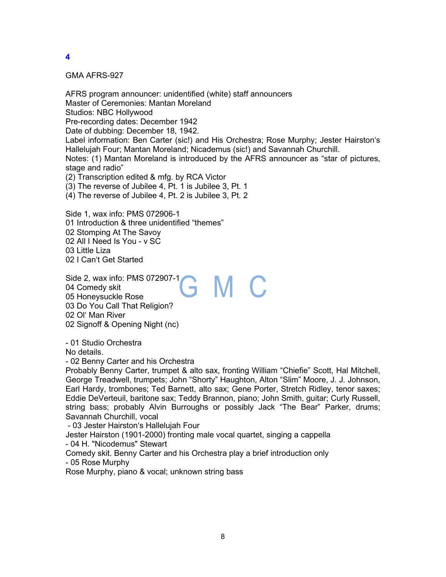GMA AFRS-927

AFRS program announcer: unidentified (white) staff announcers Master of Ceremonies: Mantan Moreland Studios: NBC Hollywood Pre-recording dates: December 1942 Date of dubbing: December 18, 1942. Label information: Ben Carter (sic!) and His Orchestra; Rose Murphy; Jester Hairston's Hallelujah Four; Mantan Moreland; Nicademus (sic!) and Savannah Churchill. Notes: (1) Mantan Moreland is introduced by the AFRS announcer as "star of pictures, stage and radio" (2) Transcription edited & mfg. by RCA Victor (3) The reverse of Jubilee 4, Pt. 1 is Jubilee 3, Pt. 1 (4) The reverse of Jubilee 4, Pt. 2 is Jubilee 3, Pt. 2

Side 1, wax info: PMS 072906-1 01 Introduction & three unidentified "themes" 02 Stomping At The Savoy 02 All I Need Is You - v SC 03 Little Liza 02 I Can't Get Started

Side 2, wax info: PMS 072907-1 GMC 04 Comedy skit 05 Honeysuckle Rose 03 Do You Call That Religion? 02 Ol' Man River 02 Signoff & Opening Night (nc)

- 01 Studio Orchestra

No details.

- 02 Benny Carter and his Orchestra

Probably Benny Carter, trumpet & alto sax, fronting William "Chiefie" Scott, Hal Mitchell, George Treadwell, trumpets; John "Shorty" Haughton, Alton "Slim" Moore, J. J. Johnson, Earl Hardy, trombones; Ted Barnett, alto sax; Gene Porter, Stretch Ridley, tenor saxes; Eddie DeVerteuil, baritone sax; Teddy Brannon, piano; John Smith, guitar; Curly Russell, string bass; probably Alvin Burroughs or possibly Jack "The Bear" Parker, drums; Savannah Churchill, vocal

- 03 Jester Hairston's Hallelujah Four

Jester Hairston (1901-2000) fronting male vocal quartet, singing a cappella - 04 H. "Nicodemus" Stewart

Comedy skit. Benny Carter and his Orchestra play a brief introduction only - 05 Rose Murphy

Rose Murphy, piano & vocal; unknown string bass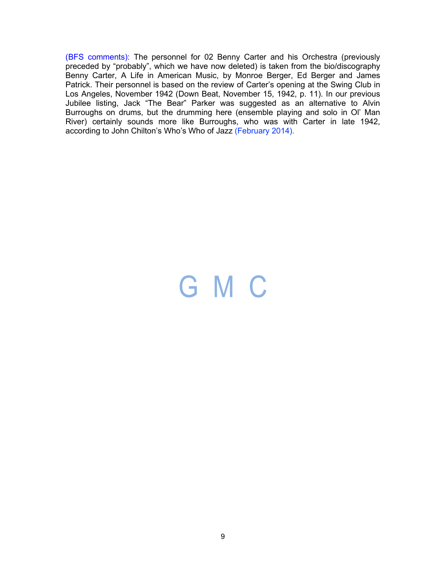(BFS comments): The personnel for 02 Benny Carter and his Orchestra (previously preceded by "probably", which we have now deleted) is taken from the bio/discography Benny Carter, A Life in American Music, by Monroe Berger, Ed Berger and James Patrick. Their personnel is based on the review of Carter's opening at the Swing Club in Los Angeles, November 1942 (Down Beat, November 15, 1942, p. 11). In our previous Jubilee listing, Jack "The Bear" Parker was suggested as an alternative to Alvin Burroughs on drums, but the drumming here (ensemble playing and solo in Ol' Man River) certainly sounds more like Burroughs, who was with Carter in late 1942, according to John Chilton's Who's Who of Jazz (February 2014).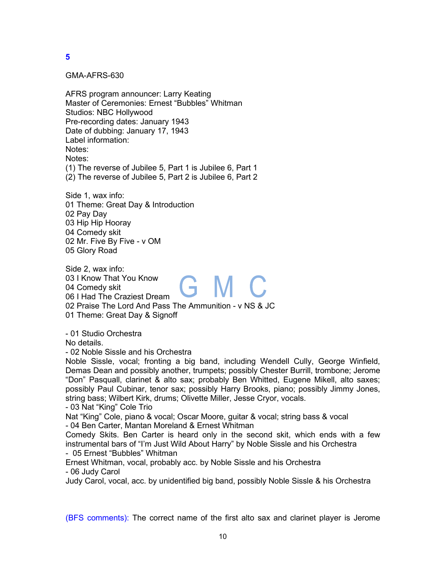GMA-AFRS-630

AFRS program announcer: Larry Keating Master of Ceremonies: Ernest "Bubbles" Whitman Studios: NBC Hollywood Pre-recording dates: January 1943 Date of dubbing: January 17, 1943 Label information: Notes: Notes: (1) The reverse of Jubilee 5, Part 1 is Jubilee 6, Part 1 (2) The reverse of Jubilee 5, Part 2 is Jubilee 6, Part 2

Side 1, wax info: 01 Theme: Great Day & Introduction 02 Pay Day 03 Hip Hip Hooray 04 Comedy skit 02 Mr. Five By Five - v OM 05 Glory Road

Side 2, wax info: 03 I Know That You Know G M C 04 Comedy skit 06 I Had The Craziest Dream 02 Praise The Lord And Pass The Ammunition - v NS & JC 01 Theme: Great Day & Signoff

- 01 Studio Orchestra

No details.

- 02 Noble Sissle and his Orchestra

Noble Sissle, vocal; fronting a big band, including Wendell Cully, George Winfield, Demas Dean and possibly another, trumpets; possibly Chester Burrill, trombone; Jerome "Don" Pasquall, clarinet & alto sax; probably Ben Whitted, Eugene Mikell, alto saxes; possibly Paul Cubinar, tenor sax; possibly Harry Brooks, piano; possibly Jimmy Jones, string bass; Wilbert Kirk, drums; Olivette Miller, Jesse Cryor, vocals.

- 03 Nat "King" Cole Trio

Nat "King" Cole, piano & vocal; Oscar Moore, guitar & vocal; string bass & vocal

- 04 Ben Carter, Mantan Moreland & Ernest Whitman

Comedy Skits. Ben Carter is heard only in the second skit, which ends with a few instrumental bars of "I'm Just Wild About Harry" by Noble Sissle and his Orchestra - 05 Ernest "Bubbles" Whitman

Ernest Whitman, vocal, probably acc. by Noble Sissle and his Orchestra - 06 Judy Carol

Judy Carol, vocal, acc. by unidentified big band, possibly Noble Sissle & his Orchestra

(BFS comments): The correct name of the first alto sax and clarinet player is Jerome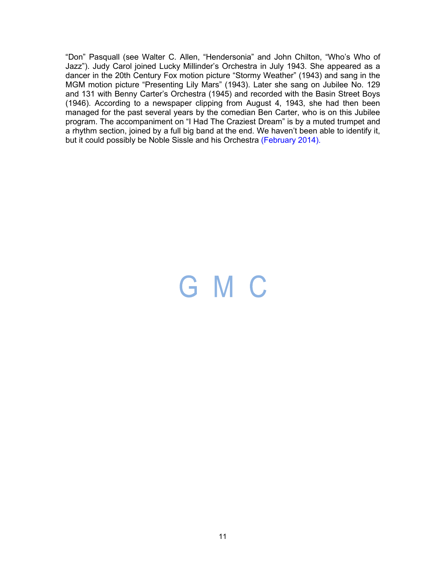"Don" Pasquall (see Walter C. Allen, "Hendersonia" and John Chilton, "Who's Who of Jazz"). Judy Carol joined Lucky Millinder's Orchestra in July 1943. She appeared as a dancer in the 20th Century Fox motion picture "Stormy Weather" (1943) and sang in the MGM motion picture "Presenting Lily Mars" (1943). Later she sang on Jubilee No. 129 and 131 with Benny Carter's Orchestra (1945) and recorded with the Basin Street Boys (1946). According to a newspaper clipping from August 4, 1943, she had then been managed for the past several years by the comedian Ben Carter, who is on this Jubilee program. The accompaniment on "I Had The Craziest Dream" is by a muted trumpet and a rhythm section, joined by a full big band at the end. We haven't been able to identify it, but it could possibly be Noble Sissle and his Orchestra (February 2014).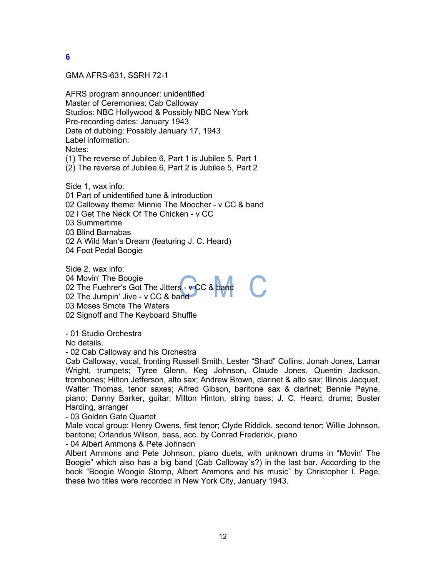GMA AFRS-631, SSRH 72-1

AFRS program announcer: unidentified Master of Ceremonies: Cab Calloway Studios: NBC Hollywood & Possibly NBC New York Pre-recording dates: January 1943 Date of dubbing: Possibly January 17, 1943 Label information: Notes: (1) The reverse of Jubilee 6, Part 1 is Jubilee 5, Part 1 (2) The reverse of Jubilee 6, Part 2 is Jubilee 5, Part 2

Side 1, wax info: 01 Part of unidentified tune & introduction 02 Calloway theme: Minnie The Moocher - v CC & band 02 I Get The Neck Of The Chicken - v CC 03 Summertime 03 Blind Barnabas 02 A Wild Man's Dream (featuring J. C. Heard) 04 Foot Pedal Boogie

Side 2, wax info: 04 Movin' The Boogie 02 The Fuehrer's Got The Jitters - v CC & band 02 The Jumpin' Jive - v CC & band 03 Moses Smote The Waters 02 Signoff and The Keyboard Shuffle

- 01 Studio Orchestra

No details.

- 02 Cab Calloway and his Orchestra

Cab Calloway, vocal, fronting Russell Smith, Lester "Shad" Collins, Jonah Jones, Lamar Wright, trumpets; Tyree Glenn, Keg Johnson, Claude Jones, Quentin Jackson, trombones; Hilton Jefferson, alto sax; Andrew Brown, clarinet & alto sax; Illinois Jacquet, Walter Thomas, tenor saxes; Alfred Gibson, baritone sax & clarinet; Bennie Payne, piano; Danny Barker, guitar; Milton Hinton, string bass; J. C. Heard, drums; Buster Harding, arranger

- 03 Golden Gate Quartet

Male vocal group: Henry Owens, first tenor; Clyde Riddick, second tenor; Willie Johnson, baritone; Orlandus Wilson, bass, acc. by Conrad Frederick, piano

- 04 Albert Ammons & Pete Johnson

Albert Ammons and Pete Johnson, piano duets, with unknown drums in "Movin' The Boogie" which also has a big band (Cab Calloway´s?) in the last bar. According to the book "Boogie Woogie Stomp, Albert Ammons and his music" by Christopher I. Page, these two titles were recorded in New York City, January 1943.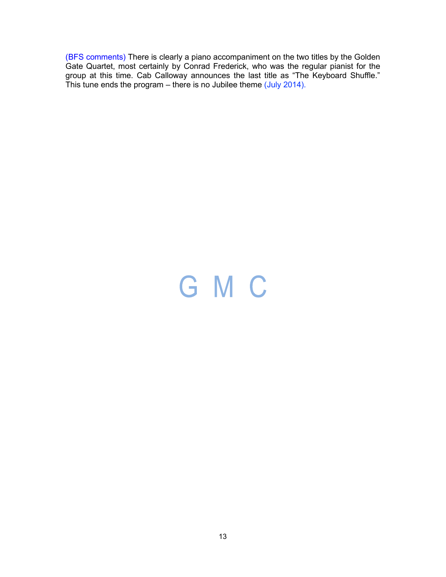(BFS comments) There is clearly a piano accompaniment on the two titles by the Golden Gate Quartet, most certainly by Conrad Frederick, who was the regular pianist for the group at this time. Cab Calloway announces the last title as "The Keyboard Shuffle." This tune ends the program – there is no Jubilee theme (July 2014).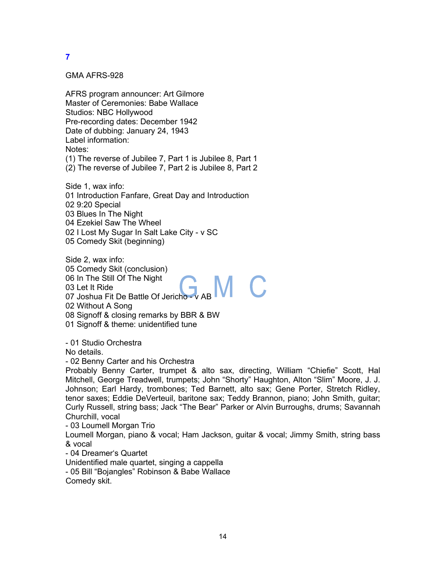GMA AFRS-928

AFRS program announcer: Art Gilmore Master of Ceremonies: Babe Wallace Studios: NBC Hollywood Pre-recording dates: December 1942 Date of dubbing: January 24, 1943 Label information: Notes: (1) The reverse of Jubilee 7, Part 1 is Jubilee 8, Part 1 (2) The reverse of Jubilee 7, Part 2 is Jubilee 8, Part 2

Side 1, wax info: 01 Introduction Fanfare, Great Day and Introduction 02 9:20 Special 03 Blues In The Night 04 Ezekiel Saw The Wheel 02 I Lost My Sugar In Salt Lake City - v SC 05 Comedy Skit (beginning)

Side 2, wax info: 05 Comedy Skit (conclusion) 06 In The Still Of The Night 03 Let It Ride 07 Joshua Fit De Battle Of Jericho - v AB 02 Without A Song 08 Signoff & closing remarks by BBR & BW 01 Signoff & theme: unidentified tune

- 01 Studio Orchestra

No details.

- 02 Benny Carter and his Orchestra

Probably Benny Carter, trumpet & alto sax, directing, William "Chiefie" Scott, Hal Mitchell, George Treadwell, trumpets; John "Shorty" Haughton, Alton "Slim" Moore, J. J. Johnson; Earl Hardy, trombones; Ted Barnett, alto sax; Gene Porter, Stretch Ridley, tenor saxes; Eddie DeVerteuil, baritone sax; Teddy Brannon, piano; John Smith, guitar; Curly Russell, string bass; Jack "The Bear" Parker or Alvin Burroughs, drums; Savannah Churchill, vocal

- 03 Loumell Morgan Trio

Loumell Morgan, piano & vocal; Ham Jackson, guitar & vocal; Jimmy Smith, string bass & vocal

- 04 Dreamer's Quartet

Unidentified male quartet, singing a cappella

- 05 Bill "Bojangles" Robinson & Babe Wallace Comedy skit.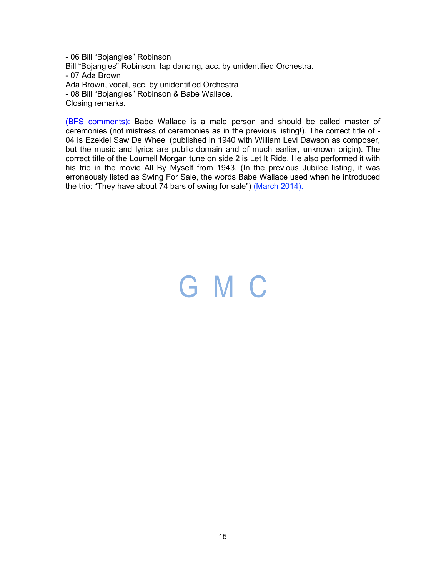- 06 Bill "Bojangles" Robinson Bill "Bojangles" Robinson, tap dancing, acc. by unidentified Orchestra. - 07 Ada Brown Ada Brown, vocal, acc. by unidentified Orchestra - 08 Bill "Bojangles" Robinson & Babe Wallace. Closing remarks.

(BFS comments): Babe Wallace is a male person and should be called master of ceremonies (not mistress of ceremonies as in the previous listing!). The correct title of - 04 is Ezekiel Saw De Wheel (published in 1940 with William Levi Dawson as composer, but the music and lyrics are public domain and of much earlier, unknown origin). The correct title of the Loumell Morgan tune on side 2 is Let It Ride. He also performed it with his trio in the movie All By Myself from 1943. (In the previous Jubilee listing, it was erroneously listed as Swing For Sale, the words Babe Wallace used when he introduced the trio: "They have about  $74$  bars of swing for sale") (March 2014).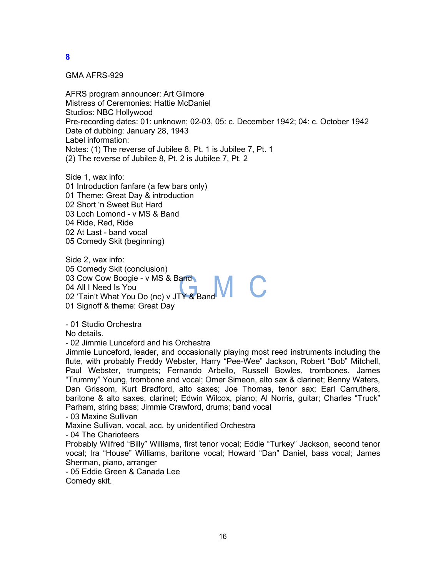#### GMA AFRS-929

AFRS program announcer: Art Gilmore Mistress of Ceremonies: Hattie McDaniel Studios: NBC Hollywood Pre-recording dates: 01: unknown; 02-03, 05: c. December 1942; 04: c. October 1942 Date of dubbing: January 28, 1943 Label information: Notes: (1) The reverse of Jubilee 8, Pt. 1 is Jubilee 7, Pt. 1 (2) The reverse of Jubilee 8, Pt. 2 is Jubilee 7, Pt. 2

Side 1, wax info: 01 Introduction fanfare (a few bars only) 01 Theme: Great Day & introduction 02 Short 'n Sweet But Hard 03 Loch Lomond - v MS & Band 04 Ride, Red, Ride 02 At Last - band vocal 05 Comedy Skit (beginning)

Side 2, wax info: 05 Comedy Skit (conclusion) 03 Cow Cow Boogie - v MS & Band 04 All I Need Is You 02 'Tain't What You Do (nc) v JTY & Band 01 Signoff & theme: Great Day

- 01 Studio Orchestra

No details.

- 02 Jimmie Lunceford and his Orchestra

Jimmie Lunceford, leader, and occasionally playing most reed instruments including the flute, with probably Freddy Webster, Harry "Pee-Wee" Jackson, Robert "Bob" Mitchell, Paul Webster, trumpets; Fernando Arbello, Russell Bowles, trombones, James "Trummy" Young, trombone and vocal; Omer Simeon, alto sax & clarinet; Benny Waters, Dan Grissom, Kurt Bradford, alto saxes; Joe Thomas, tenor sax; Earl Carruthers, baritone & alto saxes, clarinet; Edwin Wilcox, piano; Al Norris, guitar; Charles "Truck" Parham, string bass; Jimmie Crawford, drums; band vocal

- 03 Maxine Sullivan

Maxine Sullivan, vocal, acc. by unidentified Orchestra

- 04 The Charioteers

Probably Wilfred "Billy" Williams, first tenor vocal; Eddie "Turkey" Jackson, second tenor vocal; Ira "House" Williams, baritone vocal; Howard "Dan" Daniel, bass vocal; James Sherman, piano, arranger

- 05 Eddie Green & Canada Lee

Comedy skit.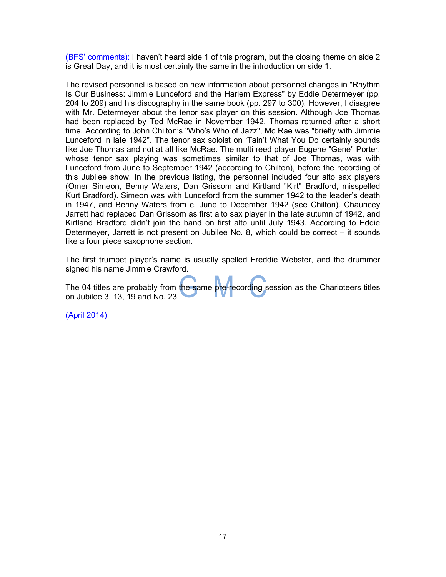(BFS' comments): I haven't heard side 1 of this program, but the closing theme on side 2 is Great Day, and it is most certainly the same in the introduction on side 1.

The revised personnel is based on new information about personnel changes in "Rhythm Is Our Business: Jimmie Lunceford and the Harlem Express" by Eddie Determeyer (pp. 204 to 209) and his discography in the same book (pp. 297 to 300). However, I disagree with Mr. Determeyer about the tenor sax player on this session. Although Joe Thomas had been replaced by Ted McRae in November 1942, Thomas returned after a short time. According to John Chilton's "Who's Who of Jazz", Mc Rae was "briefly with Jimmie Lunceford in late 1942". The tenor sax soloist on 'Tain't What You Do certainly sounds like Joe Thomas and not at all like McRae. The multi reed player Eugene "Gene" Porter, whose tenor sax playing was sometimes similar to that of Joe Thomas, was with Lunceford from June to September 1942 (according to Chilton), before the recording of this Jubilee show. In the previous listing, the personnel included four alto sax players (Omer Simeon, Benny Waters, Dan Grissom and Kirtland "Kirt" Bradford, misspelled Kurt Bradford). Simeon was with Lunceford from the summer 1942 to the leader's death in 1947, and Benny Waters from c. June to December 1942 (see Chilton). Chauncey Jarrett had replaced Dan Grissom as first alto sax player in the late autumn of 1942, and Kirtland Bradford didn't join the band on first alto until July 1943. According to Eddie Determeyer, Jarrett is not present on Jubilee No. 8, which could be correct – it sounds like a four piece saxophone section.

The first trumpet player's name is usually spelled Freddie Webster, and the drummer signed his name Jimmie Crawford.

The 04 titles are probably from the same pre-recording session as the Charioteers titles on Jubilee 3, 13, 19 and No. 23.

(April 2014)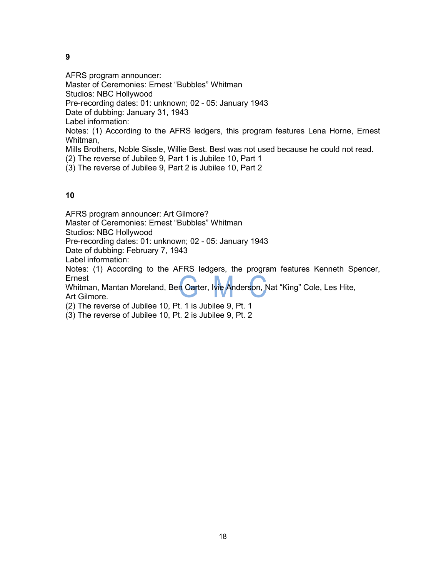AFRS program announcer: Master of Ceremonies: Ernest "Bubbles" Whitman Studios: NBC Hollywood Pre-recording dates: 01: unknown; 02 - 05: January 1943 Date of dubbing: January 31, 1943 Label information: Notes: (1) According to the AFRS ledgers, this program features Lena Horne, Ernest Whitman, Mills Brothers, Noble Sissle, Willie Best. Best was not used because he could not read. (2) The reverse of Jubilee 9, Part 1 is Jubilee 10, Part 1 (3) The reverse of Jubilee 9, Part 2 is Jubilee 10, Part 2

### **10**

AFRS program announcer: Art Gilmore? Master of Ceremonies: Ernest "Bubbles" Whitman

Studios: NBC Hollywood

Pre-recording dates: 01: unknown; 02 - 05: January 1943

Date of dubbing: February 7, 1943

Label information:

Notes: (1) According to the AFRS ledgers, the program features Kenneth Spencer, Ernest

Whitman, Mantan Moreland, Ben Carter, Ivie Anderson, Nat "King" Cole, Les Hite, Art Gilmore.

(2) The reverse of Jubilee 10, Pt. 1 is Jubilee 9, Pt. 1

(3) The reverse of Jubilee 10, Pt. 2 is Jubilee 9, Pt. 2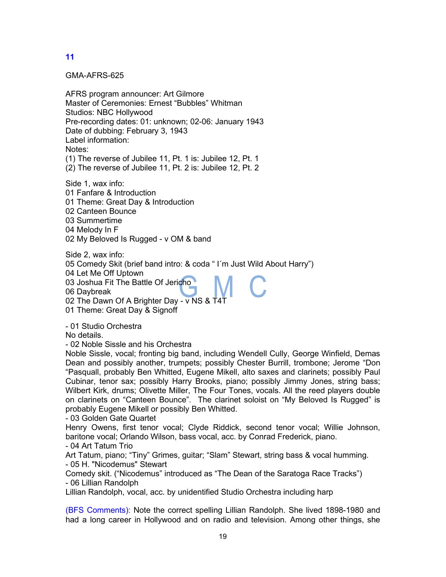GMA-AFRS-625

AFRS program announcer: Art Gilmore Master of Ceremonies: Ernest "Bubbles" Whitman Studios: NBC Hollywood Pre-recording dates: 01: unknown; 02-06: January 1943 Date of dubbing: February 3, 1943 Label information: Notes: (1) The reverse of Jubilee 11, Pt. 1 is: Jubilee 12, Pt. 1 (2) The reverse of Jubilee 11, Pt. 2 is: Jubilee 12, Pt. 2

Side 1, wax info: 01 Fanfare & Introduction 01 Theme: Great Day & Introduction 02 Canteen Bounce 03 Summertime 04 Melody In F 02 My Beloved Is Rugged - v OM & band

Side 2, wax info: 05 Comedy Skit (brief band intro: & coda " I´m Just Wild About Harry") 04 Let Me Off Uptown 03 Joshua Fit The Battle Of Jericho 06 Daybreak 02 The Dawn Of A Brighter Day - v NS & T4T

01 Theme: Great Day & Signoff

- 01 Studio Orchestra

No details.

- 02 Noble Sissle and his Orchestra

Noble Sissle, vocal; fronting big band, including Wendell Cully, George Winfield, Demas Dean and possibly another, trumpets; possibly Chester Burrill, trombone; Jerome "Don "Pasquall, probably Ben Whitted, Eugene Mikell, alto saxes and clarinets; possibly Paul Cubinar, tenor sax; possibly Harry Brooks, piano; possibly Jimmy Jones, string bass; Wilbert Kirk, drums; Olivette Miller, The Four Tones, vocals. All the reed players double on clarinets on "Canteen Bounce". The clarinet soloist on "My Beloved Is Rugged" is probably Eugene Mikell or possibly Ben Whitted.

- 03 Golden Gate Quartet

Henry Owens, first tenor vocal; Clyde Riddick, second tenor vocal; Willie Johnson, baritone vocal; Orlando Wilson, bass vocal, acc. by Conrad Frederick, piano. - 04 Art Tatum Trio

Art Tatum, piano; "Tiny" Grimes, guitar; "Slam" Stewart, string bass & vocal humming. - 05 H. "Nicodemus" Stewart

Comedy skit. ("Nicodemus" introduced as "The Dean of the Saratoga Race Tracks") - 06 Lillian Randolph

Lillian Randolph, vocal, acc. by unidentified Studio Orchestra including harp

(BFS Comments): Note the correct spelling Lillian Randolph. She lived 1898-1980 and had a long career in Hollywood and on radio and television. Among other things, she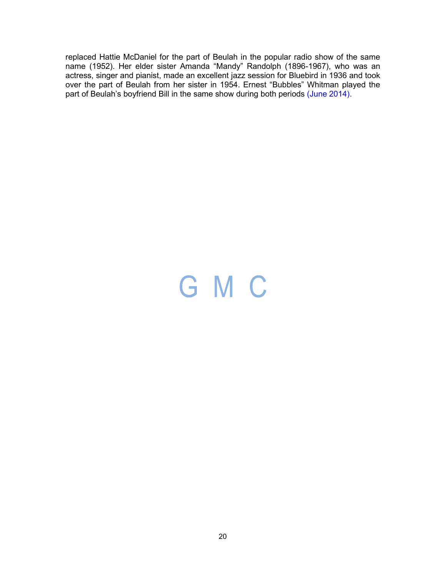replaced Hattie McDaniel for the part of Beulah in the popular radio show of the same name (1952). Her elder sister Amanda "Mandy" Randolph (1896-1967), who was an actress, singer and pianist, made an excellent jazz session for Bluebird in 1936 and took over the part of Beulah from her sister in 1954. Ernest "Bubbles" Whitman played the part of Beulah's boyfriend Bill in the same show during both periods (June 2014).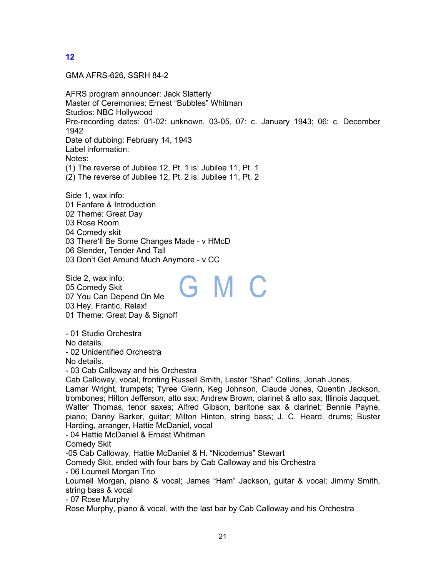GMA AFRS-626, SSRH 84-2

AFRS program announcer: Jack Slatterly Master of Ceremonies: Ernest "Bubbles" Whitman Studios: NBC Hollywood Pre-recording dates: 01-02: unknown, 03-05, 07: c. January 1943; 06: c. December 1942 Date of dubbing: February 14, 1943 Label information: Notes: (1) The reverse of Jubilee 12, Pt. 1 is: Jubilee 11, Pt. 1 (2) The reverse of Jubilee 12, Pt. 2 is: Jubilee 11, Pt. 2

Side 1, wax info: 01 Fanfare & Introduction 02 Theme: Great Day 03 Rose Room 04 Comedy skit 03 There'll Be Some Changes Made - v HMcD 06 Slender, Tender And Tall 03 Don't Get Around Much Anymore - v CC

Side 2, wax info: GMC 05 Comedy Skit 07 You Can Depend On Me 03 Hey, Frantic, Relax! 01 Theme: Great Day & Signoff

- 01 Studio Orchestra

No details.

- 02 Unidentified Orchestra

No details.

- 03 Cab Calloway and his Orchestra

Cab Calloway, vocal, fronting Russell Smith, Lester "Shad" Collins, Jonah Jones,

Lamar Wright, trumpets; Tyree Glenn, Keg Johnson, Claude Jones, Quentin Jackson, trombones; Hilton Jefferson, alto sax; Andrew Brown, clarinet & alto sax; Illinois Jacquet, Walter Thomas, tenor saxes; Alfred Gibson, baritone sax & clarinet; Bennie Payne, piano; Danny Barker, guitar; Milton Hinton, string bass; J. C. Heard, drums; Buster Harding, arranger, Hattie McDaniel, vocal

- 04 Hattie McDaniel & Ernest Whitman

Comedy Skit

-05 Cab Calloway, Hattie McDaniel & H. "Nicodemus" Stewart

Comedy Skit, ended with four bars by Cab Calloway and his Orchestra

- 06 Loumell Morgan Trio

Loumell Morgan, piano & vocal; James "Ham" Jackson, guitar & vocal; Jimmy Smith, string bass & vocal

- 07 Rose Murphy

Rose Murphy, piano & vocal, with the last bar by Cab Calloway and his Orchestra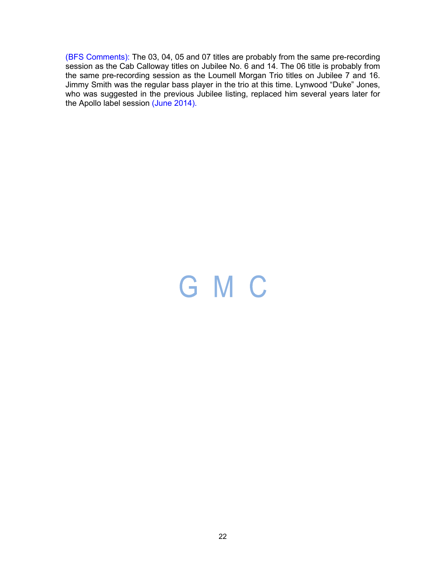(BFS Comments): The 03, 04, 05 and 07 titles are probably from the same pre-recording session as the Cab Calloway titles on Jubilee No. 6 and 14. The 06 title is probably from the same pre-recording session as the Loumell Morgan Trio titles on Jubilee 7 and 16. Jimmy Smith was the regular bass player in the trio at this time. Lynwood "Duke" Jones, who was suggested in the previous Jubilee listing, replaced him several years later for the Apollo label session (June 2014).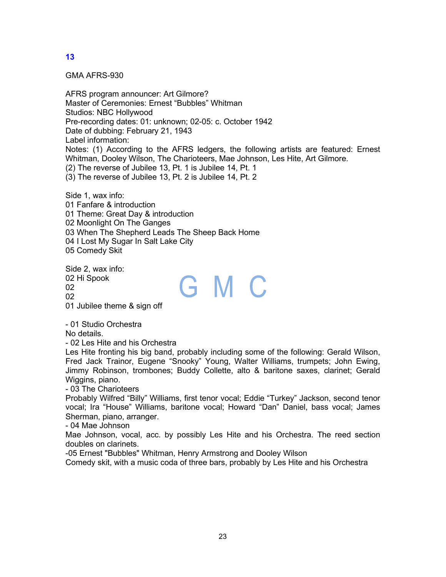GMA AFRS-930

AFRS program announcer: Art Gilmore? Master of Ceremonies: Ernest "Bubbles" Whitman Studios: NBC Hollywood Pre-recording dates: 01: unknown; 02-05: c. October 1942 Date of dubbing: February 21, 1943 Label information: Notes: (1) According to the AFRS ledgers, the following artists are featured: Ernest Whitman, Dooley Wilson, The Charioteers, Mae Johnson, Les Hite, Art Gilmore. (2) The reverse of Jubilee 13, Pt. 1 is Jubilee 14, Pt. 1 (3) The reverse of Jubilee 13, Pt. 2 is Jubilee 14, Pt. 2

Side 1, wax info: 01 Fanfare & introduction 01 Theme: Great Day & introduction 02 Moonlight On The Ganges 03 When The Shepherd Leads The Sheep Back Home 04 I Lost My Sugar In Salt Lake City 05 Comedy Skit

Side 2, wax info: 02 Hi Spook GMC  $02<sub>2</sub>$ 02 01 Jubilee theme & sign off

- 01 Studio Orchestra

No details.

- 02 Les Hite and his Orchestra

Les Hite fronting his big band, probably including some of the following: Gerald Wilson, Fred Jack Trainor, Eugene "Snooky" Young, Walter Williams, trumpets; John Ewing, Jimmy Robinson, trombones; Buddy Collette, alto & baritone saxes, clarinet; Gerald Wiggins, piano.

- 03 The Charioteers

Probably Wilfred "Billy" Williams, first tenor vocal; Eddie "Turkey" Jackson, second tenor vocal; Ira "House" Williams, baritone vocal; Howard "Dan" Daniel, bass vocal; James Sherman, piano, arranger.

- 04 Mae Johnson

Mae Johnson, vocal, acc. by possibly Les Hite and his Orchestra. The reed section doubles on clarinets.

-05 Ernest "Bubbles" Whitman, Henry Armstrong and Dooley Wilson

Comedy skit, with a music coda of three bars, probably by Les Hite and his Orchestra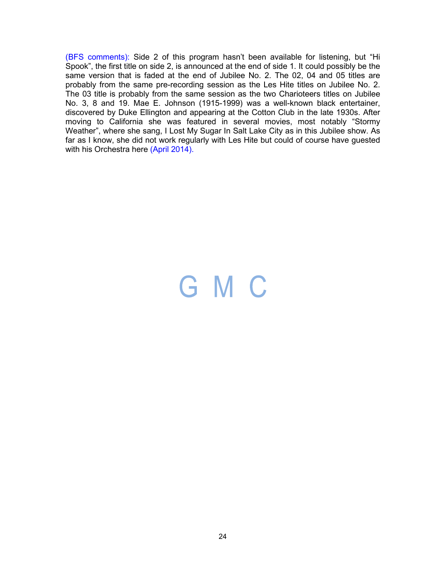(BFS comments): Side 2 of this program hasn't been available for listening, but "Hi Spook", the first title on side 2, is announced at the end of side 1. It could possibly be the same version that is faded at the end of Jubilee No. 2. The 02, 04 and 05 titles are probably from the same pre-recording session as the Les Hite titles on Jubilee No. 2. The 03 title is probably from the same session as the two Charioteers titles on Jubilee No. 3, 8 and 19. Mae E. Johnson (1915-1999) was a well-known black entertainer, discovered by Duke Ellington and appearing at the Cotton Club in the late 1930s. After moving to California she was featured in several movies, most notably "Stormy Weather", where she sang, I Lost My Sugar In Salt Lake City as in this Jubilee show. As far as I know, she did not work regularly with Les Hite but could of course have guested with his Orchestra here (April 2014).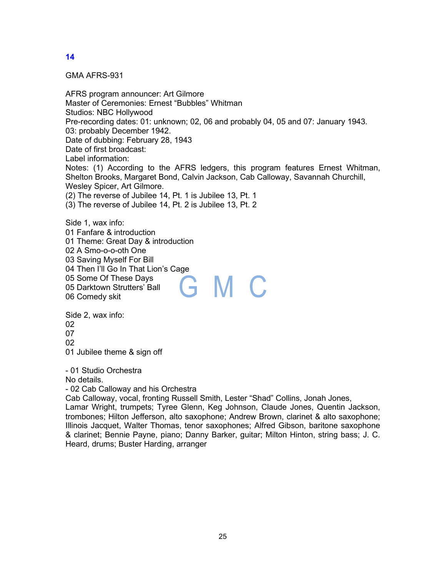GMA AFRS-931

AFRS program announcer: Art Gilmore Master of Ceremonies: Ernest "Bubbles" Whitman Studios: NBC Hollywood Pre-recording dates: 01: unknown; 02, 06 and probably 04, 05 and 07: January 1943. 03: probably December 1942. Date of dubbing: February 28, 1943 Date of first broadcast: Label information: Notes: (1) According to the AFRS ledgers, this program features Ernest Whitman, Shelton Brooks, Margaret Bond, Calvin Jackson, Cab Calloway, Savannah Churchill, Wesley Spicer, Art Gilmore. (2) The reverse of Jubilee 14, Pt. 1 is Jubilee 13, Pt. 1 (3) The reverse of Jubilee 14, Pt. 2 is Jubilee 13, Pt. 2

Side 1, wax info: 01 Fanfare & introduction 01 Theme: Great Day & introduction 02 A Smo-o-o-oth One 03 Saving Myself For Bill 04 Then I'll Go In That Lion's Cage 05 Some Of These Days G M C 05 Darktown Strutters' Ball 06 Comedy skit

Side 2, wax info: 02 07  $02$ 01 Jubilee theme & sign off

- 01 Studio Orchestra

No details.

- 02 Cab Calloway and his Orchestra

Cab Calloway, vocal, fronting Russell Smith, Lester "Shad" Collins, Jonah Jones,

Lamar Wright, trumpets; Tyree Glenn, Keg Johnson, Claude Jones, Quentin Jackson, trombones; Hilton Jefferson, alto saxophone; Andrew Brown, clarinet & alto saxophone; Illinois Jacquet, Walter Thomas, tenor saxophones; Alfred Gibson, baritone saxophone & clarinet; Bennie Payne, piano; Danny Barker, guitar; Milton Hinton, string bass; J. C. Heard, drums; Buster Harding, arranger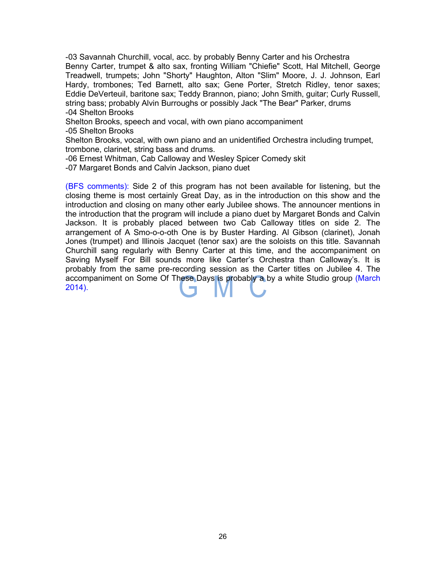-03 Savannah Churchill, vocal, acc. by probably Benny Carter and his Orchestra Benny Carter, trumpet & alto sax, fronting William "Chiefie" Scott, Hal Mitchell, George Treadwell, trumpets; John "Shorty" Haughton, Alton "Slim" Moore, J. J. Johnson, Earl Hardy, trombones; Ted Barnett, alto sax; Gene Porter, Stretch Ridley, tenor saxes; Eddie DeVerteuil, baritone sax; Teddy Brannon, piano; John Smith, guitar; Curly Russell, string bass; probably Alvin Burroughs or possibly Jack "The Bear" Parker, drums -04 Shelton Brooks

Shelton Brooks, speech and vocal, with own piano accompaniment -05 Shelton Brooks

Shelton Brooks, vocal, with own piano and an unidentified Orchestra including trumpet, trombone, clarinet, string bass and drums.

-06 Ernest Whitman, Cab Calloway and Wesley Spicer Comedy skit

-07 Margaret Bonds and Calvin Jackson, piano duet

(BFS comments): Side 2 of this program has not been available for listening, but the closing theme is most certainly Great Day, as in the introduction on this show and the introduction and closing on many other early Jubilee shows. The announcer mentions in the introduction that the program will include a piano duet by Margaret Bonds and Calvin Jackson. It is probably placed between two Cab Calloway titles on side 2. The arrangement of A Smo-o-o-oth One is by Buster Harding. Al Gibson (clarinet), Jonah Jones (trumpet) and Illinois Jacquet (tenor sax) are the soloists on this title. Savannah Churchill sang regularly with Benny Carter at this time, and the accompaniment on Saving Myself For Bill sounds more like Carter's Orchestra than Calloway's. It is probably from the same pre-recording session as the Carter titles on Jubilee 4. The accompaniment on Some Of These Days is probably a by a white Studio group (March 2014).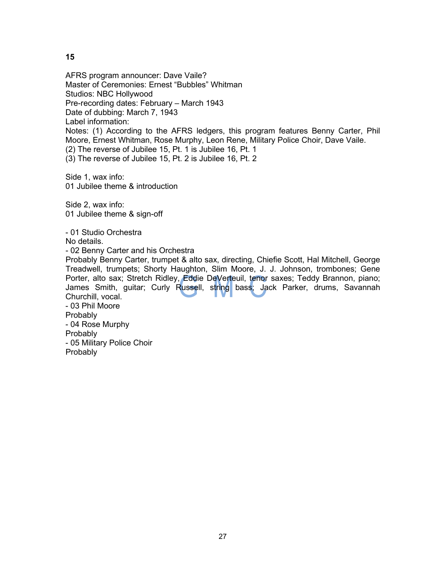AFRS program announcer: Dave Vaile? Master of Ceremonies: Ernest "Bubbles" Whitman Studios: NBC Hollywood Pre-recording dates: February – March 1943 Date of dubbing: March 7, 1943 Label information: Notes: (1) According to the AFRS ledgers, this program features Benny Carter, Phil Moore, Ernest Whitman, Rose Murphy, Leon Rene, Military Police Choir, Dave Vaile. (2) The reverse of Jubilee 15, Pt. 1 is Jubilee 16, Pt. 1 (3) The reverse of Jubilee 15, Pt. 2 is Jubilee 16, Pt. 2 Side 1, wax info: 01 Jubilee theme & introduction Side 2, wax info: 01 Jubilee theme & sign-off - 01 Studio Orchestra No details. - 02 Benny Carter and his Orchestra Probably Benny Carter, trumpet & alto sax, directing, Chiefie Scott, Hal Mitchell, George Treadwell, trumpets; Shorty Haughton, Slim Moore, J. J. Johnson, trombones; Gene Porter, alto sax; Stretch Ridley, Eddie DeVerteuil, tenor saxes; Teddy Brannon, piano; James Smith, guitar; Curly Russell, string bass; Jack Parker, drums, Savannah Churchill, vocal.

- 03 Phil Moore **Probably** - 04 Rose Murphy **Probably** - 05 Military Police Choir **Probably**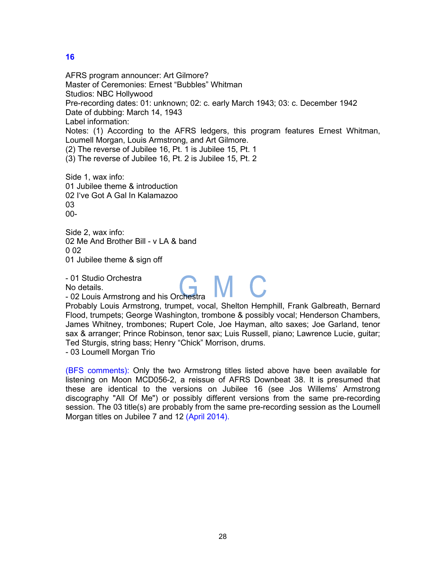AFRS program announcer: Art Gilmore? Master of Ceremonies: Ernest "Bubbles" Whitman Studios: NBC Hollywood Pre-recording dates: 01: unknown; 02: c. early March 1943; 03: c. December 1942 Date of dubbing: March 14, 1943 Label information: Notes: (1) According to the AFRS ledgers, this program features Ernest Whitman, Loumell Morgan, Louis Armstrong, and Art Gilmore. (2) The reverse of Jubilee 16, Pt. 1 is Jubilee 15, Pt. 1 (3) The reverse of Jubilee 16, Pt. 2 is Jubilee 15, Pt. 2 Side 1, wax info: 01 Jubilee theme & introduction 02 I've Got A Gal In Kalamazoo 03

00-

Side 2, wax info: 02 Me And Brother Bill - v LA & band በ በ2 01 Jubilee theme & sign off

- 01 Studio Orchestra No details.

- 01 Studio Orchestra<br>No details.<br>- 02 Louis Armstrong and his Orchestra

Probably Louis Armstrong, trumpet, vocal, Shelton Hemphill, Frank Galbreath, Bernard Flood, trumpets; George Washington, trombone & possibly vocal; Henderson Chambers, James Whitney, trombones; Rupert Cole, Joe Hayman, alto saxes; Joe Garland, tenor sax & arranger; Prince Robinson, tenor sax; Luis Russell, piano; Lawrence Lucie, guitar; Ted Sturgis, string bass; Henry "Chick" Morrison, drums.

- 03 Loumell Morgan Trio

(BFS comments): Only the two Armstrong titles listed above have been available for listening on Moon MCD056-2, a reissue of AFRS Downbeat 38. It is presumed that these are identical to the versions on Jubilee 16 (see Jos Willems' Armstrong discography "All Of Me") or possibly different versions from the same pre-recording session. The 03 title(s) are probably from the same pre-recording session as the Loumell Morgan titles on Jubilee 7 and 12 (April 2014).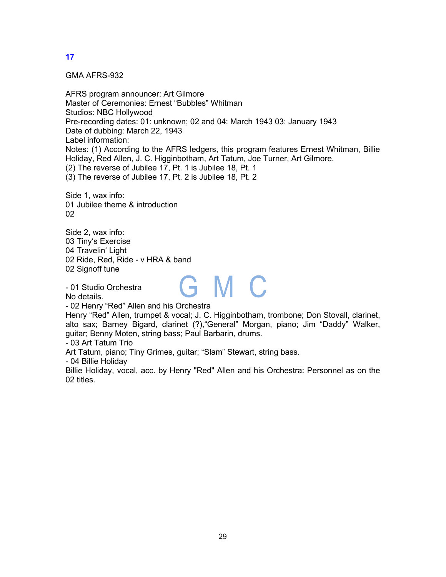GMA AFRS-932

AFRS program announcer: Art Gilmore Master of Ceremonies: Ernest "Bubbles" Whitman Studios: NBC Hollywood Pre-recording dates: 01: unknown; 02 and 04: March 1943 03: January 1943 Date of dubbing: March 22, 1943 Label information: Notes: (1) According to the AFRS ledgers, this program features Ernest Whitman, Billie Holiday, Red Allen, J. C. Higginbotham, Art Tatum, Joe Turner, Art Gilmore. (2) The reverse of Jubilee 17, Pt. 1 is Jubilee 18, Pt. 1 (3) The reverse of Jubilee 17, Pt. 2 is Jubilee 18, Pt. 2

Side 1, wax info: 01 Jubilee theme & introduction 02

Side 2, wax info: 03 Tiny's Exercise 04 Travelin' Light 02 Ride, Red, Ride - v HRA & band 02 Signoff tune

- 01 Studio Orchestra

No details.

- 02 Henry "Red" Allen and his Orchestra

Henry "Red" Allen, trumpet & vocal; J. C. Higginbotham, trombone; Don Stovall, clarinet, alto sax; Barney Bigard, clarinet (?),"General" Morgan, piano; Jim "Daddy" Walker, guitar; Benny Moten, string bass; Paul Barbarin, drums.

GMC

- 03 Art Tatum Trio

Art Tatum, piano; Tiny Grimes, guitar; "Slam" Stewart, string bass.

- 04 Billie Holiday

Billie Holiday, vocal, acc. by Henry "Red" Allen and his Orchestra: Personnel as on the 02 titles.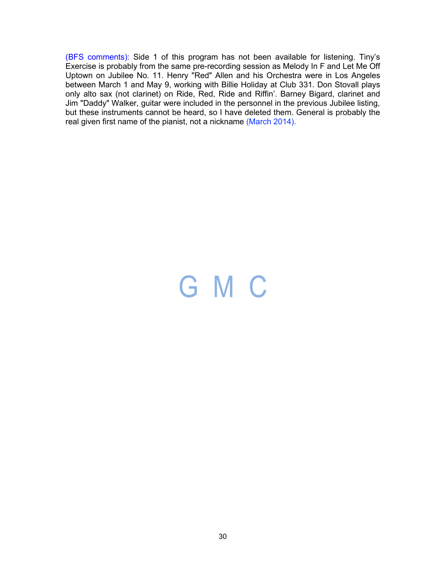(BFS comments): Side 1 of this program has not been available for listening. Tiny's Exercise is probably from the same pre-recording session as Melody In F and Let Me Off Uptown on Jubilee No. 11. Henry "Red" Allen and his Orchestra were in Los Angeles between March 1 and May 9, working with Billie Holiday at Club 331. Don Stovall plays only alto sax (not clarinet) on Ride, Red, Ride and Riffin'. Barney Bigard, clarinet and Jim "Daddy" Walker, guitar were included in the personnel in the previous Jubilee listing, but these instruments cannot be heard, so I have deleted them. General is probably the real given first name of the pianist, not a nickname (March 2014).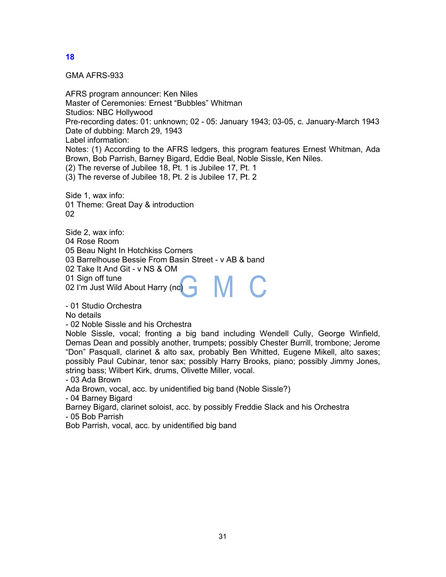GMA AFRS-933

AFRS program announcer: Ken Niles Master of Ceremonies: Ernest "Bubbles" Whitman Studios: NBC Hollywood Pre-recording dates: 01: unknown; 02 - 05: January 1943; 03-05, c. January-March 1943 Date of dubbing: March 29, 1943 Label information: Notes: (1) According to the AFRS ledgers, this program features Ernest Whitman, Ada Brown, Bob Parrish, Barney Bigard, Eddie Beal, Noble Sissle, Ken Niles. (2) The reverse of Jubilee 18, Pt. 1 is Jubilee 17, Pt. 1 (3) The reverse of Jubilee 18, Pt. 2 is Jubilee 17, Pt. 2

Side 1, wax info: 01 Theme: Great Day & introduction 02

Side 2, wax info: 04 Rose Room 05 Beau Night In Hotchkiss Corners 03 Barrelhouse Bessie From Basin Street - v AB & band 02 Take It And Git - v NS & OM 01 Sign off tune M C 02 I'm Just Wild About Harry (nc)

- 01 Studio Orchestra

No details

- 02 Noble Sissle and his Orchestra

Noble Sissle, vocal; fronting a big band including Wendell Cully, George Winfield, Demas Dean and possibly another, trumpets; possibly Chester Burrill, trombone; Jerome "Don" Pasquall, clarinet & alto sax, probably Ben Whitted, Eugene Mikell, alto saxes; possibly Paul Cubinar, tenor sax; possibly Harry Brooks, piano; possibly Jimmy Jones, string bass; Wilbert Kirk, drums, Olivette Miller, vocal.

- 03 Ada Brown

Ada Brown, vocal, acc. by unidentified big band (Noble Sissle?)

- 04 Barney Bigard

Barney Bigard, clarinet soloist, acc. by possibly Freddie Slack and his Orchestra - 05 Bob Parrish

Bob Parrish, vocal, acc. by unidentified big band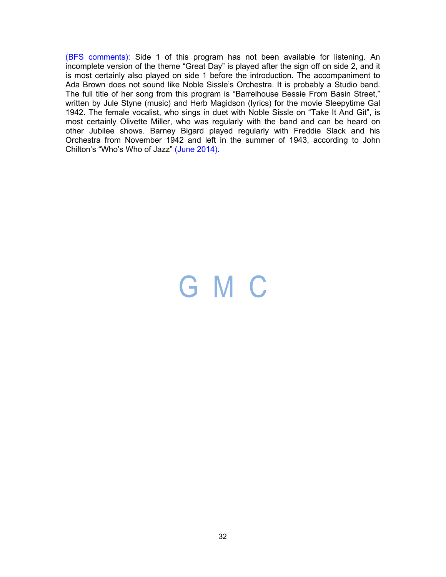(BFS comments): Side 1 of this program has not been available for listening. An incomplete version of the theme "Great Day" is played after the sign off on side 2, and it is most certainly also played on side 1 before the introduction. The accompaniment to Ada Brown does not sound like Noble Sissle's Orchestra. It is probably a Studio band. The full title of her song from this program is "Barrelhouse Bessie From Basin Street," written by Jule Styne (music) and Herb Magidson (lyrics) for the movie Sleepytime Gal 1942. The female vocalist, who sings in duet with Noble Sissle on "Take It And Git", is most certainly Olivette Miller, who was regularly with the band and can be heard on other Jubilee shows. Barney Bigard played regularly with Freddie Slack and his Orchestra from November 1942 and left in the summer of 1943, according to John Chilton's "Who's Who of Jazz" (June 2014).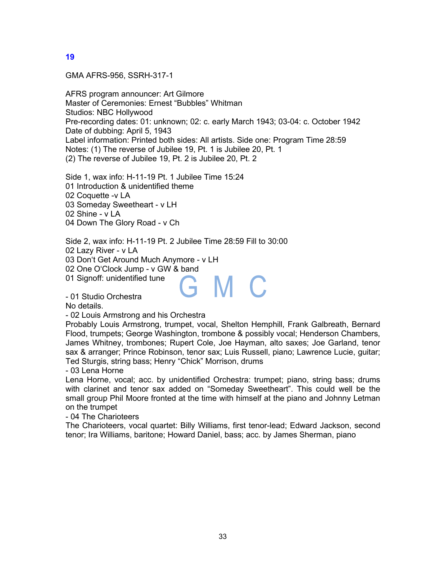GMA AFRS-956, SSRH-317-1

AFRS program announcer: Art Gilmore Master of Ceremonies: Ernest "Bubbles" Whitman Studios: NBC Hollywood Pre-recording dates: 01: unknown; 02: c. early March 1943; 03-04: c. October 1942 Date of dubbing: April 5, 1943 Label information: Printed both sides: All artists. Side one: Program Time 28:59 Notes: (1) The reverse of Jubilee 19, Pt. 1 is Jubilee 20, Pt. 1 (2) The reverse of Jubilee 19, Pt. 2 is Jubilee 20, Pt. 2

Side 1, wax info: H-11-19 Pt. 1 Jubilee Time 15:24 01 Introduction & unidentified theme 02 Coquette -v LA 03 Someday Sweetheart - v LH 02 Shine - v LA 04 Down The Glory Road - v Ch

Side 2, wax info: H-11-19 Pt. 2 Jubilee Time 28:59 Fill to 30:00

02 Lazy River - v LA

03 Don't Get Around Much Anymore - v LH

02 One O'Clock Jump - v GW & band

01 Signoff: unidentified tune

- 01 Studio Orchestra

No details.

- 02 Louis Armstrong and his Orchestra

Probably Louis Armstrong, trumpet, vocal, Shelton Hemphill, Frank Galbreath, Bernard Flood, trumpets; George Washington, trombone & possibly vocal; Henderson Chambers, James Whitney, trombones; Rupert Cole, Joe Hayman, alto saxes; Joe Garland, tenor sax & arranger; Prince Robinson, tenor sax; Luis Russell, piano; Lawrence Lucie, guitar; Ted Sturgis, string bass; Henry "Chick" Morrison, drums

G M C

- 03 Lena Horne

Lena Horne, vocal; acc. by unidentified Orchestra: trumpet; piano, string bass; drums with clarinet and tenor sax added on "Someday Sweetheart". This could well be the small group Phil Moore fronted at the time with himself at the piano and Johnny Letman on the trumpet

- 04 The Charioteers

The Charioteers, vocal quartet: Billy Williams, first tenor-lead; Edward Jackson, second tenor; Ira Williams, baritone; Howard Daniel, bass; acc. by James Sherman, piano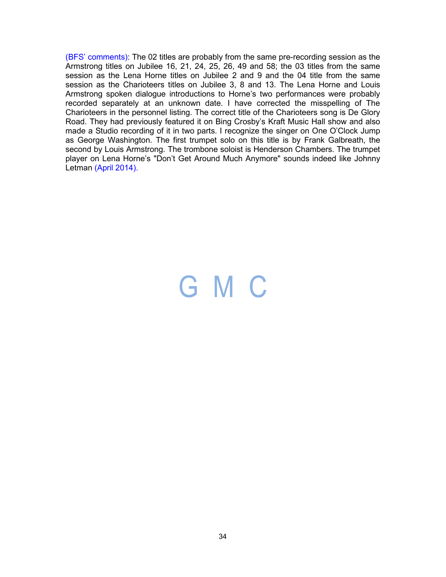(BFS' comments): The 02 titles are probably from the same pre-recording session as the Armstrong titles on Jubilee 16, 21, 24, 25, 26, 49 and 58; the 03 titles from the same session as the Lena Horne titles on Jubilee 2 and 9 and the 04 title from the same session as the Charioteers titles on Jubilee 3, 8 and 13. The Lena Horne and Louis Armstrong spoken dialogue introductions to Horne's two performances were probably recorded separately at an unknown date. I have corrected the misspelling of The Charioteers in the personnel listing. The correct title of the Charioteers song is De Glory Road. They had previously featured it on Bing Crosby's Kraft Music Hall show and also made a Studio recording of it in two parts. I recognize the singer on One O'Clock Jump as George Washington. The first trumpet solo on this title is by Frank Galbreath, the second by Louis Armstrong. The trombone soloist is Henderson Chambers. The trumpet player on Lena Horne's "Don't Get Around Much Anymore" sounds indeed like Johnny Letman (April 2014).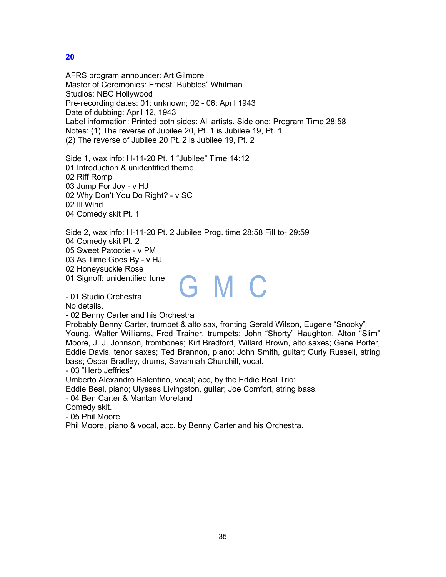AFRS program announcer: Art Gilmore Master of Ceremonies: Ernest "Bubbles" Whitman Studios: NBC Hollywood Pre-recording dates: 01: unknown; 02 - 06: April 1943 Date of dubbing: April 12, 1943 Label information: Printed both sides: All artists. Side one: Program Time 28:58 Notes: (1) The reverse of Jubilee 20, Pt. 1 is Jubilee 19, Pt. 1 (2) The reverse of Jubilee 20 Pt. 2 is Jubilee 19, Pt. 2

Side 1, wax info: H-11-20 Pt. 1 "Jubilee" Time 14:12 01 Introduction & unidentified theme 02 Riff Romp 03 Jump For Joy - v HJ 02 Why Don't You Do Right? - v SC 02 Ill Wind 04 Comedy skit Pt. 1

Side 2, wax info: H-11-20 Pt. 2 Jubilee Prog. time 28:58 Fill to- 29:59 04 Comedy skit Pt. 2 05 Sweet Patootie - v PM 03 As Time Goes By - v HJ 02 Honeysuckle Rose 01 Signoff: unidentified tune GMC

- 01 Studio Orchestra

No details.

- 02 Benny Carter and his Orchestra

Probably Benny Carter, trumpet & alto sax, fronting Gerald Wilson, Eugene "Snooky" Young, Walter Williams, Fred Trainer, trumpets; John "Shorty" Haughton, Alton "Slim" Moore, J. J. Johnson, trombones; Kirt Bradford, Willard Brown, alto saxes; Gene Porter, Eddie Davis, tenor saxes; Ted Brannon, piano; John Smith, guitar; Curly Russell, string bass; Oscar Bradley, drums, Savannah Churchill, vocal.

- 03 "Herb Jeffries"

Umberto Alexandro Balentino, vocal; acc, by the Eddie Beal Trio:

Eddie Beal, piano; Ulysses Livingston, guitar; Joe Comfort, string bass.

- 04 Ben Carter & Mantan Moreland

Comedy skit.

- 05 Phil Moore

Phil Moore, piano & vocal, acc. by Benny Carter and his Orchestra.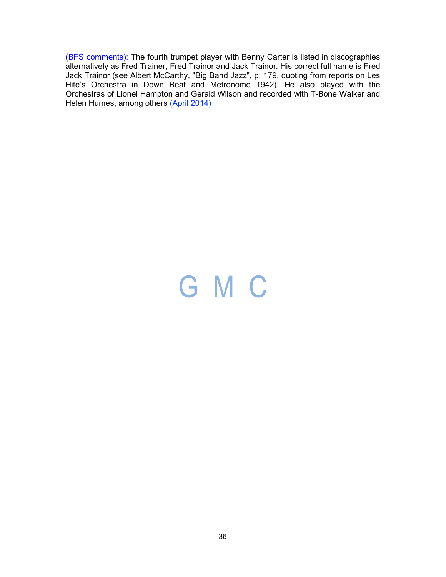(BFS comments): The fourth trumpet player with Benny Carter is listed in discographies alternatively as Fred Trainer, Fred Trainor and Jack Trainor. His correct full name is Fred Jack Trainor (see Albert McCarthy, "Big Band Jazz", p. 179, quoting from reports on Les Hite's Orchestra in Down Beat and Metronome 1942). He also played with the Orchestras of Lionel Hampton and Gerald Wilson and recorded with T-Bone Walker and Helen Humes, among others (April 2014)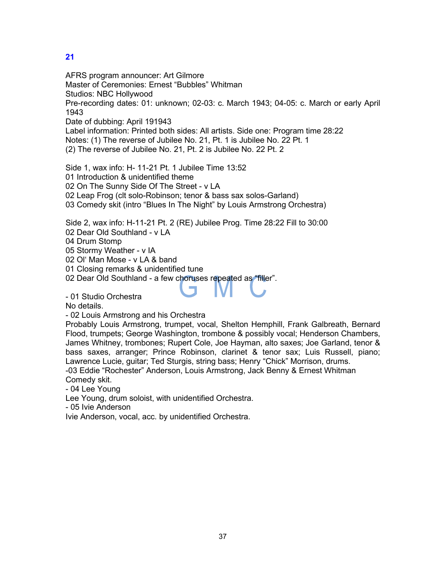AFRS program announcer: Art Gilmore Master of Ceremonies: Ernest "Bubbles" Whitman Studios: NBC Hollywood Pre-recording dates: 01: unknown; 02-03: c. March 1943; 04-05: c. March or early April 1943 Date of dubbing: April 191943 Label information: Printed both sides: All artists. Side one: Program time 28:22 Notes: (1) The reverse of Jubilee No. 21, Pt. 1 is Jubilee No. 22 Pt. 1 (2) The reverse of Jubilee No. 21, Pt. 2 is Jubilee No. 22 Pt. 2 Side 1, wax info: H- 11-21 Pt. 1 Jubilee Time 13:52 01 Introduction & unidentified theme 02 On The Sunny Side Of The Street - v LA

02 Leap Frog (clt solo-Robinson; tenor & bass sax solos-Garland)

03 Comedy skit (intro "Blues In The Night" by Louis Armstrong Orchestra)

Side 2, wax info: H-11-21 Pt. 2 (RE) Jubilee Prog. Time 28:22 Fill to 30:00

02 Dear Old Southland - v LA

04 Drum Stomp

05 Stormy Weather - v IA

02 Ol' Man Mose - v LA & band

01 Closing remarks & unidentified tune

02 Dear Old Southland - a few choruses repeated as "filler".

- 01 Studio Orchestra

No details.

- 02 Louis Armstrong and his Orchestra

Probably Louis Armstrong, trumpet, vocal, Shelton Hemphill, Frank Galbreath, Bernard Flood, trumpets; George Washington, trombone & possibly vocal; Henderson Chambers, James Whitney, trombones; Rupert Cole, Joe Hayman, alto saxes; Joe Garland, tenor & bass saxes, arranger; Prince Robinson, clarinet & tenor sax; Luis Russell, piano; Lawrence Lucie, guitar; Ted Sturgis, string bass; Henry "Chick" Morrison, drums. -03 Eddie "Rochester" Anderson, Louis Armstrong, Jack Benny & Ernest Whitman

Comedy skit.

- 04 Lee Young

Lee Young, drum soloist, with unidentified Orchestra.

- 05 Ivie Anderson

Ivie Anderson, vocal, acc. by unidentified Orchestra.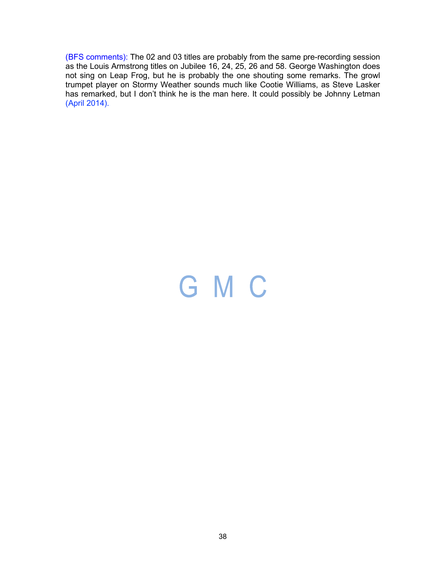(BFS comments): The 02 and 03 titles are probably from the same pre-recording session as the Louis Armstrong titles on Jubilee 16, 24, 25, 26 and 58. George Washington does not sing on Leap Frog, but he is probably the one shouting some remarks. The growl trumpet player on Stormy Weather sounds much like Cootie Williams, as Steve Lasker has remarked, but I don't think he is the man here. It could possibly be Johnny Letman (April 2014).

# GMC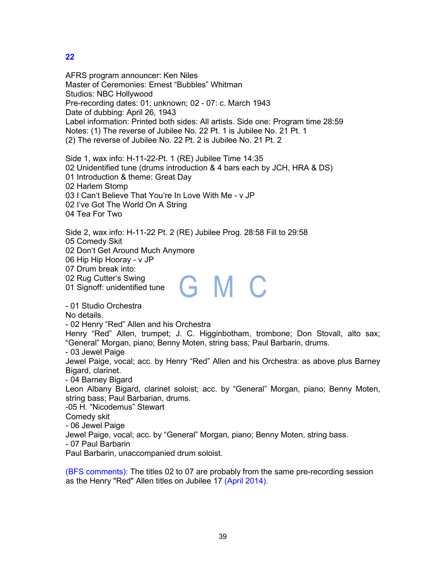AFRS program announcer: Ken Niles Master of Ceremonies: Ernest "Bubbles" Whitman Studios: NBC Hollywood Pre-recording dates: 01: unknown; 02 - 07: c. March 1943 Date of dubbing: April 26, 1943 Label information: Printed both sides: All artists. Side one: Program time 28:59 Notes: (1) The reverse of Jubilee No. 22 Pt. 1 is Jubilee No. 21 Pt. 1 (2) The reverse of Jubilee No. 22 Pt. 2 is Jubilee No. 21 Pt. 2

Side 1, wax info: H-11-22-Pt. 1 (RE) Jubilee Time 14:35 02 Unidentified tune (drums introduction & 4 bars each by JCH, HRA & DS) 01 Introduction & theme: Great Day 02 Harlem Stomp 03 I Can't Believe That You're In Love With Me - v JP 02 I've Got The World On A String 04 Tea For Two

Side 2, wax info: H-11-22 Pt. 2 (RE) Jubilee Prog. 28:58 Fill to 29:58

05 Comedy Skit

02 Don't Get Around Much Anymore

06 Hip Hip Hooray - v JP

07 Drum break into:

02 Rug Cutter's Swing

01 Signoff: unidentified tune

- 01 Studio Orchestra

No details.

- 02 Henry "Red" Allen and his Orchestra

Henry "Red" Allen, trumpet; J. C. Higginbotham, trombone; Don Stovall, alto sax; "General" Morgan, piano; Benny Moten, string bass; Paul Barbarin, drums.

GMC

- 03 Jewel Paige

Jewel Paige, vocal; acc. by Henry "Red" Allen and his Orchestra: as above plus Barney Bigard, clarinet.

- 04 Barney Bigard

Leon Albany Bigard, clarinet soloist; acc. by "General" Morgan, piano; Benny Moten, string bass; Paul Barbarian, drums.

-05 H. "Nicodemus" Stewart

Comedy skit

- 06 Jewel Paige

Jewel Paige, vocal; acc. by "General" Morgan, piano; Benny Moten, string bass.

- 07 Paul Barbarin

Paul Barbarin, unaccompanied drum soloist.

(BFS comments): The titles 02 to 07 are probably from the same pre-recording session as the Henry "Red" Allen titles on Jubilee 17 (April 2014).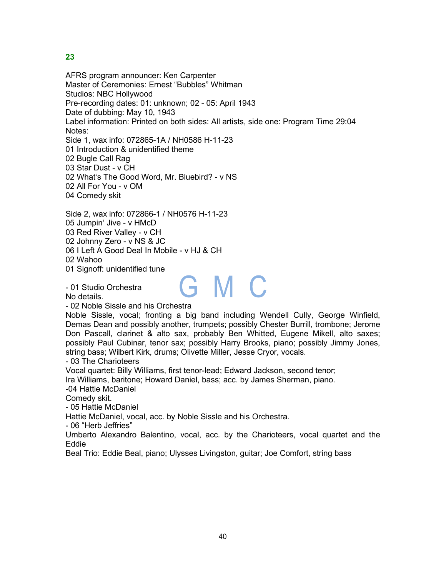AFRS program announcer: Ken Carpenter Master of Ceremonies: Ernest "Bubbles" Whitman Studios: NBC Hollywood Pre-recording dates: 01: unknown; 02 - 05: April 1943 Date of dubbing: May 10, 1943 Label information: Printed on both sides: All artists, side one: Program Time 29:04 Notes: Side 1, wax info: 072865-1A / NH0586 H-11-23 01 Introduction & unidentified theme 02 Bugle Call Rag 03 Star Dust - v CH 02 What's The Good Word, Mr. Bluebird? - v NS 02 All For You - v OM 04 Comedy skit Side 2, wax info: 072866-1 / NH0576 H-11-23 05 Jumpin' Jive - v HMcD 03 Red River Valley - v CH 02 Johnny Zero - v NS & JC 06 I Left A Good Deal In Mobile - v HJ & CH 02 Wahoo 01 Signoff: unidentified tune GMC - 01 Studio Orchestra No details. - 02 Noble Sissle and his Orchestra

Noble Sissle, vocal; fronting a big band including Wendell Cully, George Winfield, Demas Dean and possibly another, trumpets; possibly Chester Burrill, trombone; Jerome Don Pascall, clarinet & alto sax, probably Ben Whitted, Eugene Mikell, alto saxes; possibly Paul Cubinar, tenor sax; possibly Harry Brooks, piano; possibly Jimmy Jones, string bass; Wilbert Kirk, drums; Olivette Miller, Jesse Cryor, vocals.

- 03 The Charioteers

Vocal quartet: Billy Williams, first tenor-lead; Edward Jackson, second tenor; Ira Williams, baritone; Howard Daniel, bass; acc. by James Sherman, piano.

-04 Hattie McDaniel

Comedy skit.

- 05 Hattie McDaniel

Hattie McDaniel, vocal, acc. by Noble Sissle and his Orchestra.

- 06 "Herb Jeffries"

Umberto Alexandro Balentino, vocal, acc. by the Charioteers, vocal quartet and the Eddie

Beal Trio: Eddie Beal, piano; Ulysses Livingston, guitar; Joe Comfort, string bass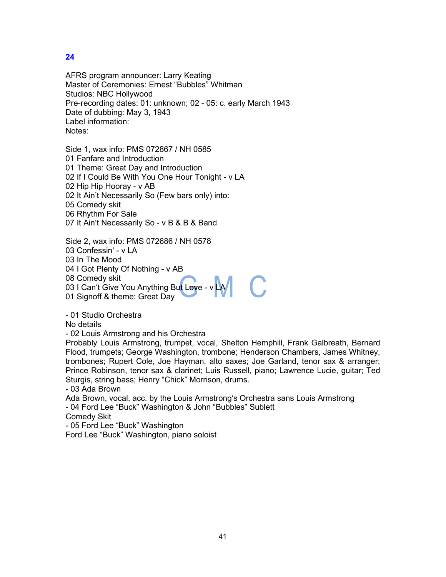AFRS program announcer: Larry Keating Master of Ceremonies: Ernest "Bubbles" Whitman Studios: NBC Hollywood Pre-recording dates: 01: unknown; 02 - 05: c. early March 1943 Date of dubbing: May 3, 1943 Label information: Notes:

Side 1, wax info: PMS 072867 / NH 0585 01 Fanfare and Introduction 01 Theme: Great Day and Introduction 02 If I Could Be With You One Hour Tonight - v LA 02 Hip Hip Hooray - v AB 02 It Ain't Necessarily So (Few bars only) into: 05 Comedy skit 06 Rhythm For Sale 07 It Ain't Necessarily So - v B & B & Band

Side 2, wax info: PMS 072686 / NH 0578

03 Confessin' - v LA

03 In The Mood

04 I Got Plenty Of Nothing - v AB

08 Comedy skit

03 I Can't Give You Anything But Love - v LA

01 Signoff & theme: Great Day

- 01 Studio Orchestra

No details

- 02 Louis Armstrong and his Orchestra

Probably Louis Armstrong, trumpet, vocal, Shelton Hemphill, Frank Galbreath, Bernard Flood, trumpets; George Washington, trombone; Henderson Chambers, James Whitney, trombones; Rupert Cole, Joe Hayman, alto saxes; Joe Garland, tenor sax & arranger; Prince Robinson, tenor sax & clarinet; Luis Russell, piano; Lawrence Lucie, guitar; Ted Sturgis, string bass; Henry "Chick" Morrison, drums.

- 03 Ada Brown

Ada Brown, vocal, acc. by the Louis Armstrong's Orchestra sans Louis Armstrong - 04 Ford Lee "Buck" Washington & John "Bubbles" Sublett

Comedy Skit

- 05 Ford Lee "Buck" Washington

Ford Lee "Buck" Washington, piano soloist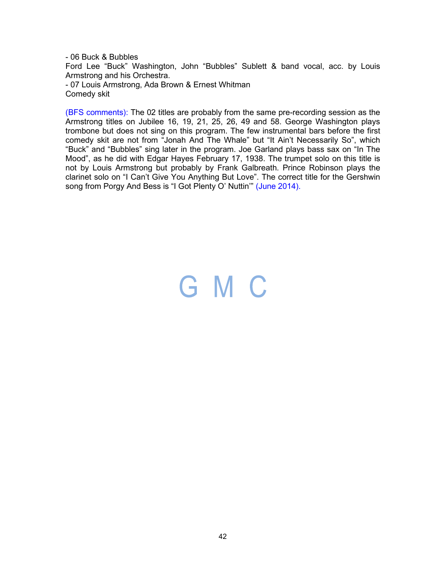- 06 Buck & Bubbles Ford Lee "Buck" Washington, John "Bubbles" Sublett & band vocal, acc. by Louis Armstrong and his Orchestra. - 07 Louis Armstrong, Ada Brown & Ernest Whitman Comedy skit

(BFS comments): The 02 titles are probably from the same pre-recording session as the Armstrong titles on Jubilee 16, 19, 21, 25, 26, 49 and 58. George Washington plays trombone but does not sing on this program. The few instrumental bars before the first comedy skit are not from "Jonah And The Whale" but "It Ain't Necessarily So", which "Buck" and "Bubbles" sing later in the program. Joe Garland plays bass sax on "In The Mood", as he did with Edgar Hayes February 17, 1938. The trumpet solo on this title is not by Louis Armstrong but probably by Frank Galbreath. Prince Robinson plays the clarinet solo on "I Can't Give You Anything But Love". The correct title for the Gershwin song from Porgy And Bess is "I Got Plenty O' Nuttin" (June 2014).

### GMC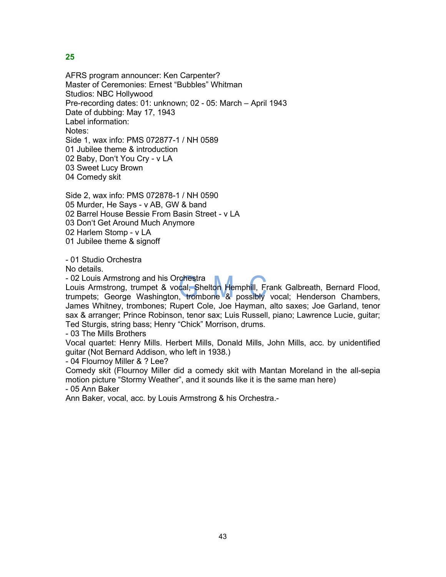AFRS program announcer: Ken Carpenter? Master of Ceremonies: Ernest "Bubbles" Whitman Studios: NBC Hollywood Pre-recording dates: 01: unknown; 02 - 05: March – April 1943 Date of dubbing: May 17, 1943 Label information: Notes: Side 1, wax info: PMS 072877-1 / NH 0589 01 Jubilee theme & introduction 02 Baby, Don't You Cry - v LA 03 Sweet Lucy Brown 04 Comedy skit

Side 2, wax info: PMS 072878-1 / NH 0590 05 Murder, He Says - v AB, GW & band 02 Barrel House Bessie From Basin Street - v LA 03 Don't Get Around Much Anymore 02 Harlem Stomp - v LA 01 Jubilee theme & signoff

- 01 Studio Orchestra

No details.

- 02 Louis Armstrong and his Orchestra

Louis Armstrong, trumpet & vocal, Shelton Hemphill, Frank Galbreath, Bernard Flood, trumpets; George Washington, trombone & possibly vocal; Henderson Chambers, James Whitney, trombones; Rupert Cole, Joe Hayman, alto saxes; Joe Garland, tenor sax & arranger; Prince Robinson, tenor sax; Luis Russell, piano; Lawrence Lucie, guitar; Ted Sturgis, string bass; Henry "Chick" Morrison, drums.

- 03 The Mills Brothers

Vocal quartet: Henry Mills. Herbert Mills, Donald Mills, John Mills, acc. by unidentified guitar (Not Bernard Addison, who left in 1938.)

- 04 Flournoy Miller & ? Lee?

Comedy skit (Flournoy Miller did a comedy skit with Mantan Moreland in the all-sepia motion picture "Stormy Weather", and it sounds like it is the same man here)

- 05 Ann Baker

Ann Baker, vocal, acc. by Louis Armstrong & his Orchestra.-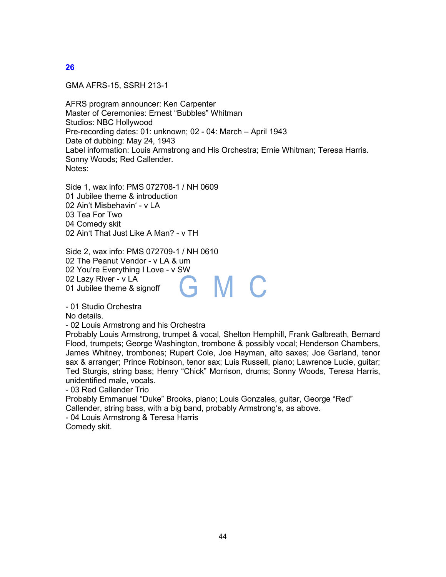GMA AFRS-15, SSRH 213-1

AFRS program announcer: Ken Carpenter Master of Ceremonies: Ernest "Bubbles" Whitman Studios: NBC Hollywood Pre-recording dates: 01: unknown; 02 - 04: March – April 1943 Date of dubbing: May 24, 1943 Label information: Louis Armstrong and His Orchestra; Ernie Whitman; Teresa Harris. Sonny Woods; Red Callender. Notes:

Side 1, wax info: PMS 072708-1 / NH 0609 01 Jubilee theme & introduction 02 Ain't Misbehavin' - v LA 03 Tea For Two 04 Comedy skit 02 Ain't That Just Like A Man? - v TH

Side 2, wax info: PMS 072709-1 / NH 0610 02 The Peanut Vendor - v LA & um 02 You're Everything I Love - v SW 02 Lazy River - v LA M C ÷ 01 Jubilee theme & signoff

- 01 Studio Orchestra

No details.

- 02 Louis Armstrong and his Orchestra

Probably Louis Armstrong, trumpet & vocal, Shelton Hemphill, Frank Galbreath, Bernard Flood, trumpets; George Washington, trombone & possibly vocal; Henderson Chambers, James Whitney, trombones; Rupert Cole, Joe Hayman, alto saxes; Joe Garland, tenor sax & arranger; Prince Robinson, tenor sax; Luis Russell, piano; Lawrence Lucie, guitar; Ted Sturgis, string bass; Henry "Chick" Morrison, drums; Sonny Woods, Teresa Harris, unidentified male, vocals.

- 03 Red Callender Trio

Probably Emmanuel "Duke" Brooks, piano; Louis Gonzales, guitar, George "Red" Callender, string bass, with a big band, probably Armstrong's, as above.

- 04 Louis Armstrong & Teresa Harris

Comedy skit.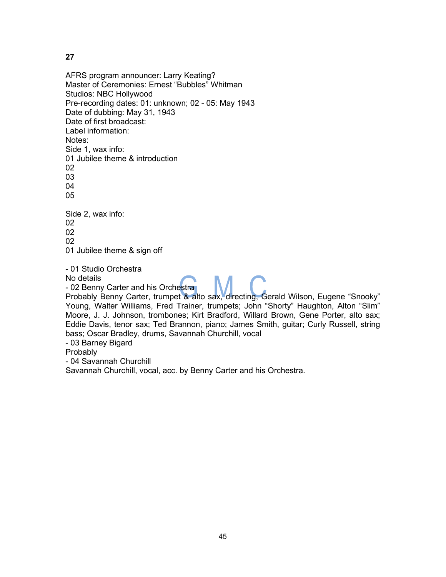AFRS program announcer: Larry Keating? Master of Ceremonies: Ernest "Bubbles" Whitman Studios: NBC Hollywood Pre-recording dates: 01: unknown; 02 - 05: May 1943 Date of dubbing: May 31, 1943 Date of first broadcast: Label information: Notes: Side 1, wax info: 01 Jubilee theme & introduction 02 03 04 05 Side 2, wax info: 02 02 02 01 Jubilee theme & sign off - 01 Studio Orchestra No details

- 02 Benny Carter and his Orchestra

Probably Benny Carter, trumpet & alto sax, directing, Gerald Wilson, Eugene "Snooky" Young, Walter Williams, Fred Trainer, trumpets; John "Shorty" Haughton, Alton "Slim" Moore, J. J. Johnson, trombones; Kirt Bradford, Willard Brown, Gene Porter, alto sax; Eddie Davis, tenor sax; Ted Brannon, piano; James Smith, guitar; Curly Russell, string bass; Oscar Bradley, drums, Savannah Churchill, vocal

- 03 Barney Bigard

**Probably** 

- 04 Savannah Churchill

Savannah Churchill, vocal, acc. by Benny Carter and his Orchestra.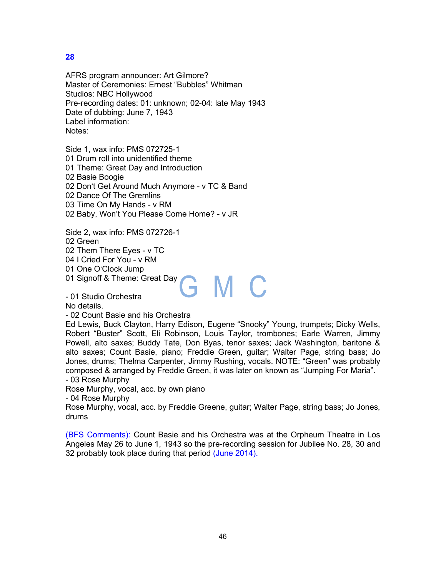AFRS program announcer: Art Gilmore? Master of Ceremonies: Ernest "Bubbles" Whitman Studios: NBC Hollywood Pre-recording dates: 01: unknown; 02-04: late May 1943 Date of dubbing: June 7, 1943 Label information: Notes:

Side 1, wax info: PMS 072725-1 01 Drum roll into unidentified theme 01 Theme: Great Day and Introduction Basie Boogie Don't Get Around Much Anymore - v TC & Band Dance Of The Gremlins Time On My Hands - v RM Baby, Won't You Please Come Home? - v JR

Side 2, wax info: PMS 072726-1 02 Green 02 Them There Eyes - v TC 04 I Cried For You - v RM 01 One O'Clock Jump 01 Signoff & Theme: Great Day GMC

- 01 Studio Orchestra

No details.

- 02 Count Basie and his Orchestra

Ed Lewis, Buck Clayton, Harry Edison, Eugene "Snooky" Young, trumpets; Dicky Wells, Robert "Buster" Scott, Eli Robinson, Louis Taylor, trombones; Earle Warren, Jimmy Powell, alto saxes; Buddy Tate, Don Byas, tenor saxes; Jack Washington, baritone & alto saxes; Count Basie, piano; Freddie Green, guitar; Walter Page, string bass; Jo Jones, drums; Thelma Carpenter, Jimmy Rushing, vocals. NOTE: "Green" was probably composed & arranged by Freddie Green, it was later on known as "Jumping For Maria". - 03 Rose Murphy

Rose Murphy, vocal, acc. by own piano

- 04 Rose Murphy

Rose Murphy, vocal, acc. by Freddie Greene, guitar; Walter Page, string bass; Jo Jones, drums

(BFS Comments): Count Basie and his Orchestra was at the Orpheum Theatre in Los Angeles May 26 to June 1, 1943 so the pre-recording session for Jubilee No. 28, 30 and 32 probably took place during that period (June 2014).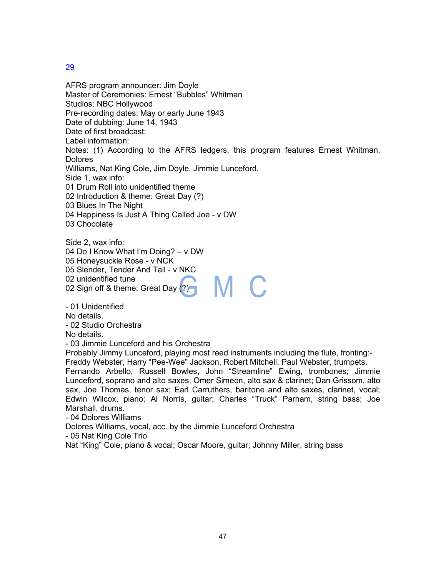AFRS program announcer: Jim Doyle Master of Ceremonies: Ernest "Bubbles" Whitman Studios: NBC Hollywood Pre-recording dates: May or early June 1943 Date of dubbing: June 14, 1943 Date of first broadcast: Label information: Notes: (1) According to the AFRS ledgers, this program features Ernest Whitman, **Dolores** Williams, Nat King Cole, Jim Doyle, Jimmie Lunceford. Side 1, wax info: 01 Drum Roll into unidentified theme 02 Introduction & theme: Great Day (?) 03 Blues In The Night 04 Happiness Is Just A Thing Called Joe - v DW 03 Chocolate

Side 2, wax info: 04 Do I Know What I'm Doing? – v DW 05 Honeysuckle Rose - v NCK 05 Slender, Tender And Tall - v NKC 02 unidentified tune M C 02 Sign off & theme: Great Day (?)

- 01 Unidentified No details.

- 02 Studio Orchestra

No details.

- 03 Jimmie Lunceford and his Orchestra

Probably Jimmy Lunceford, playing most reed instruments including the flute, fronting:- Freddy Webster, Harry "Pee-Wee" Jackson, Robert Mitchell, Paul Webster, trumpets.

Fernando Arbello, Russell Bowles, John "Streamline" Ewing, trombones; Jimmie Lunceford, soprano and alto saxes, Omer Simeon, alto sax & clarinet; Dan Grissom, alto sax, Joe Thomas, tenor sax; Earl Carruthers, baritone and alto saxes, clarinet, vocal; Edwin Wilcox, piano; Al Norris, guitar; Charles "Truck" Parham, string bass; Joe Marshall, drums.

- 04 Dolores Williams

Dolores Williams, vocal, acc. by the Jimmie Lunceford Orchestra

- 05 Nat King Cole Trio

Nat "King" Cole, piano & vocal; Oscar Moore, guitar; Johnny Miller, string bass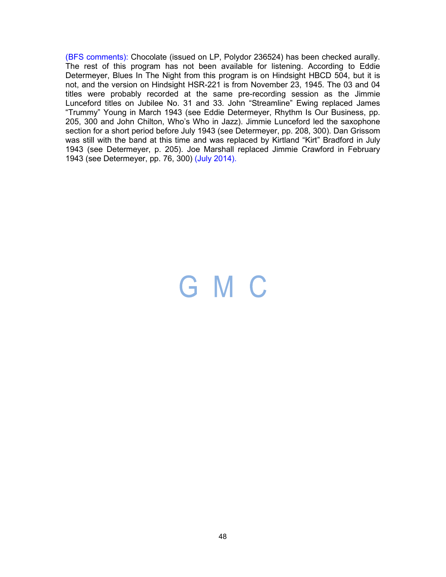(BFS comments): Chocolate (issued on LP, Polydor 236524) has been checked aurally. The rest of this program has not been available for listening. According to Eddie Determeyer, Blues In The Night from this program is on Hindsight HBCD 504, but it is not, and the version on Hindsight HSR-221 is from November 23, 1945. The 03 and 04 titles were probably recorded at the same pre-recording session as the Jimmie Lunceford titles on Jubilee No. 31 and 33. John "Streamline" Ewing replaced James "Trummy" Young in March 1943 (see Eddie Determeyer, Rhythm Is Our Business, pp. 205, 300 and John Chilton, Who's Who in Jazz). Jimmie Lunceford led the saxophone section for a short period before July 1943 (see Determeyer, pp. 208, 300). Dan Grissom was still with the band at this time and was replaced by Kirtland "Kirt" Bradford in July 1943 (see Determeyer, p. 205). Joe Marshall replaced Jimmie Crawford in February 1943 (see Determeyer, pp. 76, 300) (July 2014).

### GMC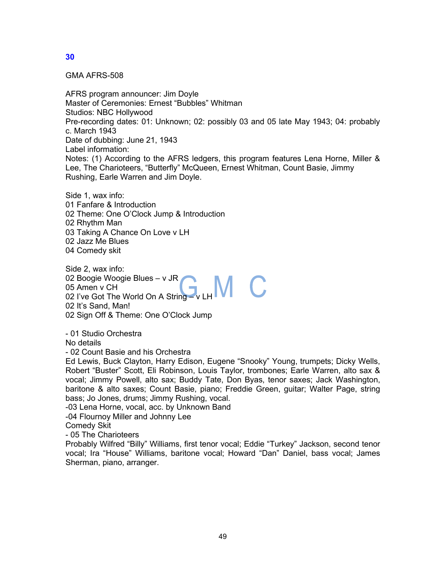GMA AFRS-508

AFRS program announcer: Jim Doyle Master of Ceremonies: Ernest "Bubbles" Whitman Studios: NBC Hollywood Pre-recording dates: 01: Unknown; 02: possibly 03 and 05 late May 1943; 04: probably c. March 1943 Date of dubbing: June 21, 1943 Label information: Notes: (1) According to the AFRS ledgers, this program features Lena Horne, Miller & Lee, The Charioteers, "Butterfly" McQueen, Ernest Whitman, Count Basie, Jimmy Rushing, Earle Warren and Jim Doyle.

Side 1, wax info: 01 Fanfare & Introduction 02 Theme: One O'Clock Jump & Introduction 02 Rhythm Man 03 Taking A Chance On Love v LH 02 Jazz Me Blues 04 Comedy skit

Side 2, wax info: 02 Boogie Woogie Blues – v JR 05 Amen v CH 02 I've Got The World On A String – v LH 02 It's Sand, Man! 02 Sign Off & Theme: One O'Clock Jump

- 01 Studio Orchestra

No details

- 02 Count Basie and his Orchestra

Ed Lewis, Buck Clayton, Harry Edison, Eugene "Snooky" Young, trumpets; Dicky Wells, Robert "Buster" Scott, Eli Robinson, Louis Taylor, trombones; Earle Warren, alto sax & vocal; Jimmy Powell, alto sax; Buddy Tate, Don Byas, tenor saxes; Jack Washington, baritone & alto saxes; Count Basie, piano; Freddie Green, guitar; Walter Page, string bass; Jo Jones, drums; Jimmy Rushing, vocal.

-03 Lena Horne, vocal, acc. by Unknown Band

-04 Flournoy Miller and Johnny Lee

Comedy Skit

- 05 The Charioteers

Probably Wilfred "Billy" Williams, first tenor vocal; Eddie "Turkey" Jackson, second tenor vocal; Ira "House" Williams, baritone vocal; Howard "Dan" Daniel, bass vocal; James Sherman, piano, arranger.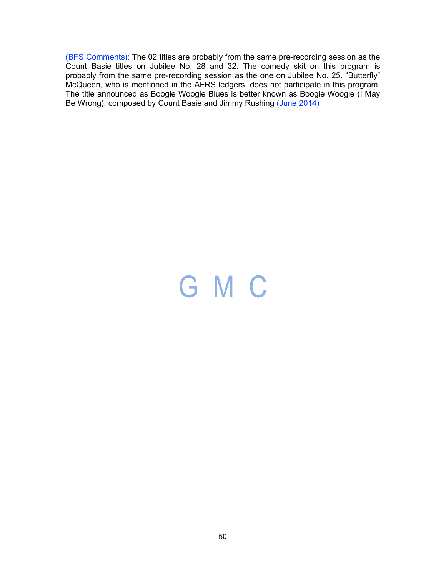(BFS Comments): The 02 titles are probably from the same pre-recording session as the Count Basie titles on Jubilee No. 28 and 32. The comedy skit on this program is probably from the same pre-recording session as the one on Jubilee No. 25. "Butterfly" McQueen, who is mentioned in the AFRS ledgers, does not participate in this program. The title announced as Boogie Woogie Blues is better known as Boogie Woogie (I May Be Wrong), composed by Count Basie and Jimmy Rushing (June 2014)

# GMC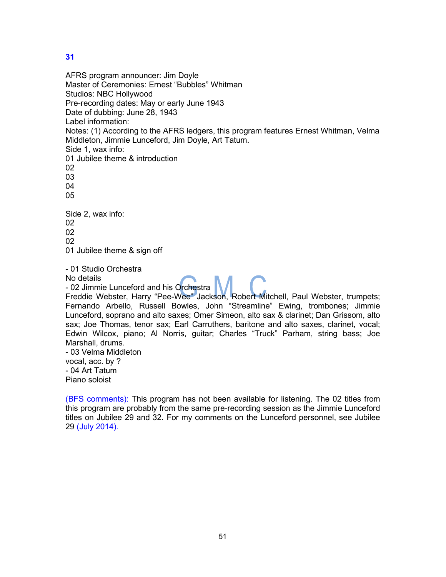AFRS program announcer: Jim Doyle Master of Ceremonies: Ernest "Bubbles" Whitman Studios: NBC Hollywood Pre-recording dates: May or early June 1943 Date of dubbing: June 28, 1943 Label information: Notes: (1) According to the AFRS ledgers, this program features Ernest Whitman, Velma Middleton, Jimmie Lunceford, Jim Doyle, Art Tatum. Side 1, wax info: 01 Jubilee theme & introduction 02 03 04 05 Side 2, wax info: 02 02 02 01 Jubilee theme & sign off - 01 Studio Orchestra No details - 02 Jimmie Lunceford and his Orchestra Freddie Webster, Harry "Pee-Wee" Jackson, Robert Mitchell, Paul Webster, trumpets; Fernando Arbello, Russell Bowles, John "Streamline" Ewing, trombones; Jimmie Lunceford, soprano and alto saxes; Omer Simeon, alto sax & clarinet; Dan Grissom, alto sax; Joe Thomas, tenor sax; Earl Carruthers, baritone and alto saxes, clarinet, vocal; Edwin Wilcox, piano; Al Norris, guitar; Charles "Truck" Parham, string bass; Joe Marshall, drums. - 03 Velma Middleton vocal, acc. by ? - 04 Art Tatum Piano soloist

(BFS comments): This program has not been available for listening. The 02 titles from this program are probably from the same pre-recording session as the Jimmie Lunceford titles on Jubilee 29 and 32. For my comments on the Lunceford personnel, see Jubilee 29 (July 2014).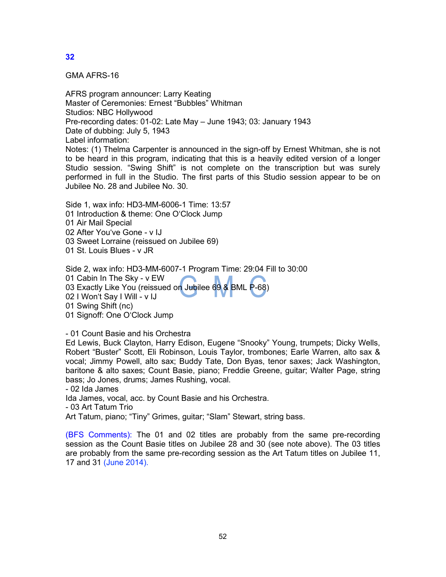GMA AFRS-16

AFRS program announcer: Larry Keating Master of Ceremonies: Ernest "Bubbles" Whitman Studios: NBC Hollywood Pre-recording dates: 01-02: Late May – June 1943; 03: January 1943 Date of dubbing: July 5, 1943 Label information: Notes: (1) Thelma Carpenter is announced in the sign-off by Ernest Whitman, she is not to be heard in this program, indicating that this is a heavily edited version of a longer Studio session. "Swing Shift" is not complete on the transcription but was surely performed in full in the Studio. The first parts of this Studio session appear to be on Jubilee No. 28 and Jubilee No. 30.

Side 1, wax info: HD3-MM-6006-1 Time: 13:57 01 Introduction & theme: One O'Clock Jump 01 Air Mail Special 02 After You've Gone - v IJ 03 Sweet Lorraine (reissued on Jubilee 69) 01 St. Louis Blues - v JR

Side 2, wax info: HD3-MM-6007-1 Program Time: 29:04 Fill to 30:00 01 Cabin In The Sky - v EW 03 Exactly Like You (reissued on Jubilee 69 & BML P-68) 02 I Won't Say I Will - v IJ 01 Swing Shift (nc) 01 Signoff: One O'Clock Jump

- 01 Count Basie and his Orchestra

Ed Lewis, Buck Clayton, Harry Edison, Eugene "Snooky" Young, trumpets; Dicky Wells, Robert "Buster" Scott, Eli Robinson, Louis Taylor, trombones; Earle Warren, alto sax & vocal; Jimmy Powell, alto sax; Buddy Tate, Don Byas, tenor saxes; Jack Washington, baritone & alto saxes; Count Basie, piano; Freddie Greene, guitar; Walter Page, string bass; Jo Jones, drums; James Rushing, vocal.

- 02 Ida James

Ida James, vocal, acc. by Count Basie and his Orchestra.

- 03 Art Tatum Trio

Art Tatum, piano; "Tiny" Grimes, guitar; "Slam" Stewart, string bass.

(BFS Comments): The 01 and 02 titles are probably from the same pre-recording session as the Count Basie titles on Jubilee 28 and 30 (see note above). The 03 titles are probably from the same pre-recording session as the Art Tatum titles on Jubilee 11, 17 and 31 (June 2014).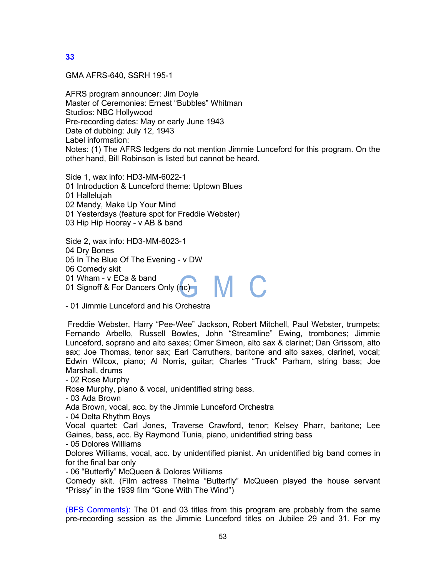GMA AFRS-640, SSRH 195-1

AFRS program announcer: Jim Doyle Master of Ceremonies: Ernest "Bubbles" Whitman Studios: NBC Hollywood Pre-recording dates: May or early June 1943 Date of dubbing: July 12, 1943 Label information: Notes: (1) The AFRS ledgers do not mention Jimmie Lunceford for this program. On the other hand, Bill Robinson is listed but cannot be heard.

Side 1, wax info: HD3-MM-6022-1 01 Introduction & Lunceford theme: Uptown Blues 01 Hallelujah 02 Mandy, Make Up Your Mind 01 Yesterdays (feature spot for Freddie Webster) 03 Hip Hip Hooray - v AB & band

Side 2, wax info: HD3-MM-6023-1 04 Dry Bones 05 In The Blue Of The Evening - v DW 06 Comedy skit 01 Wham - v ECa & band M C 01 Signoff & For Dancers Only (nc)

- 01 Jimmie Lunceford and his Orchestra

Freddie Webster, Harry "Pee-Wee" Jackson, Robert Mitchell, Paul Webster, trumpets; Fernando Arbello, Russell Bowles, John "Streamline" Ewing, trombones; Jimmie Lunceford, soprano and alto saxes; Omer Simeon, alto sax & clarinet; Dan Grissom, alto sax; Joe Thomas, tenor sax; Earl Carruthers, baritone and alto saxes, clarinet, vocal; Edwin Wilcox, piano; Al Norris, guitar; Charles "Truck" Parham, string bass; Joe Marshall, drums

- 02 Rose Murphy

Rose Murphy, piano & vocal, unidentified string bass.

- 03 Ada Brown

Ada Brown, vocal, acc. by the Jimmie Lunceford Orchestra

- 04 Delta Rhythm Boys

Vocal quartet: Carl Jones, Traverse Crawford, tenor; Kelsey Pharr, baritone; Lee Gaines, bass, acc. By Raymond Tunia, piano, unidentified string bass

- 05 Dolores Williams

Dolores Williams, vocal, acc. by unidentified pianist. An unidentified big band comes in for the final bar only

- 06 "Butterfly" McQueen & Dolores Williams

Comedy skit. (Film actress Thelma "Butterfly" McQueen played the house servant "Prissy" in the 1939 film "Gone With The Wind")

(BFS Comments): The 01 and 03 titles from this program are probably from the same pre-recording session as the Jimmie Lunceford titles on Jubilee 29 and 31. For my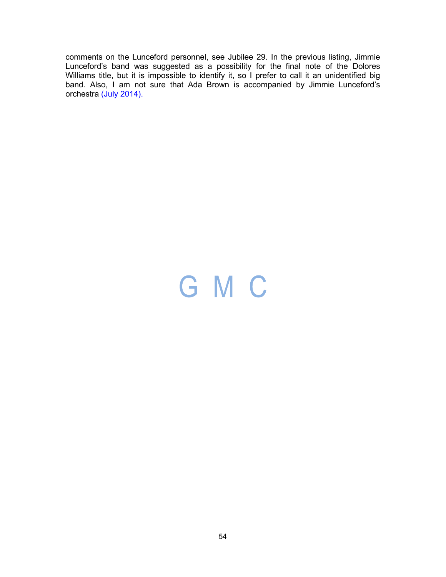comments on the Lunceford personnel, see Jubilee 29. In the previous listing, Jimmie Lunceford's band was suggested as a possibility for the final note of the Dolores Williams title, but it is impossible to identify it, so I prefer to call it an unidentified big band. Also, I am not sure that Ada Brown is accompanied by Jimmie Lunceford's orchestra (July 2014).

# GMC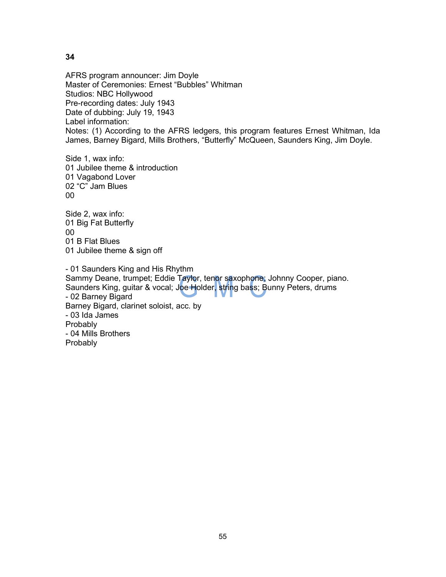AFRS program announcer: Jim Doyle Master of Ceremonies: Ernest "Bubbles" Whitman Studios: NBC Hollywood Pre-recording dates: July 1943 Date of dubbing: July 19, 1943 Label information: Notes: (1) According to the AFRS ledgers, this program features Ernest Whitman, Ida James, Barney Bigard, Mills Brothers, "Butterfly" McQueen, Saunders King, Jim Doyle.

Side 1, wax info: 01 Jubilee theme & introduction 01 Vagabond Lover 02 "C" Jam Blues 00

Side 2, wax info: 01 Big Fat Butterfly 00 01 B Flat Blues 01 Jubilee theme & sign off

- 01 Saunders King and His Rhythm Sammy Deane, trumpet; Eddie Taylor, tenor saxophone; Johnny Cooper, piano. Saunders King, guitar & vocal; Joe Holder, string bass; Bunny Peters, drums - 02 Barney Bigard Barney Bigard, clarinet soloist, acc. by - 03 Ida James Probably - 04 Mills Brothers Probably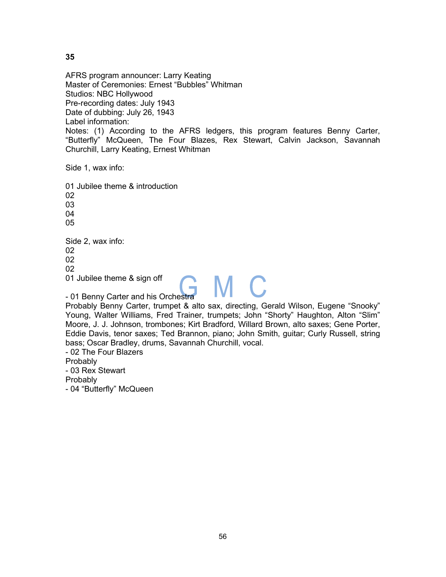AFRS program announcer: Larry Keating Master of Ceremonies: Ernest "Bubbles" Whitman Studios: NBC Hollywood Pre-recording dates: July 1943 Date of dubbing: July 26, 1943 Label information: Notes: (1) According to the AFRS ledgers, this program features Benny Carter, "Butterfly" McQueen, The Four Blazes, Rex Stewart, Calvin Jackson, Savannah Churchill, Larry Keating, Ernest Whitman

Side 1, wax info:

01 Jubilee theme & introduction 02 03 04 05 Side 2, wax info: 02 02 02 01 Jubilee theme & sign off

- 01 Benny Carter and his Orchestra Probably Benny Carter, trumpet & alto sax, directing, Gerald Wilson, Eugene "Snooky" Young, Walter Williams, Fred Trainer, trumpets; John "Shorty" Haughton, Alton "Slim" Moore, J. J. Johnson, trombones; Kirt Bradford, Willard Brown, alto saxes; Gene Porter, Eddie Davis, tenor saxes; Ted Brannon, piano; John Smith, guitar; Curly Russell, string bass; Oscar Bradley, drums, Savannah Churchill, vocal.

MC.

- 02 The Four Blazers Probably

- 03 Rex Stewart

Probably

- 04 "Butterfly" McQueen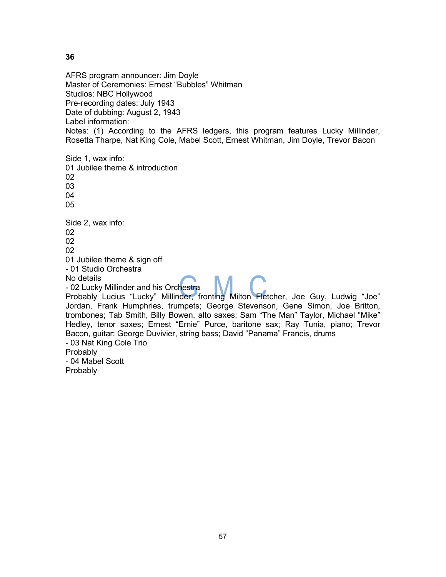AFRS program announcer: Jim Doyle Master of Ceremonies: Ernest "Bubbles" Whitman Studios: NBC Hollywood Pre-recording dates: July 1943 Date of dubbing: August 2, 1943 Label information: Notes: (1) According to the AFRS ledgers, this program features Lucky Millinder, Rosetta Tharpe, Nat King Cole, Mabel Scott, Ernest Whitman, Jim Doyle, Trevor Bacon Side 1, wax info:

01 Jubilee theme & introduction 02 03 04 05 Side 2, wax info: 02 02 02 01 Jubilee theme & sign off - 01 Studio Orchestra No details - 02 Lucky Millinder and his Orchestra Probably Lucius "Lucky" Millinder, fronting Milton Fletcher, Joe Guy, Ludwig "Joe" Jordan, Frank Humphries, trumpets; George Stevenson, Gene Simon, Joe Britton, trombones; Tab Smith, Billy Bowen, alto saxes; Sam "The Man" Taylor, Michael "Mike" Hedley, tenor saxes; Ernest "Ernie" Purce, baritone sax; Ray Tunia, piano; Trevor Bacon, guitar; George Duvivier, string bass; David "Panama" Francis, drums - 03 Nat King Cole Trio **Probably** - 04 Mabel Scott Probably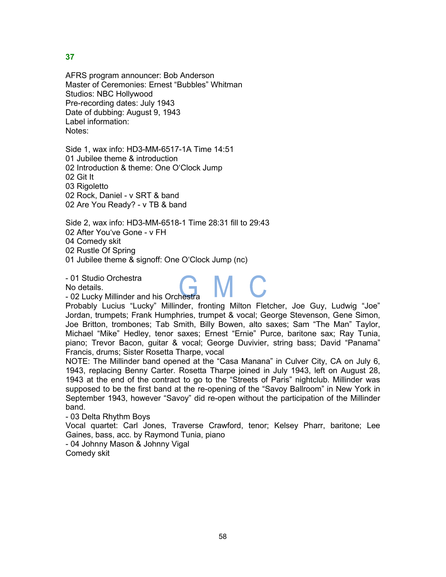AFRS program announcer: Bob Anderson Master of Ceremonies: Ernest "Bubbles" Whitman Studios: NBC Hollywood Pre-recording dates: July 1943 Date of dubbing: August 9, 1943 Label information: Notes:

Side 1, wax info: HD3-MM-6517-1A Time 14:51 01 Jubilee theme & introduction 02 Introduction & theme: One O'Clock Jump 02 Git It 03 Rigoletto 02 Rock, Daniel - v SRT & band 02 Are You Ready? - v TB & band

Side 2, wax info: HD3-MM-6518-1 Time 28:31 fill to 29:43 02 After You've Gone - v FH 04 Comedy skit 02 Rustle Of Spring

01 Jubilee theme & signoff: One O'Clock Jump (nc)

- 01 Studio Orchestra

No details.

- 02 Lucky Millinder and his Orchestra

Probably Lucius "Lucky" Millinder, fronting Milton Fletcher, Joe Guy, Ludwig "Joe" Jordan, trumpets; Frank Humphries, trumpet & vocal; George Stevenson, Gene Simon, Joe Britton, trombones; Tab Smith, Billy Bowen, alto saxes; Sam "The Man" Taylor, Michael "Mike" Hedley, tenor saxes; Ernest "Ernie" Purce, baritone sax; Ray Tunia, piano; Trevor Bacon, guitar & vocal; George Duvivier, string bass; David "Panama" Francis, drums; Sister Rosetta Tharpe, vocal

NOTE: The Millinder band opened at the "Casa Manana" in Culver City, CA on July 6, 1943, replacing Benny Carter. Rosetta Tharpe joined in July 1943, left on August 28, 1943 at the end of the contract to go to the "Streets of Paris" nightclub. Millinder was supposed to be the first band at the re-opening of the "Savoy Ballroom" in New York in September 1943, however "Savoy" did re-open without the participation of the Millinder band.

- 03 Delta Rhythm Boys

Vocal quartet: Carl Jones, Traverse Crawford, tenor; Kelsey Pharr, baritone; Lee Gaines, bass, acc. by Raymond Tunia, piano

- 04 Johnny Mason & Johnny Vigal Comedy skit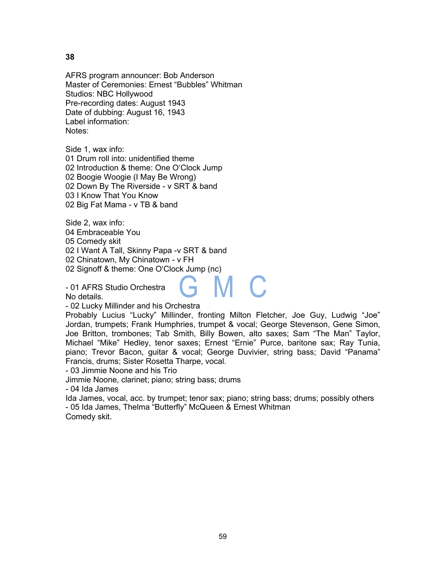AFRS program announcer: Bob Anderson Master of Ceremonies: Ernest "Bubbles" Whitman Studios: NBC Hollywood Pre-recording dates: August 1943 Date of dubbing: August 16, 1943 Label information: Notes:

Side 1, wax info:

01 Drum roll into: unidentified theme 02 Introduction & theme: One O'Clock Jump 02 Boogie Woogie (I May Be Wrong) 02 Down By The Riverside - v SRT & band 03 I Know That You Know 02 Big Fat Mama - v TB & band

Side 2, wax info: 04 Embraceable You

05 Comedy skit

02 I Want A Tall, Skinny Papa -v SRT & band

02 Chinatown, My Chinatown - v FH

02 Signoff & theme: One O'Clock Jump (nc)

- 01 AFRS Studio Orchestra

No details.

- 02 Lucky Millinder and his Orchestra

Probably Lucius "Lucky" Millinder, fronting Milton Fletcher, Joe Guy, Ludwig "Joe" Jordan, trumpets; Frank Humphries, trumpet & vocal; George Stevenson, Gene Simon, Joe Britton, trombones; Tab Smith, Billy Bowen, alto saxes; Sam "The Man" Taylor, Michael "Mike" Hedley, tenor saxes; Ernest "Ernie" Purce, baritone sax; Ray Tunia, piano; Trevor Bacon, guitar & vocal; George Duvivier, string bass; David "Panama" Francis, drums; Sister Rosetta Tharpe, vocal.

- 03 Jimmie Noone and his Trio

Jimmie Noone, clarinet; piano; string bass; drums

- 04 Ida James

Ida James, vocal, acc. by trumpet; tenor sax; piano; string bass; drums; possibly others - 05 Ida James, Thelma "Butterfly" McQueen & Ernest Whitman Comedy skit.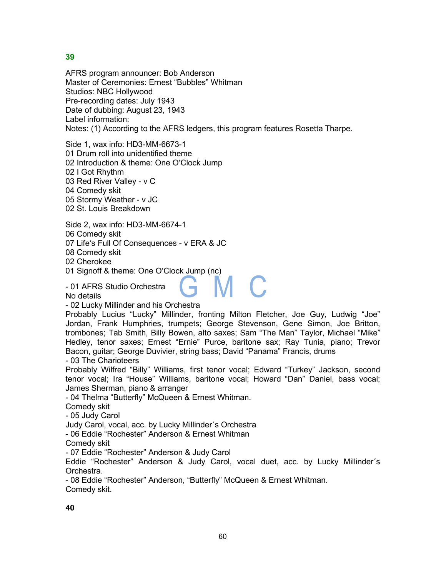AFRS program announcer: Bob Anderson Master of Ceremonies: Ernest "Bubbles" Whitman Studios: NBC Hollywood Pre-recording dates: July 1943 Date of dubbing: August 23, 1943 Label information: Notes: (1) According to the AFRS ledgers, this program features Rosetta Tharpe.

Side 1, wax info: HD3-MM-6673-1

01 Drum roll into unidentified theme

02 Introduction & theme: One O'Clock Jump

02 I Got Rhythm

03 Red River Valley - v C

04 Comedy skit

05 Stormy Weather - v JC

02 St. Louis Breakdown

Side 2, wax info: HD3-MM-6674-1

06 Comedy skit

07 Life's Full Of Consequences - v ERA & JC

08 Comedy skit

02 Cherokee

01 Signoff & theme: One O'Clock Jump (nc)

- 01 AFRS Studio Orchestra

No details

- 02 Lucky Millinder and his Orchestra

Probably Lucius "Lucky" Millinder, fronting Milton Fletcher, Joe Guy, Ludwig "Joe" Jordan, Frank Humphries, trumpets; George Stevenson, Gene Simon, Joe Britton, trombones; Tab Smith, Billy Bowen, alto saxes; Sam "The Man" Taylor, Michael "Mike" Hedley, tenor saxes; Ernest "Ernie" Purce, baritone sax; Ray Tunia, piano; Trevor Bacon, guitar; George Duvivier, string bass; David "Panama" Francis, drums - 03 The Charioteers

Probably Wilfred "Billy" Williams, first tenor vocal; Edward "Turkey" Jackson, second tenor vocal; Ira "House" Williams, baritone vocal; Howard "Dan" Daniel, bass vocal; James Sherman, piano & arranger

- 04 Thelma "Butterfly" McQueen & Ernest Whitman.

Comedy skit

- 05 Judy Carol

Judy Carol, vocal, acc. by Lucky Millinder´s Orchestra

- 06 Eddie "Rochester" Anderson & Ernest Whitman

Comedy skit

- 07 Eddie "Rochester" Anderson & Judy Carol

Eddie "Rochester" Anderson & Judy Carol, vocal duet, acc. by Lucky Millinder´s Orchestra.

- 08 Eddie "Rochester" Anderson, "Butterfly" McQueen & Ernest Whitman. Comedy skit.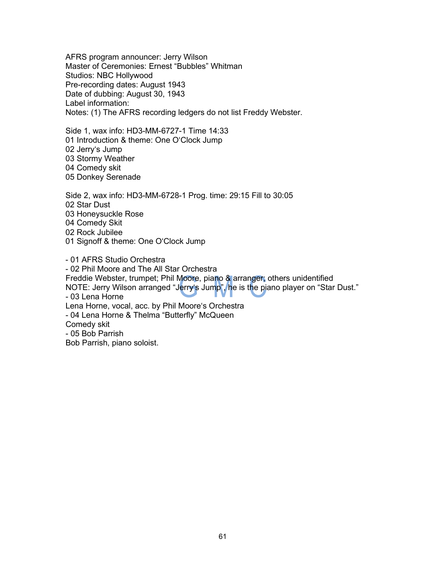AFRS program announcer: Jerry Wilson Master of Ceremonies: Ernest "Bubbles" Whitman Studios: NBC Hollywood Pre-recording dates: August 1943 Date of dubbing: August 30, 1943 Label information: Notes: (1) The AFRS recording ledgers do not list Freddy Webster.

Side 1, wax info: HD3-MM-6727-1 Time 14:33 01 Introduction & theme: One O'Clock Jump 02 Jerry's Jump 03 Stormy Weather 04 Comedy skit 05 Donkey Serenade

Side 2, wax info: HD3-MM-6728-1 Prog. time: 29:15 Fill to 30:05 02 Star Dust 03 Honeysuckle Rose 04 Comedy Skit 02 Rock Jubilee 01 Signoff & theme: One O'Clock Jump

- 01 AFRS Studio Orchestra - 02 Phil Moore and The All Star Orchestra Freddie Webster, trumpet; Phil Moore, piano & arranger; others unidentified NOTE: Jerry Wilson arranged "Jerry's Jump", he is the piano player on "Star Dust." - 03 Lena Horne Lena Horne, vocal, acc. by Phil Moore's Orchestra - 04 Lena Horne & Thelma "Butterfly" McQueen Comedy skit - 05 Bob Parrish Bob Parrish, piano soloist.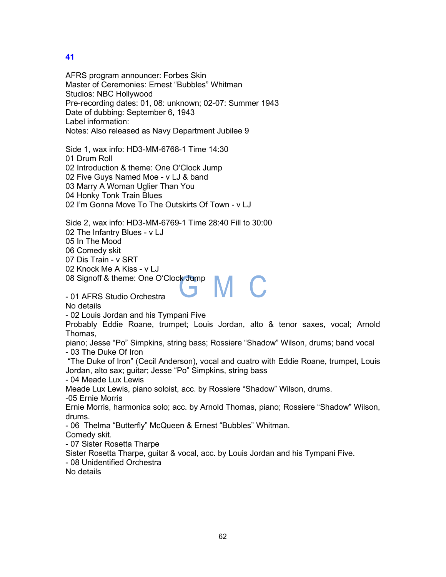AFRS program announcer: Forbes Skin Master of Ceremonies: Ernest "Bubbles" Whitman Studios: NBC Hollywood Pre-recording dates: 01, 08: unknown; 02-07: Summer 1943 Date of dubbing: September 6, 1943 Label information: Notes: Also released as Navy Department Jubilee 9

Side 1, wax info: HD3-MM-6768-1 Time 14:30 01 Drum Roll 02 Introduction & theme: One O'Clock Jump 02 Five Guys Named Moe - v LJ & band 03 Marry A Woman Uglier Than You 04 Honky Tonk Train Blues 02 I'm Gonna Move To The Outskirts Of Town - v LJ

Side 2, wax info: HD3-MM-6769-1 Time 28:40 Fill to 30:00 02 The Infantry Blues - v LJ 05 In The Mood 06 Comedy skit 07 Dis Train - v SRT

02 Knock Me A Kiss - v LJ

08 Signoff & theme: One O'Clock Jump

- 01 AFRS Studio Orchestra

No details

- 02 Louis Jordan and his Tympani Five

Probably Eddie Roane, trumpet; Louis Jordan, alto & tenor saxes, vocal; Arnold Thomas,

M C

piano; Jesse "Po" Simpkins, string bass; Rossiere "Shadow" Wilson, drums; band vocal - 03 The Duke Of Iron

"The Duke of Iron" (Cecil Anderson), vocal and cuatro with Eddie Roane, trumpet, Louis Jordan, alto sax; guitar; Jesse "Po" Simpkins, string bass

- 04 Meade Lux Lewis

Meade Lux Lewis, piano soloist, acc. by Rossiere "Shadow" Wilson, drums. -05 Ernie Morris

Ernie Morris, harmonica solo; acc. by Arnold Thomas, piano; Rossiere "Shadow" Wilson, drums.

- 06 Thelma "Butterfly" McQueen & Ernest "Bubbles" Whitman.

Comedy skit.

- 07 Sister Rosetta Tharpe

Sister Rosetta Tharpe, guitar & vocal, acc. by Louis Jordan and his Tympani Five.

- 08 Unidentified Orchestra

No details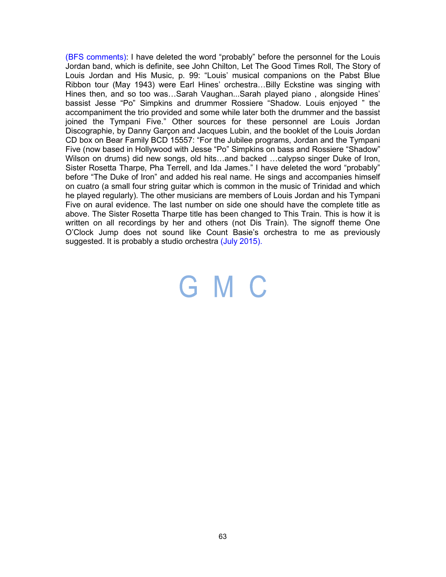(BFS comments): I have deleted the word "probably" before the personnel for the Louis Jordan band, which is definite, see John Chilton, Let The Good Times Roll, The Story of Louis Jordan and His Music, p. 99: "Louis' musical companions on the Pabst Blue Ribbon tour (May 1943) were Earl Hines' orchestra…Billy Eckstine was singing with Hines then, and so too was…Sarah Vaughan...Sarah played piano , alongside Hines' bassist Jesse "Po" Simpkins and drummer Rossiere "Shadow. Louis enjoyed " the accompaniment the trio provided and some while later both the drummer and the bassist joined the Tympani Five." Other sources for these personnel are Louis Jordan Discographie, by Danny Garçon and Jacques Lubin, and the booklet of the Louis Jordan CD box on Bear Family BCD 15557: "For the Jubilee programs, Jordan and the Tympani Five (now based in Hollywood with Jesse "Po" Simpkins on bass and Rossiere "Shadow" Wilson on drums) did new songs, old hits…and backed …calypso singer Duke of Iron, Sister Rosetta Tharpe, Pha Terrell, and Ida James." I have deleted the word "probably" before "The Duke of Iron" and added his real name. He sings and accompanies himself on cuatro (a small four string guitar which is common in the music of Trinidad and which he played regularly). The other musicians are members of Louis Jordan and his Tympani Five on aural evidence. The last number on side one should have the complete title as above. The Sister Rosetta Tharpe title has been changed to This Train. This is how it is written on all recordings by her and others (not Dis Train). The signoff theme One O'Clock Jump does not sound like Count Basie's orchestra to me as previously suggested. It is probably a studio orchestra (July 2015).

### GMC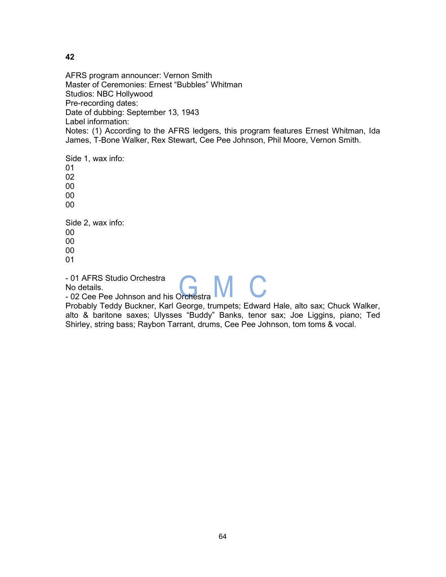AFRS program announcer: Vernon Smith Master of Ceremonies: Ernest "Bubbles" Whitman Studios: NBC Hollywood Pre-recording dates: Date of dubbing: September 13, 1943 Label information: Notes: (1) According to the AFRS ledgers, this program features Ernest Whitman, Ida James, T-Bone Walker, Rex Stewart, Cee Pee Johnson, Phil Moore, Vernon Smith.

Side 1, wax info: 01 02 00 00 00 Side 2, wax info: 00 00 00 01 - 01 AFRS Studio Orchestra

No details.

- 02 Cee Pee Johnson and his Orchestra

Probably Teddy Buckner, Karl George, trumpets; Edward Hale, alto sax; Chuck Walker, alto & baritone saxes; Ulysses "Buddy" Banks, tenor sax; Joe Liggins, piano; Ted Shirley, string bass; Raybon Tarrant, drums, Cee Pee Johnson, tom toms & vocal.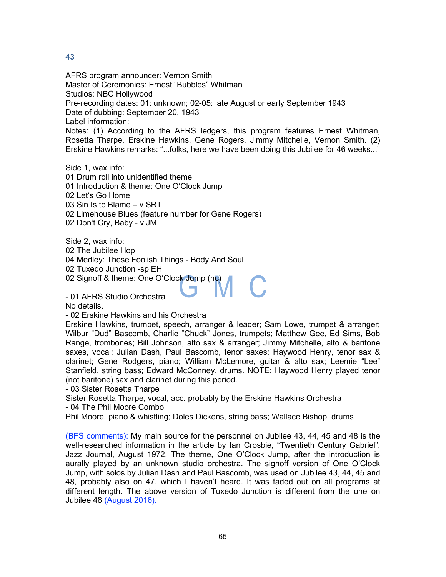AFRS program announcer: Vernon Smith Master of Ceremonies: Ernest "Bubbles" Whitman Studios: NBC Hollywood Pre-recording dates: 01: unknown; 02-05: late August or early September 1943 Date of dubbing: September 20, 1943 Label information: Notes: (1) According to the AFRS ledgers, this program features Ernest Whitman, Rosetta Tharpe, Erskine Hawkins, Gene Rogers, Jimmy Mitchelle, Vernon Smith. (2) Erskine Hawkins remarks: "...folks, here we have been doing this Jubilee for 46 weeks..."

Side 1, wax info: 01 Drum roll into unidentified theme 01 Introduction & theme: One O'Clock Jump 02 Let's Go Home 03 Sin Is to Blame – v SRT 02 Limehouse Blues (feature number for Gene Rogers) 02 Don't Cry, Baby - v JM

Side 2, wax info: 02 The Jubilee Hop 04 Medley: These Foolish Things - Body And Soul 02 Tuxedo Junction -sp EH 02 Signoff & theme: One O'Clock Jump (nc)

- 01 AFRS Studio Orchestra

No details.

- 02 Erskine Hawkins and his Orchestra

Erskine Hawkins, trumpet, speech, arranger & leader; Sam Lowe, trumpet & arranger; Wilbur "Dud" Bascomb, Charlie "Chuck" Jones, trumpets; Matthew Gee, Ed Sims, Bob Range, trombones; Bill Johnson, alto sax & arranger; Jimmy Mitchelle, alto & baritone saxes, vocal; Julian Dash, Paul Bascomb, tenor saxes; Haywood Henry, tenor sax & clarinet; Gene Rodgers, piano; William McLemore, guitar & alto sax; Leemie "Lee" Stanfield, string bass; Edward McConney, drums. NOTE: Haywood Henry played tenor (not baritone) sax and clarinet during this period.

- 03 Sister Rosetta Tharpe

Sister Rosetta Tharpe, vocal, acc. probably by the Erskine Hawkins Orchestra - 04 The Phil Moore Combo

Phil Moore, piano & whistling; Doles Dickens, string bass; Wallace Bishop, drums

(BFS comments): My main source for the personnel on Jubilee 43, 44, 45 and 48 is the well-researched information in the article by Ian Crosbie, "Twentieth Century Gabriel", Jazz Journal, August 1972. The theme, One O'Clock Jump, after the introduction is aurally played by an unknown studio orchestra. The signoff version of One O'Clock Jump, with solos by Julian Dash and Paul Bascomb, was used on Jubilee 43, 44, 45 and 48, probably also on 47, which I haven't heard. It was faded out on all programs at different length. The above version of Tuxedo Junction is different from the one on Jubilee 48 (August 2016).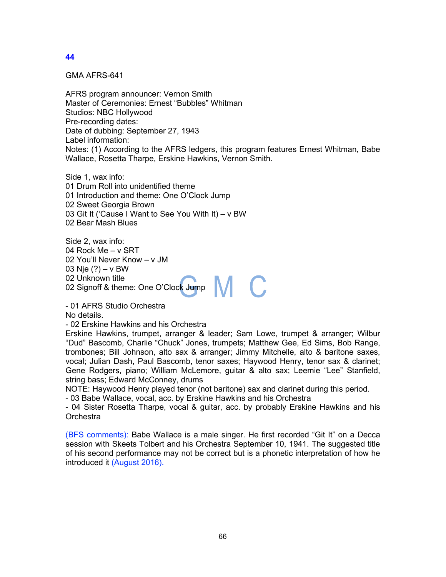GMA AFRS-641

AFRS program announcer: Vernon Smith Master of Ceremonies: Ernest "Bubbles" Whitman Studios: NBC Hollywood Pre-recording dates: Date of dubbing: September 27, 1943 Label information: Notes: (1) According to the AFRS ledgers, this program features Ernest Whitman, Babe Wallace, Rosetta Tharpe, Erskine Hawkins, Vernon Smith.

Side 1, wax info: 01 Drum Roll into unidentified theme 01 Introduction and theme: One O'Clock Jump 02 Sweet Georgia Brown 03 Git It ('Cause I Want to See You With It) – v BW 02 Bear Mash Blues

Side 2, wax info: 04 Rock Me – v SRT 02 You'll Never Know – v JM 03 Nje (?) – v BW 02 Unknown title 02 Onknown title<br>02 Signoff & theme: One O'Clock Jump

- 01 AFRS Studio Orchestra No details.

- 02 Erskine Hawkins and his Orchestra

Erskine Hawkins, trumpet, arranger & leader; Sam Lowe, trumpet & arranger; Wilbur "Dud" Bascomb, Charlie "Chuck" Jones, trumpets; Matthew Gee, Ed Sims, Bob Range, trombones; Bill Johnson, alto sax & arranger; Jimmy Mitchelle, alto & baritone saxes, vocal; Julian Dash, Paul Bascomb, tenor saxes; Haywood Henry, tenor sax & clarinet; Gene Rodgers, piano; William McLemore, guitar & alto sax; Leemie "Lee" Stanfield, string bass; Edward McConney, drums

NOTE: Haywood Henry played tenor (not baritone) sax and clarinet during this period.

- 03 Babe Wallace, vocal, acc. by Erskine Hawkins and his Orchestra

- 04 Sister Rosetta Tharpe, vocal & guitar, acc. by probably Erskine Hawkins and his **Orchestra** 

(BFS comments): Babe Wallace is a male singer. He first recorded "Git It" on a Decca session with Skeets Tolbert and his Orchestra September 10, 1941. The suggested title of his second performance may not be correct but is a phonetic interpretation of how he introduced it (August 2016).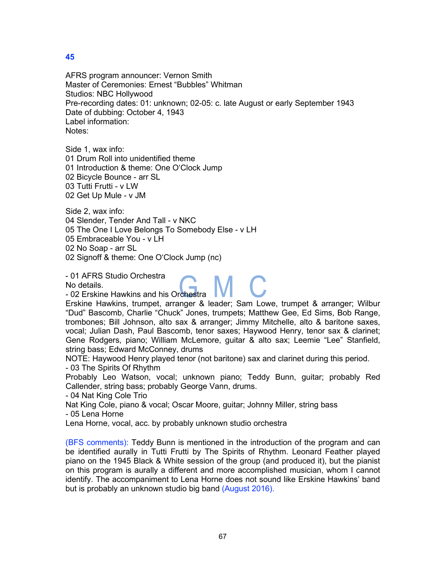AFRS program announcer: Vernon Smith Master of Ceremonies: Ernest "Bubbles" Whitman Studios: NBC Hollywood Pre-recording dates: 01: unknown; 02-05: c. late August or early September 1943 Date of dubbing: October 4, 1943 Label information: Notes:

Side 1, wax info: 01 Drum Roll into unidentified theme 01 Introduction & theme: One O'Clock Jump 02 Bicycle Bounce - arr SL 03 Tutti Frutti - v LW 02 Get Up Mule - v JM

Side 2, wax info: 04 Slender, Tender And Tall - v NKC 05 The One I Love Belongs To Somebody Else - v LH 05 Embraceable You - v LH 02 No Soap - arr SL 02 Signoff & theme: One O'Clock Jump (nc)

- 01 AFRS Studio Orchestra

No details.

- 02 Erskine Hawkins and his Orchestra

Erskine Hawkins, trumpet, arranger & leader; Sam Lowe, trumpet & arranger; Wilbur "Dud" Bascomb, Charlie "Chuck" Jones, trumpets; Matthew Gee, Ed Sims, Bob Range, trombones; Bill Johnson, alto sax & arranger; Jimmy Mitchelle, alto & baritone saxes, vocal; Julian Dash, Paul Bascomb, tenor saxes; Haywood Henry, tenor sax & clarinet; Gene Rodgers, piano; William McLemore, guitar & alto sax; Leemie "Lee" Stanfield, string bass; Edward McConney, drums

NOTE: Haywood Henry played tenor (not baritone) sax and clarinet during this period. - 03 The Spirits Of Rhythm

Probably Leo Watson, vocal; unknown piano; Teddy Bunn, guitar; probably Red Callender, string bass; probably George Vann, drums.

- 04 Nat King Cole Trio

Nat King Cole, piano & vocal; Oscar Moore, guitar; Johnny Miller, string bass

- 05 Lena Horne

Lena Horne, vocal, acc. by probably unknown studio orchestra

(BFS comments): Teddy Bunn is mentioned in the introduction of the program and can be identified aurally in Tutti Frutti by The Spirits of Rhythm. Leonard Feather played piano on the 1945 Black & White session of the group (and produced it), but the pianist on this program is aurally a different and more accomplished musician, whom I cannot identify. The accompaniment to Lena Horne does not sound like Erskine Hawkins' band but is probably an unknown studio big band (August 2016).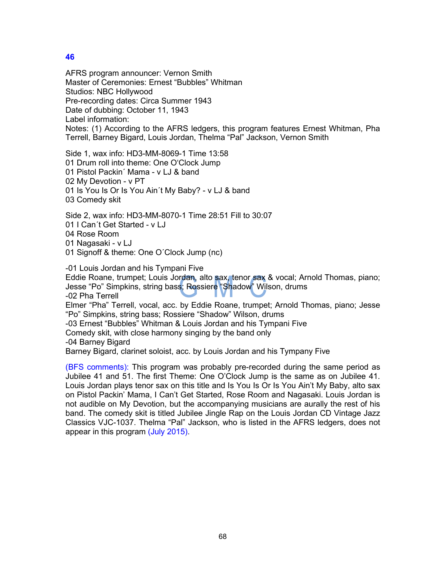AFRS program announcer: Vernon Smith Master of Ceremonies: Ernest "Bubbles" Whitman Studios: NBC Hollywood Pre-recording dates: Circa Summer 1943 Date of dubbing: October 11, 1943 Label information: Notes: (1) According to the AFRS ledgers, this program features Ernest Whitman, Pha Terrell, Barney Bigard, Louis Jordan, Thelma "Pal" Jackson, Vernon Smith

Side 1, wax info: HD3-MM-8069-1 Time 13:58 01 Drum roll into theme: One O'Clock Jump 01 Pistol Packin´ Mama - v LJ & band 02 My Devotion - v PT 01 Is You Is Or Is You Ain´t My Baby? - v LJ & band 03 Comedy skit

Side 2, wax info: HD3-MM-8070-1 Time 28:51 Fill to 30:07 01 I Can´t Get Started - v LJ 04 Rose Room 01 Nagasaki - v LJ 01 Signoff & theme: One O´Clock Jump (nc)

-01 Louis Jordan and his Tympani Five

Eddie Roane, trumpet; Louis Jordan, alto sax, tenor sax & vocal; Arnold Thomas, piano; Jesse "Po" Simpkins, string bass; Rossiere "Shadow" Wilson, drums

-02 Pha Terrell

Elmer "Pha" Terrell, vocal, acc. by Eddie Roane, trumpet; Arnold Thomas, piano; Jesse "Po" Simpkins, string bass; Rossiere "Shadow" Wilson, drums

-03 Ernest "Bubbles" Whitman & Louis Jordan and his Tympani Five

Comedy skit, with close harmony singing by the band only

-04 Barney Bigard

Barney Bigard, clarinet soloist, acc. by Louis Jordan and his Tympany Five

(BFS comments): This program was probably pre-recorded during the same period as Jubilee 41 and 51. The first Theme: One O'Clock Jump is the same as on Jubilee 41. Louis Jordan plays tenor sax on this title and Is You Is Or Is You Ain't My Baby, alto sax on Pistol Packin' Mama, I Can't Get Started, Rose Room and Nagasaki. Louis Jordan is not audible on My Devotion, but the accompanying musicians are aurally the rest of his band. The comedy skit is titled Jubilee Jingle Rap on the Louis Jordan CD Vintage Jazz Classics VJC-1037. Thelma "Pal" Jackson, who is listed in the AFRS ledgers, does not appear in this program (July 2015).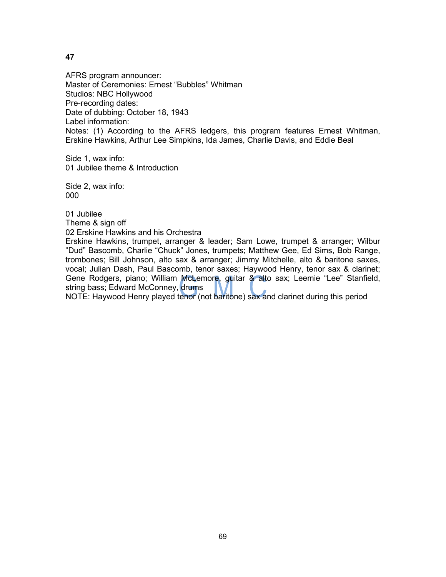AFRS program announcer: Master of Ceremonies: Ernest "Bubbles" Whitman Studios: NBC Hollywood Pre-recording dates: Date of dubbing: October 18, 1943 Label information: Notes: (1) According to the AFRS ledgers, this program features Ernest Whitman, Erskine Hawkins, Arthur Lee Simpkins, Ida James, Charlie Davis, and Eddie Beal

Side 1, wax info: 01 Jubilee theme & Introduction

Side 2, wax info: 000

01 Jubilee Theme & sign off

02 Erskine Hawkins and his Orchestra

Erskine Hawkins, trumpet, arranger & leader; Sam Lowe, trumpet & arranger; Wilbur "Dud" Bascomb, Charlie "Chuck" Jones, trumpets; Matthew Gee, Ed Sims, Bob Range, trombones; Bill Johnson, alto sax & arranger; Jimmy Mitchelle, alto & baritone saxes, vocal; Julian Dash, Paul Bascomb, tenor saxes; Haywood Henry, tenor sax & clarinet; Gene Rodgers, piano; William McLemore, guitar & alto sax; Leemie "Lee" Stanfield, string bass; Edward McConney, drums

NOTE: Haywood Henry played tenor (not baritone) sax and clarinet during this period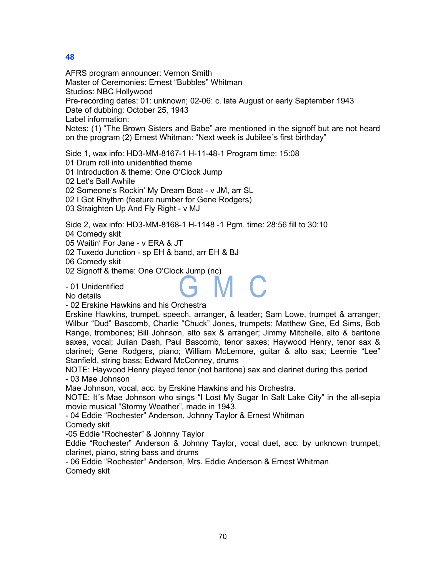AFRS program announcer: Vernon Smith Master of Ceremonies: Ernest "Bubbles" Whitman Studios: NBC Hollywood Pre-recording dates: 01: unknown; 02-06: c. late August or early September 1943 Date of dubbing: October 25, 1943 Label information: Notes: (1) "The Brown Sisters and Babe" are mentioned in the signoff but are not heard on the program (2) Ernest Whitman: "Next week is Jubilee´s first birthday"

Side 1, wax info: HD3-MM-8167-1 H-11-48-1 Program time: 15:08

01 Drum roll into unidentified theme

01 Introduction & theme: One O'Clock Jump

02 Let's Ball Awhile

02 Someone's Rockin' My Dream Boat - v JM, arr SL

02 I Got Rhythm (feature number for Gene Rodgers)

03 Straighten Up And Fly Right - v MJ

Side 2, wax info: HD3-MM-8168-1 H-1148 -1 Pgm. time: 28:56 fill to 30:10 04 Comedy skit

05 Waitin' For Jane - v ERA & JT

02 Tuxedo Junction - sp EH & band, arr EH & BJ

06 Comedy skit

02 Signoff & theme: One O'Clock Jump (nc)

- 01 Unidentified

No details

- 02 Erskine Hawkins and his Orchestra

Erskine Hawkins, trumpet, speech, arranger, & leader; Sam Lowe, trumpet & arranger; Wilbur "Dud" Bascomb, Charlie "Chuck" Jones, trumpets; Matthew Gee, Ed Sims, Bob Range, trombones; Bill Johnson, alto sax & arranger; Jimmy Mitchelle, alto & baritone saxes, vocal; Julian Dash, Paul Bascomb, tenor saxes; Haywood Henry, tenor sax & clarinet; Gene Rodgers, piano; William McLemore, guitar & alto sax; Leemie "Lee" Stanfield, string bass; Edward McConney, drums

NOTE: Haywood Henry played tenor (not baritone) sax and clarinet during this period - 03 Mae Johnson

Mae Johnson, vocal, acc. by Erskine Hawkins and his Orchestra.

NOTE: It´s Mae Johnson who sings "I Lost My Sugar In Salt Lake City" in the all-sepia movie musical "Stormy Weather", made in 1943.

- 04 Eddie "Rochester" Anderson, Johnny Taylor & Ernest Whitman Comedy skit

-05 Eddie "Rochester" & Johnny Taylor

Eddie "Rochester" Anderson & Johnny Taylor, vocal duet, acc. by unknown trumpet; clarinet, piano, string bass and drums

- 06 Eddie "Rochester" Anderson, Mrs. Eddie Anderson & Ernest Whitman Comedy skit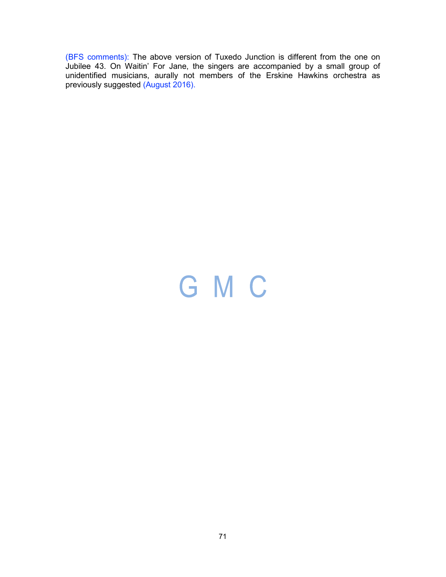(BFS comments): The above version of Tuxedo Junction is different from the one on Jubilee 43. On Waitin' For Jane, the singers are accompanied by a small group of unidentified musicians, aurally not members of the Erskine Hawkins orchestra as previously suggested (August 2016).

# GMC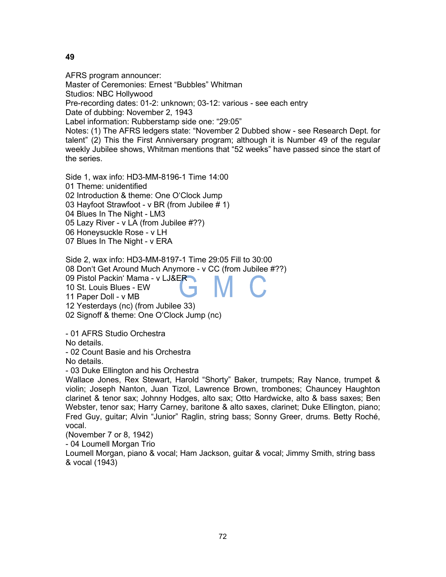AFRS program announcer:

Master of Ceremonies: Ernest "Bubbles" Whitman

Studios: NBC Hollywood

Pre-recording dates: 01-2: unknown; 03-12: various - see each entry

Date of dubbing: November 2, 1943

Label information: Rubberstamp side one: "29:05"

Notes: (1) The AFRS ledgers state: "November 2 Dubbed show - see Research Dept. for talent" (2) This the First Anniversary program; although it is Number 49 of the regular weekly Jubilee shows, Whitman mentions that "52 weeks" have passed since the start of the series.

Side 1, wax info: HD3-MM-8196-1 Time 14:00 01 Theme: unidentified 02 Introduction & theme: One O'Clock Jump 03 Hayfoot Strawfoot - v BR (from Jubilee # 1) 04 Blues In The Night - LM3 05 Lazy River - v LA (from Jubilee #??) 06 Honeysuckle Rose - v LH

07 Blues In The Night - v ERA

Side 2, wax info: HD3-MM-8197-1 Time 29:05 Fill to 30:00 08 Don't Get Around Much Anymore - v CC (from Jubilee #??) 09 Pistol Packin' Mama - v LJ&ER 10 St. Louis Blues - EW 11 Paper Doll - v MB 12 Yesterdays (nc) (from Jubilee 33)

02 Signoff & theme: One O'Clock Jump (nc)

- 01 AFRS Studio Orchestra

No details.

- 02 Count Basie and his Orchestra

No details.

- 03 Duke Ellington and his Orchestra

Wallace Jones, Rex Stewart, Harold "Shorty" Baker, trumpets; Ray Nance, trumpet & violin; Joseph Nanton, Juan Tizol, Lawrence Brown, trombones; Chauncey Haughton clarinet & tenor sax; Johnny Hodges, alto sax; Otto Hardwicke, alto & bass saxes; Ben Webster, tenor sax; Harry Carney, baritone & alto saxes, clarinet; Duke Ellington, piano; Fred Guy, guitar; Alvin "Junior" Raglin, string bass; Sonny Greer, drums. Betty Roché, vocal.

(November 7 or 8, 1942)

- 04 Loumell Morgan Trio

Loumell Morgan, piano & vocal; Ham Jackson, guitar & vocal; Jimmy Smith, string bass & vocal (1943)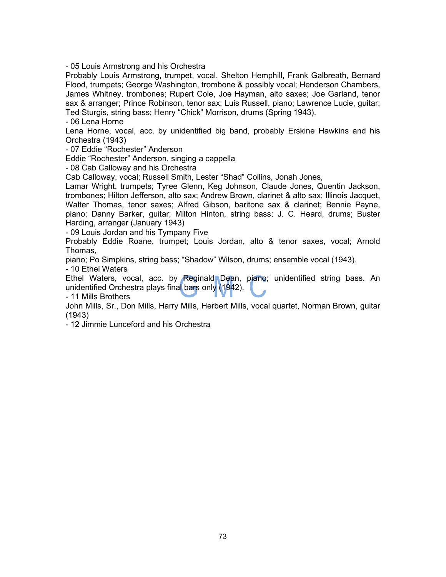- 05 Louis Armstrong and his Orchestra

Probably Louis Armstrong, trumpet, vocal, Shelton Hemphill, Frank Galbreath, Bernard Flood, trumpets; George Washington, trombone & possibly vocal; Henderson Chambers, James Whitney, trombones; Rupert Cole, Joe Hayman, alto saxes; Joe Garland, tenor sax & arranger; Prince Robinson, tenor sax; Luis Russell, piano; Lawrence Lucie, guitar; Ted Sturgis, string bass; Henry "Chick" Morrison, drums (Spring 1943).

- 06 Lena Horne

Lena Horne, vocal, acc. by unidentified big band, probably Erskine Hawkins and his Orchestra (1943)

- 07 Eddie "Rochester" Anderson

Eddie "Rochester" Anderson, singing a cappella

- 08 Cab Calloway and his Orchestra

Cab Calloway, vocal; Russell Smith, Lester "Shad" Collins, Jonah Jones,

Lamar Wright, trumpets; Tyree Glenn, Keg Johnson, Claude Jones, Quentin Jackson, trombones; Hilton Jefferson, alto sax; Andrew Brown, clarinet & alto sax; Illinois Jacquet, Walter Thomas, tenor saxes; Alfred Gibson, baritone sax & clarinet; Bennie Payne, piano; Danny Barker, guitar; Milton Hinton, string bass; J. C. Heard, drums; Buster Harding, arranger (January 1943)

- 09 Louis Jordan and his Tympany Five

Probably Eddie Roane, trumpet; Louis Jordan, alto & tenor saxes, vocal; Arnold Thomas,

piano; Po Simpkins, string bass; "Shadow" Wilson, drums; ensemble vocal (1943).

- 10 Ethel Waters

Ethel Waters, vocal, acc. by Reginald Dean, piano; unidentified string bass. An unidentified Orchestra plays final bars only (1942).

- 11 Mills Brothers

John Mills, Sr., Don Mills, Harry Mills, Herbert Mills, vocal quartet, Norman Brown, guitar (1943)

- 12 Jimmie Lunceford and his Orchestra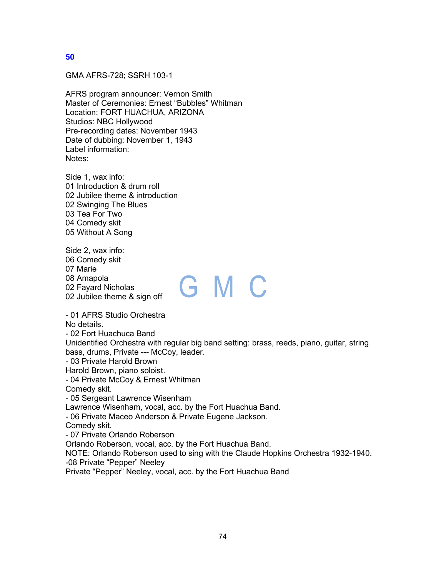GMA AFRS-728; SSRH 103-1

AFRS program announcer: Vernon Smith Master of Ceremonies: Ernest "Bubbles" Whitman Location: FORT HUACHUA, ARIZONA Studios: NBC Hollywood Pre-recording dates: November 1943 Date of dubbing: November 1, 1943 Label information: Notes:

Side 1, wax info: 01 Introduction & drum roll 02 Jubilee theme & introduction 02 Swinging The Blues 03 Tea For Two 04 Comedy skit 05 Without A Song

Side 2, wax info: 06 Comedy skit 07 Marie 08 Amapola 02 Fayard Nicholas 02 Jubilee theme & sign off

# GMC

- 01 AFRS Studio Orchestra No details. - 02 Fort Huachuca Band Unidentified Orchestra with regular big band setting: brass, reeds, piano, guitar, string bass, drums, Private --- McCoy, leader. - 03 Private Harold Brown Harold Brown, piano soloist. - 04 Private McCoy & Ernest Whitman Comedy skit. - 05 Sergeant Lawrence Wisenham Lawrence Wisenham, vocal, acc. by the Fort Huachua Band. - 06 Private Maceo Anderson & Private Eugene Jackson. Comedy skit. - 07 Private Orlando Roberson Orlando Roberson, vocal, acc. by the Fort Huachua Band. NOTE: Orlando Roberson used to sing with the Claude Hopkins Orchestra 1932-1940. -08 Private "Pepper" Neeley Private "Pepper" Neeley, vocal, acc. by the Fort Huachua Band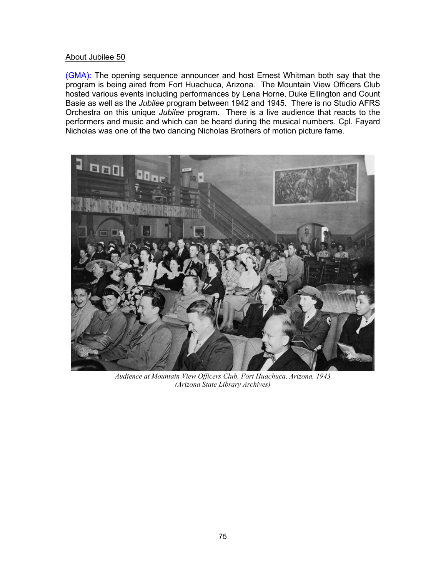#### About Jubilee 50

(GMA): The opening sequence announcer and host Ernest Whitman both say that the program is being aired from Fort Huachuca, Arizona. The Mountain View Officers Club hosted various events including performances by Lena Horne, Duke Ellington and Count Basie as well as the *Jubilee* program between 1942 and 1945. There is no Studio AFRS Orchestra on this unique *Jubilee* program. There is a live audience that reacts to the performers and music and which can be heard during the musical numbers. Cpl. Fayard Nicholas was one of the two dancing Nicholas Brothers of motion picture fame.



*Audience at Mountain View Officers Club, Fort Huachuca, Arizona, 1943 (Arizona State Library Archives)*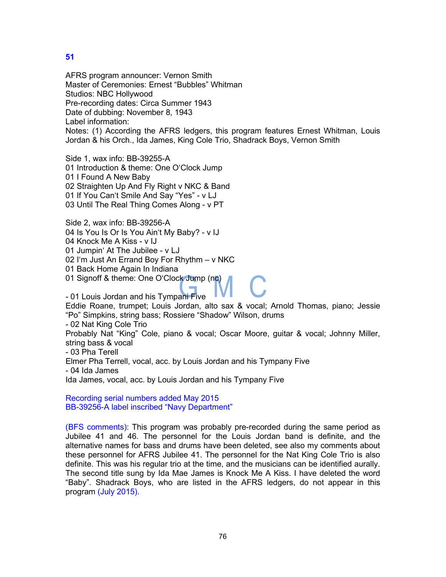AFRS program announcer: Vernon Smith Master of Ceremonies: Ernest "Bubbles" Whitman Studios: NBC Hollywood Pre-recording dates: Circa Summer 1943 Date of dubbing: November 8, 1943 Label information: Notes: (1) According the AFRS ledgers, this program features Ernest Whitman, Louis Jordan & his Orch., Ida James, King Cole Trio, Shadrack Boys, Vernon Smith

Side 1, wax info: BB-39255-A 01 Introduction & theme: One O'Clock Jump 01 I Found A New Baby 02 Straighten Up And Fly Right v NKC & Band 01 If You Can't Smile And Say "Yes" - v LJ 03 Until The Real Thing Comes Along - v PT

Side 2, wax info: BB-39256-A 04 Is You Is Or Is You Ain't My Baby? - v IJ 04 Knock Me A Kiss - v IJ

01 Jumpin' At The Jubilee - v LJ

02 I'm Just An Errand Boy For Rhythm – v NKC

01 Back Home Again In Indiana

01 Signoff & theme: One O'Clock Jump (nc)

- 01 Louis Jordan and his Tympani Five

Eddie Roane, trumpet; Louis Jordan, alto sax & vocal; Arnold Thomas, piano; Jessie "Po" Simpkins, string bass; Rossiere "Shadow" Wilson, drums

- 02 Nat King Cole Trio

Probably Nat "King" Cole, piano & vocal; Oscar Moore, guitar & vocal; Johnny Miller, string bass & vocal

- 03 Pha Terell

Elmer Pha Terrell, vocal, acc. by Louis Jordan and his Tympany Five

- 04 Ida James

Ida James, vocal, acc. by Louis Jordan and his Tympany Five

Recording serial numbers added May 2015 BB-39256-A label inscribed "Navy Department"

(BFS comments): This program was probably pre-recorded during the same period as Jubilee 41 and 46. The personnel for the Louis Jordan band is definite, and the alternative names for bass and drums have been deleted, see also my comments about these personnel for AFRS Jubilee 41. The personnel for the Nat King Cole Trio is also definite. This was his regular trio at the time, and the musicians can be identified aurally. The second title sung by Ida Mae James is Knock Me A Kiss. I have deleted the word "Baby". Shadrack Boys, who are listed in the AFRS ledgers, do not appear in this program (July 2015).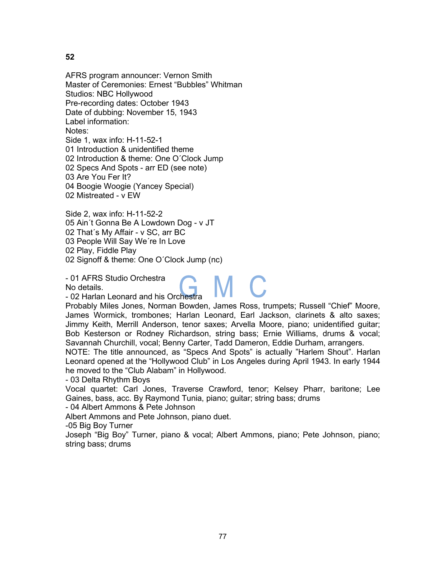AFRS program announcer: Vernon Smith Master of Ceremonies: Ernest "Bubbles" Whitman Studios: NBC Hollywood Pre-recording dates: October 1943 Date of dubbing: November 15, 1943 Label information: Notes: Side 1, wax info: H-11-52-1 01 Introduction & unidentified theme 02 Introduction & theme: One O´Clock Jump 02 Specs And Spots - arr ED (see note) 03 Are You Fer It? 04 Boogie Woogie (Yancey Special) 02 Mistreated - v EW

Side 2, wax info: H-11-52-2 05 Ain´t Gonna Be A Lowdown Dog - v JT 02 That´s My Affair - v SC, arr BC 03 People Will Say We´re In Love 02 Play, Fiddle Play 02 Signoff & theme: One O´Clock Jump (nc)

- 01 AFRS Studio Orchestra

No details.

- 02 Harlan Leonard and his Orchestra

Probably Miles Jones, Norman Bowden, James Ross, trumpets; Russell "Chief" Moore, James Wormick, trombones; Harlan Leonard, Earl Jackson, clarinets & alto saxes; Jimmy Keith, Merrill Anderson, tenor saxes; Arvella Moore, piano; unidentified guitar; Bob Kesterson or Rodney Richardson, string bass; Ernie Williams, drums & vocal; Savannah Churchill, vocal; Benny Carter, Tadd Dameron, Eddie Durham, arrangers.

M C

NOTE: The title announced, as "Specs And Spots" is actually "Harlem Shout". Harlan Leonard opened at the "Hollywood Club" in Los Angeles during April 1943. In early 1944 he moved to the "Club Alabam" in Hollywood.

- 03 Delta Rhythm Boys

Vocal quartet: Carl Jones, Traverse Crawford, tenor; Kelsey Pharr, baritone; Lee Gaines, bass, acc. By Raymond Tunia, piano; guitar; string bass; drums

- 04 Albert Ammons & Pete Johnson

Albert Ammons and Pete Johnson, piano duet.

-05 Big Boy Turner

Joseph "Big Boy" Turner, piano & vocal; Albert Ammons, piano; Pete Johnson, piano; string bass; drums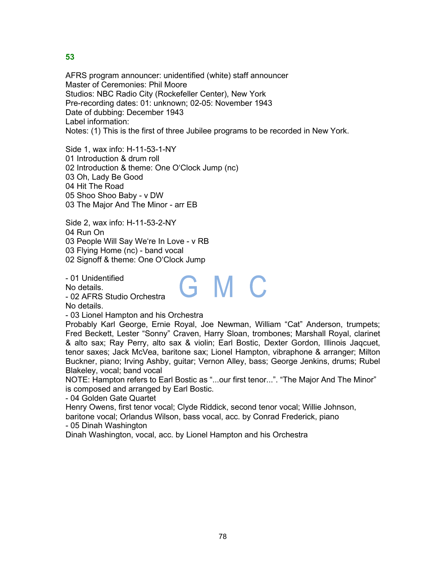AFRS program announcer: unidentified (white) staff announcer Master of Ceremonies: Phil Moore Studios: NBC Radio City (Rockefeller Center), New York Pre-recording dates: 01: unknown; 02-05: November 1943 Date of dubbing: December 1943 Label information: Notes: (1) This is the first of three Jubilee programs to be recorded in New York.

Side 1, wax info: H-11-53-1-NY 01 Introduction & drum roll 02 Introduction & theme: One O'Clock Jump (nc) 03 Oh, Lady Be Good 04 Hit The Road 05 Shoo Shoo Baby - v DW 03 The Major And The Minor - arr EB

Side 2, wax info: H-11-53-2-NY

04 Run On

03 People Will Say We're In Love - v RB

03 Flying Home (nc) - band vocal

02 Signoff & theme: One O'Clock Jump

- 01 Unidentified

No details.

- 02 AFRS Studio Orchestra

No details.

- 03 Lionel Hampton and his Orchestra

Probably Karl George, Ernie Royal, Joe Newman, William "Cat" Anderson, trumpets; Fred Beckett, Lester "Sonny" Craven, Harry Sloan, trombones; Marshall Royal, clarinet & alto sax; Ray Perry, alto sax & violin; Earl Bostic, Dexter Gordon, Illinois Jaqcuet, tenor saxes; Jack McVea, baritone sax; Lionel Hampton, vibraphone & arranger; Milton Buckner, piano; Irving Ashby, guitar; Vernon Alley, bass; George Jenkins, drums; Rubel Blakeley, vocal; band vocal

GMC

NOTE: Hampton refers to Earl Bostic as "...our first tenor...". "The Major And The Minor" is composed and arranged by Earl Bostic.

- 04 Golden Gate Quartet

Henry Owens, first tenor vocal; Clyde Riddick, second tenor vocal; Willie Johnson, baritone vocal; Orlandus Wilson, bass vocal, acc. by Conrad Frederick, piano

- 05 Dinah Washington

Dinah Washington, vocal, acc. by Lionel Hampton and his Orchestra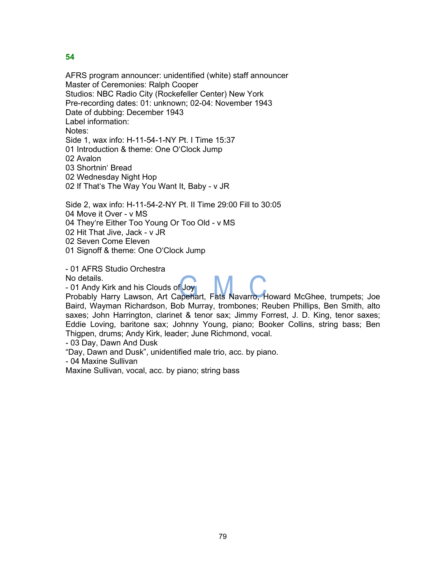AFRS program announcer: unidentified (white) staff announcer Master of Ceremonies: Ralph Cooper Studios: NBC Radio City (Rockefeller Center) New York Pre-recording dates: 01: unknown; 02-04: November 1943 Date of dubbing: December 1943 Label information: Notes: Side 1, wax info: H-11-54-1-NY Pt. I Time 15:37 01 Introduction & theme: One O'Clock Jump 02 Avalon 03 Shortnin' Bread 02 Wednesday Night Hop 02 If That's The Way You Want It, Baby - v JR

Side 2, wax info: H-11-54-2-NY Pt. II Time 29:00 Fill to 30:05 04 Move it Over - v MS 04 They're Either Too Young Or Too Old - v MS

02 Hit That Jive, Jack - v JR

02 Seven Come Eleven

01 Signoff & theme: One O'Clock Jump

- 01 AFRS Studio Orchestra

No details.

- 01 Andy Kirk and his Clouds of Joy

Probably Harry Lawson, Art Capehart, Fats Navarro, Howard McGhee, trumpets; Joe Baird, Wayman Richardson, Bob Murray, trombones; Reuben Phillips, Ben Smith, alto saxes; John Harrington, clarinet & tenor sax; Jimmy Forrest, J. D. King, tenor saxes; Eddie Loving, baritone sax; Johnny Young, piano; Booker Collins, string bass; Ben Thigpen, drums; Andy Kirk, leader; June Richmond, vocal.

- 03 Day, Dawn And Dusk

"Day, Dawn and Dusk", unidentified male trio, acc. by piano.

- 04 Maxine Sullivan

Maxine Sullivan, vocal, acc. by piano; string bass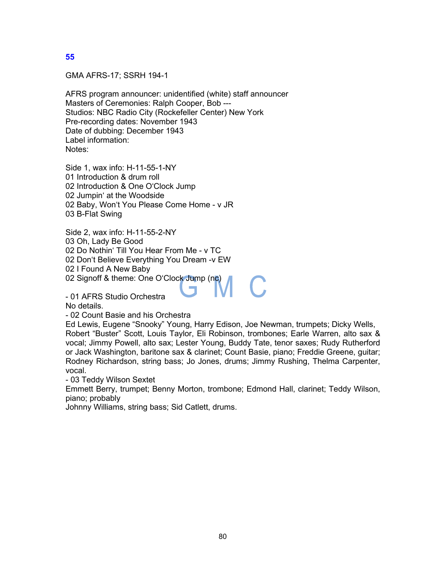GMA AFRS-17; SSRH 194-1

AFRS program announcer: unidentified (white) staff announcer Masters of Ceremonies: Ralph Cooper, Bob --- Studios: NBC Radio City (Rockefeller Center) New York Pre-recording dates: November 1943 Date of dubbing: December 1943 Label information: Notes:

Side 1, wax info: H-11-55-1-NY 01 Introduction & drum roll 02 Introduction & One O'Clock Jump 02 Jumpin' at the Woodside 02 Baby, Won't You Please Come Home - v JR 03 B-Flat Swing

Side 2, wax info: H-11-55-2-NY 03 Oh, Lady Be Good 02 Do Nothin' Till You Hear From Me - v TC 02 Don't Believe Everything You Dream -v EW 02 I Found A New Baby 02 Signoff & theme: One O'Clock Jump (nc)

- 01 AFRS Studio Orchestra

No details.

- 02 Count Basie and his Orchestra

Ed Lewis, Eugene "Snooky" Young, Harry Edison, Joe Newman, trumpets; Dicky Wells, Robert "Buster" Scott, Louis Taylor, Eli Robinson, trombones; Earle Warren, alto sax & vocal; Jimmy Powell, alto sax; Lester Young, Buddy Tate, tenor saxes; Rudy Rutherford or Jack Washington, baritone sax & clarinet; Count Basie, piano; Freddie Greene, guitar; Rodney Richardson, string bass; Jo Jones, drums; Jimmy Rushing, Thelma Carpenter, vocal.

- 03 Teddy Wilson Sextet

Emmett Berry, trumpet; Benny Morton, trombone; Edmond Hall, clarinet; Teddy Wilson, piano; probably

Johnny Williams, string bass; Sid Catlett, drums.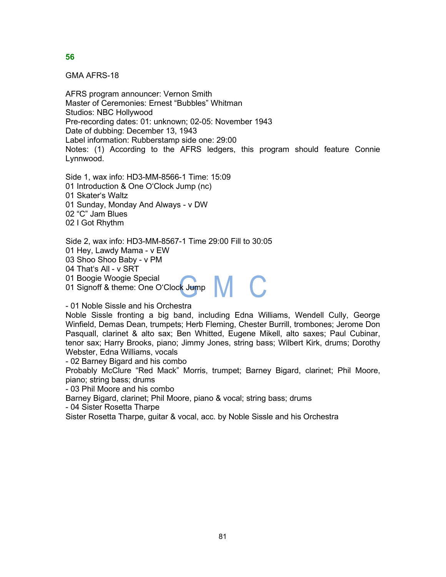GMA AFRS-18

AFRS program announcer: Vernon Smith Master of Ceremonies: Ernest "Bubbles" Whitman Studios: NBC Hollywood Pre-recording dates: 01: unknown; 02-05: November 1943 Date of dubbing: December 13, 1943 Label information: Rubberstamp side one: 29:00 Notes: (1) According to the AFRS ledgers, this program should feature Connie Lynnwood.

Side 1, wax info: HD3-MM-8566-1 Time: 15:09 01 Introduction & One O'Clock Jump (nc) 01 Skater's Waltz 01 Sunday, Monday And Always - v DW 02 "C" Jam Blues 02 I Got Rhythm

Side 2, wax info: HD3-MM-8567-1 Time 29:00 Fill to 30:05 01 Hey, Lawdy Mama - v EW 03 Shoo Shoo Baby - v PM 04 That's All - v SRT<br>01 Boogie Woogie Special 01 Boogie Woogie Special 01 Signoff & theme: One OʻCloc<mark>k</mark> Jump

- 01 Noble Sissle and his Orchestra

Noble Sissle fronting a big band, including Edna Williams, Wendell Cully, George Winfield, Demas Dean, trumpets; Herb Fleming, Chester Burrill, trombones; Jerome Don Pasquall, clarinet & alto sax; Ben Whitted, Eugene Mikell, alto saxes; Paul Cubinar, tenor sax; Harry Brooks, piano; Jimmy Jones, string bass; Wilbert Kirk, drums; Dorothy Webster, Edna Williams, vocals

- 02 Barney Bigard and his combo

Probably McClure "Red Mack" Morris, trumpet; Barney Bigard, clarinet; Phil Moore, piano; string bass; drums

- 03 Phil Moore and his combo

Barney Bigard, clarinet; Phil Moore, piano & vocal; string bass; drums

- 04 Sister Rosetta Tharpe

Sister Rosetta Tharpe, guitar & vocal, acc. by Noble Sissle and his Orchestra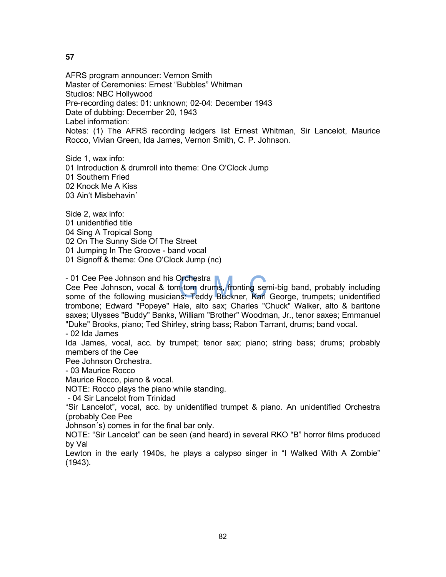AFRS program announcer: Vernon Smith Master of Ceremonies: Ernest "Bubbles" Whitman Studios: NBC Hollywood Pre-recording dates: 01: unknown; 02-04: December 1943 Date of dubbing: December 20, 1943 Label information: Notes: (1) The AFRS recording ledgers list Ernest Whitman, Sir Lancelot, Maurice Rocco, Vivian Green, Ida James, Vernon Smith, C. P. Johnson.

Side 1, wax info:

01 Introduction & drumroll into theme: One O'Clock Jump 01 Southern Fried 02 Knock Me A Kiss

03 Ain't Misbehavin´

Side 2, wax info: 01 unidentified title 04 Sing A Tropical Song 02 On The Sunny Side Of The Street 01 Jumping In The Groove - band vocal 01 Signoff & theme: One O'Clock Jump (nc)

- 01 Cee Pee Johnson and his Orchestra

Cee Pee Johnson, vocal & tom-tom drums, fronting semi-big band, probably including some of the following musicians: Teddy Buckner, Karl George, trumpets; unidentified trombone; Edward "Popeye" Hale, alto sax; Charles "Chuck" Walker, alto & baritone saxes; Ulysses "Buddy" Banks, William "Brother" Woodman, Jr., tenor saxes; Emmanuel "Duke" Brooks, piano; Ted Shirley, string bass; Rabon Tarrant, drums; band vocal.

- 02 Ida James

Ida James, vocal, acc. by trumpet; tenor sax; piano; string bass; drums; probably members of the Cee

Pee Johnson Orchestra.

- 03 Maurice Rocco

Maurice Rocco, piano & vocal.

NOTE: Rocco plays the piano while standing.

- 04 Sir Lancelot from Trinidad

"Sir Lancelot", vocal, acc. by unidentified trumpet & piano. An unidentified Orchestra (probably Cee Pee

Johnson´s) comes in for the final bar only.

NOTE: "Sir Lancelot" can be seen (and heard) in several RKO "B" horror films produced by Val

Lewton in the early 1940s, he plays a calypso singer in "I Walked With A Zombie" (1943).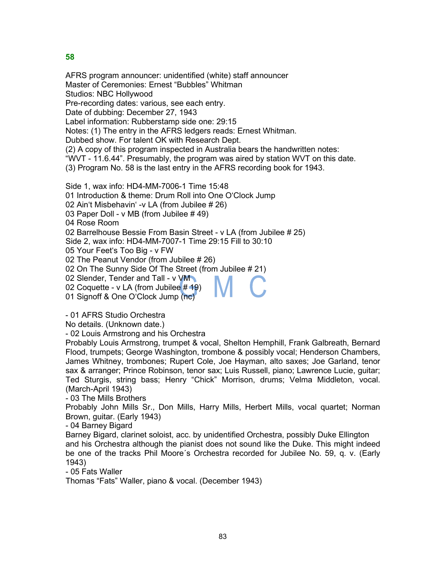AFRS program announcer: unidentified (white) staff announcer Master of Ceremonies: Ernest "Bubbles" Whitman Studios: NBC Hollywood Pre-recording dates: various, see each entry. Date of dubbing: December 27, 1943 Label information: Rubberstamp side one: 29:15 Notes: (1) The entry in the AFRS ledgers reads: Ernest Whitman. Dubbed show. For talent OK with Research Dept. (2) A copy of this program inspected in Australia bears the handwritten notes: "WVT - 11.6.44". Presumably, the program was aired by station WVT on this date. (3) Program No. 58 is the last entry in the AFRS recording book for 1943. Side 1, wax info: HD4-MM-7006-1 Time 15:48 01 Introduction & theme: Drum Roll into One O'Clock Jump 02 Ain't Misbehavin' -v LA (from Jubilee # 26) 03 Paper Doll - v MB (from Jubilee # 49) 04 Rose Room 02 Barrelhouse Bessie From Basin Street - v LA (from Jubilee # 25) Side 2, wax info: HD4-MM-7007-1 Time 29:15 Fill to 30:10 05 Your Feet's Too Big - v FW 02 The Peanut Vendor (from Jubilee # 26) 02 On The Sunny Side Of The Street (from Jubilee # 21) 02 Slender, Tender and Tall - v VM 02 Coquette - v LA (from Jubilee # 19) 01 Signoff & One O'Clock Jump (nc)

- 01 AFRS Studio Orchestra

No details. (Unknown date.)

- 02 Louis Armstrong and his Orchestra

Probably Louis Armstrong, trumpet & vocal, Shelton Hemphill, Frank Galbreath, Bernard Flood, trumpets; George Washington, trombone & possibly vocal; Henderson Chambers, James Whitney, trombones; Rupert Cole, Joe Hayman, alto saxes; Joe Garland, tenor sax & arranger; Prince Robinson, tenor sax; Luis Russell, piano; Lawrence Lucie, guitar; Ted Sturgis, string bass; Henry "Chick" Morrison, drums; Velma Middleton, vocal. (March-April 1943)

- 03 The Mills Brothers

Probably John Mills Sr., Don Mills, Harry Mills, Herbert Mills, vocal quartet; Norman Brown, guitar. (Early 1943)

- 04 Barney Bigard

Barney Bigard, clarinet soloist, acc. by unidentified Orchestra, possibly Duke Ellington and his Orchestra although the pianist does not sound like the Duke. This might indeed be one of the tracks Phil Moore´s Orchestra recorded for Jubilee No. 59, q. v. (Early 1943)

- 05 Fats Waller

Thomas "Fats" Waller, piano & vocal. (December 1943)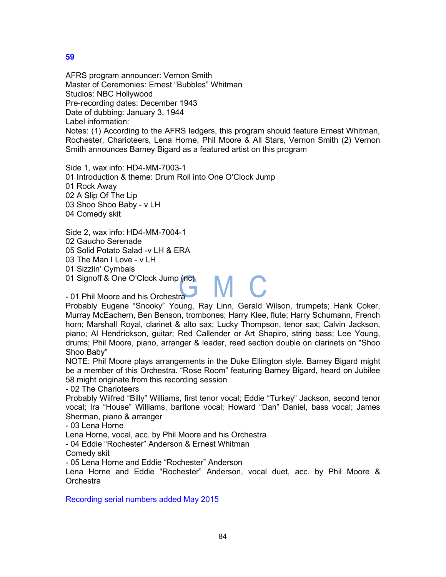AFRS program announcer: Vernon Smith Master of Ceremonies: Ernest "Bubbles" Whitman Studios: NBC Hollywood Pre-recording dates: December 1943 Date of dubbing: January 3, 1944 Label information: Notes: (1) According to the AFRS ledgers, this program should feature Ernest Whitman, Rochester, Charioteers, Lena Horne, Phil Moore & All Stars, Vernon Smith (2) Vernon Smith announces Barney Bigard as a featured artist on this program

Side 1, wax info: HD4-MM-7003-1 01 Introduction & theme: Drum Roll into One O'Clock Jump 01 Rock Away 02 A Slip Of The Lip 03 Shoo Shoo Baby - v LH 04 Comedy skit

Side 2, wax info: HD4-MM-7004-1 02 Gaucho Serenade 05 Solid Potato Salad -v LH & ERA 03 The Man I Love - v LH 01 Sizzlin' Cymbals 01 Signoff & One O'Clock Jump (nc)

- 01 Phil Moore and his Orchestra

Probably Eugene "Snooky" Young, Ray Linn, Gerald Wilson, trumpets; Hank Coker, Murray McEachern, Ben Benson, trombones; Harry Klee, flute; Harry Schumann, French horn; Marshall Royal, clarinet & alto sax; Lucky Thompson, tenor sax; Calvin Jackson, piano; Al Hendrickson, guitar; Red Callender or Art Shapiro, string bass; Lee Young, drums; Phil Moore, piano, arranger & leader, reed section double on clarinets on "Shoo Shoo Baby"

MC.

NOTE: Phil Moore plays arrangements in the Duke Ellington style. Barney Bigard might be a member of this Orchestra. "Rose Room" featuring Barney Bigard, heard on Jubilee 58 might originate from this recording session

- 02 The Charioteers

Probably Wilfred "Billy" Williams, first tenor vocal; Eddie "Turkey" Jackson, second tenor vocal; Ira "House" Williams, baritone vocal; Howard "Dan" Daniel, bass vocal; James Sherman, piano & arranger

- 03 Lena Horne

Lena Horne, vocal, acc. by Phil Moore and his Orchestra

- 04 Eddie "Rochester" Anderson & Ernest Whitman

Comedy skit

- 05 Lena Horne and Eddie "Rochester" Anderson

Lena Horne and Eddie "Rochester" Anderson, vocal duet, acc. by Phil Moore & **Orchestra** 

Recording serial numbers added May 2015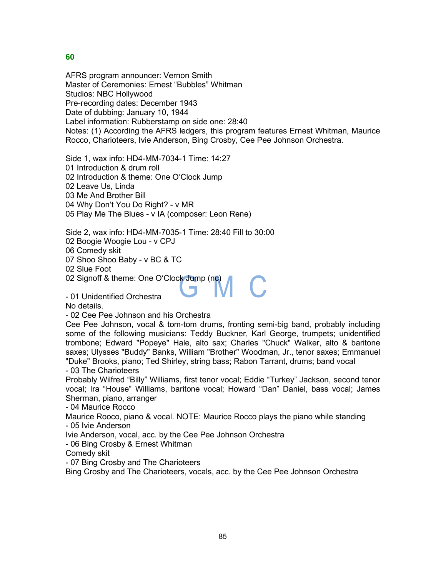AFRS program announcer: Vernon Smith Master of Ceremonies: Ernest "Bubbles" Whitman Studios: NBC Hollywood Pre-recording dates: December 1943 Date of dubbing: January 10, 1944 Label information: Rubberstamp on side one: 28:40 Notes: (1) According the AFRS ledgers, this program features Ernest Whitman, Maurice Rocco, Charioteers, Ivie Anderson, Bing Crosby, Cee Pee Johnson Orchestra.

Side 1, wax info: HD4-MM-7034-1 Time: 14:27

01 Introduction & drum roll

02 Introduction & theme: One O'Clock Jump

02 Leave Us, Linda

03 Me And Brother Bill

04 Why Don't You Do Right? - v MR

05 Play Me The Blues - v IA (composer: Leon Rene)

Side 2, wax info: HD4-MM-7035-1 Time: 28:40 Fill to 30:00

02 Boogie Woogie Lou - v CPJ

06 Comedy skit

07 Shoo Shoo Baby - v BC & TC

02 Slue Foot

02 Signoff & theme: One O'Clock Jump (nc)

- 01 Unidentified Orchestra

No details.

- 02 Cee Pee Johnson and his Orchestra

Cee Pee Johnson, vocal & tom-tom drums, fronting semi-big band, probably including some of the following musicians: Teddy Buckner, Karl George, trumpets; unidentified trombone; Edward "Popeye" Hale, alto sax; Charles "Chuck" Walker, alto & baritone saxes; Ulysses "Buddy" Banks, William "Brother" Woodman, Jr., tenor saxes; Emmanuel "Duke" Brooks, piano; Ted Shirley, string bass; Rabon Tarrant, drums; band vocal - 03 The Charioteers

Probably Wilfred "Billy" Williams, first tenor vocal; Eddie "Turkey" Jackson, second tenor vocal; Ira "House" Williams, baritone vocal; Howard "Dan" Daniel, bass vocal; James Sherman, piano, arranger

- 04 Maurice Rocco

Maurice Rooco, piano & vocal. NOTE: Maurice Rocco plays the piano while standing - 05 Ivie Anderson

Ivie Anderson, vocal, acc. by the Cee Pee Johnson Orchestra

- 06 Bing Crosby & Ernest Whitman

Comedy skit

- 07 Bing Crosby and The Charioteers

Bing Crosby and The Charioteers, vocals, acc. by the Cee Pee Johnson Orchestra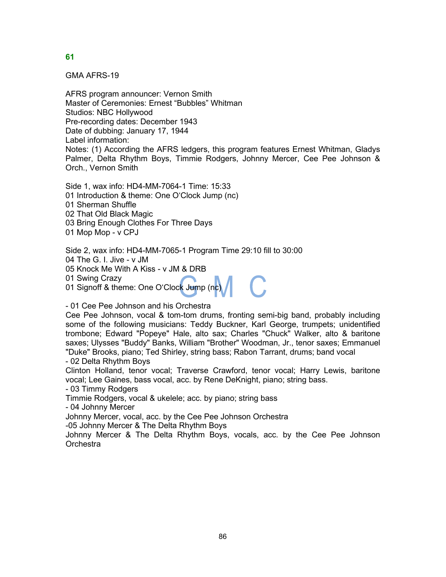GMA AFRS-19

AFRS program announcer: Vernon Smith Master of Ceremonies: Ernest "Bubbles" Whitman Studios: NBC Hollywood Pre-recording dates: December 1943 Date of dubbing: January 17, 1944 Label information: Notes: (1) According the AFRS ledgers, this program features Ernest Whitman, Gladys Palmer, Delta Rhythm Boys, Timmie Rodgers, Johnny Mercer, Cee Pee Johnson & Orch., Vernon Smith

Side 1, wax info: HD4-MM-7064-1 Time: 15:33 01 Introduction & theme: One O'Clock Jump (nc) 01 Sherman Shuffle 02 That Old Black Magic 03 Bring Enough Clothes For Three Days 01 Mop Mop - v CPJ

Side 2, wax info: HD4-MM-7065-1 Program Time 29:10 fill to 30:00 04 The G. I. Jive - v JM 05 Knock Me With A Kiss - v JM & DRB 01 Swing Crazy 01 Signoff & theme: One O'Cloc<mark>k</mark> Jump (n<mark>c)</mark>

- 01 Cee Pee Johnson and his Orchestra

Cee Pee Johnson, vocal & tom-tom drums, fronting semi-big band, probably including some of the following musicians: Teddy Buckner, Karl George, trumpets; unidentified trombone; Edward "Popeye" Hale, alto sax; Charles "Chuck" Walker, alto & baritone saxes; Ulysses "Buddy" Banks, William "Brother" Woodman, Jr., tenor saxes; Emmanuel "Duke" Brooks, piano; Ted Shirley, string bass; Rabon Tarrant, drums; band vocal - 02 Delta Rhythm Boys

Clinton Holland, tenor vocal; Traverse Crawford, tenor vocal; Harry Lewis, baritone vocal; Lee Gaines, bass vocal, acc. by Rene DeKnight, piano; string bass.

- 03 Timmy Rodgers

Timmie Rodgers, vocal & ukelele; acc. by piano; string bass

- 04 Johnny Mercer

Johnny Mercer, vocal, acc. by the Cee Pee Johnson Orchestra

-05 Johnny Mercer & The Delta Rhythm Boys

Johnny Mercer & The Delta Rhythm Boys, vocals, acc. by the Cee Pee Johnson **Orchestra**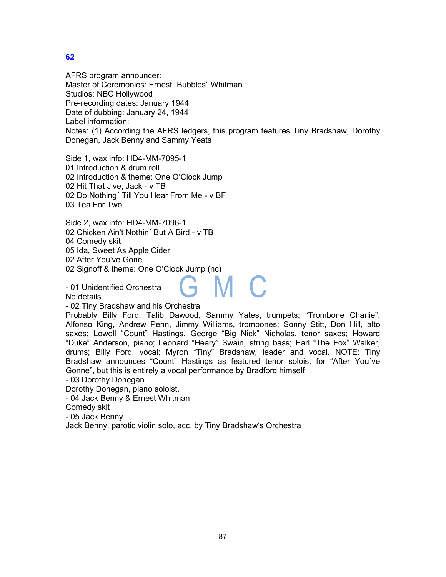AFRS program announcer: Master of Ceremonies: Ernest "Bubbles" Whitman Studios: NBC Hollywood Pre-recording dates: January 1944 Date of dubbing: January 24, 1944 Label information: Notes: (1) According the AFRS ledgers, this program features Tiny Bradshaw, Dorothy Donegan, Jack Benny and Sammy Yeats

Side 1, wax info: HD4-MM-7095-1 01 Introduction & drum roll 02 Introduction & theme: One O'Clock Jump 02 Hit That Jive, Jack - v TB 02 Do Nothing´ Till You Hear From Me - v BF 03 Tea For Two

Side 2, wax info: HD4-MM-7096-1 02 Chicken Ain't Nothin´ But A Bird - v TB 04 Comedy skit 05 Ida, Sweet As Apple Cider 02 After You've Gone 02 Signoff & theme: One O'Clock Jump (nc)

- 01 Unidentified Orchestra

No details

- 02 Tiny Bradshaw and his Orchestra

Probably Billy Ford, Talib Dawood, Sammy Yates, trumpets; "Trombone Charlie", Alfonso King, Andrew Penn, Jimmy Williams, trombones; Sonny Stitt, Don Hill, alto saxes; Lowell "Count" Hastings, George "Big Nick" Nicholas, tenor saxes; Howard "Duke" Anderson, piano; Leonard "Heary" Swain, string bass; Earl "The Fox" Walker, drums; Billy Ford, vocal; Myron "Tiny" Bradshaw, leader and vocal. NOTE: Tiny Bradshaw announces "Count" Hastings as featured tenor soloist for "After You´ve Gonne", but this is entirely a vocal performance by Bradford himself

- 03 Dorothy Donegan

Dorothy Donegan, piano soloist.

- 04 Jack Benny & Ernest Whitman

Comedy skit

- 05 Jack Benny

Jack Benny, parotic violin solo, acc. by Tiny Bradshaw's Orchestra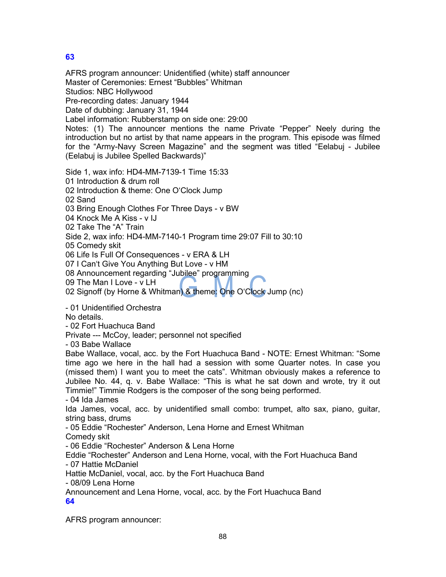AFRS program announcer: Unidentified (white) staff announcer Master of Ceremonies: Ernest "Bubbles" Whitman Studios: NBC Hollywood Pre-recording dates: January 1944 Date of dubbing: January 31, 1944 Label information: Rubberstamp on side one: 29:00 Notes: (1) The announcer mentions the name Private "Pepper" Neely during the introduction but no artist by that name appears in the program. This episode was filmed for the "Army-Navy Screen Magazine" and the segment was titled "Eelabuj - Jubilee (Eelabuj is Jubilee Spelled Backwards)" Side 1, wax info: HD4-MM-7139-1 Time 15:33 01 Introduction & drum roll 02 Introduction & theme: One O'Clock Jump 02 Sand 03 Bring Enough Clothes For Three Days - v BW 04 Knock Me A Kiss - v IJ 02 Take The "A" Train Side 2, wax info: HD4-MM-7140-1 Program time 29:07 Fill to 30:10 05 Comedy skit 06 Life Is Full Of Consequences - v ERA & LH 07 I Can't Give You Anything But Love - v HM 08 Announcement regarding "Jubilee" programming 09 The Man I Love - v LH 02 Signoff (by Horne & Whitman) & theme: One O'Clock Jump (nc) - 01 Unidentified Orchestra No details. - 02 Fort Huachuca Band Private --- McCoy, leader; personnel not specified - 03 Babe Wallace Babe Wallace, vocal, acc. by the Fort Huachuca Band - NOTE: Ernest Whitman: "Some time ago we here in the hall had a session with some Quarter notes. In case you (missed them) I want you to meet the cats". Whitman obviously makes a reference to Jubilee No. 44, q. v. Babe Wallace: "This is what he sat down and wrote, try it out Timmie!" Timmie Rodgers is the composer of the song being performed. - 04 Ida James Ida James, vocal, acc. by unidentified small combo: trumpet, alto sax, piano, guitar, string bass, drums - 05 Eddie "Rochester" Anderson, Lena Horne and Ernest Whitman Comedy skit - 06 Eddie "Rochester" Anderson & Lena Horne Eddie "Rochester" Anderson and Lena Horne, vocal, with the Fort Huachuca Band - 07 Hattie McDaniel Hattie McDaniel, vocal, acc. by the Fort Huachuca Band - 08/09 Lena Horne Announcement and Lena Horne, vocal, acc. by the Fort Huachuca Band **64** AFRS program announcer: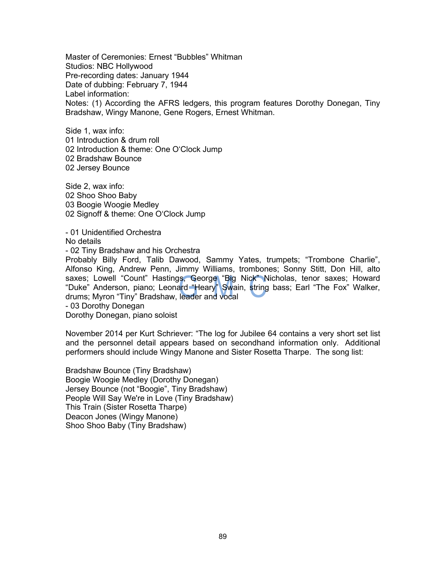Master of Ceremonies: Ernest "Bubbles" Whitman Studios: NBC Hollywood Pre-recording dates: January 1944 Date of dubbing: February 7, 1944 Label information: Notes: (1) According the AFRS ledgers, this program features Dorothy Donegan, Tiny Bradshaw, Wingy Manone, Gene Rogers, Ernest Whitman.

Side 1, wax info: 01 Introduction & drum roll 02 Introduction & theme: One O'Clock Jump 02 Bradshaw Bounce 02 Jersey Bounce

Side 2, wax info: 02 Shoo Shoo Baby 03 Boogie Woogie Medley 02 Signoff & theme: One O'Clock Jump

- 01 Unidentified Orchestra No details - 02 Tiny Bradshaw and his Orchestra Probably Billy Ford, Talib Dawood, Sammy Yates, trumpets; "Trombone Charlie", Alfonso King, Andrew Penn, Jimmy Williams, trombones; Sonny Stitt, Don Hill, alto saxes; Lowell "Count" Hastings, George "Big Nick" Nicholas, tenor saxes; Howard "Duke" Anderson, piano; Leona<mark>rd "H</mark>eary" Swain, string bass; Earl "The Fox" Walker, drums; Myron "Tiny" Bradshaw, leader and vocal - 03 Dorothy Donegan Dorothy Donegan, piano soloist

November 2014 per Kurt Schriever: "The log for Jubilee 64 contains a very short set list and the personnel detail appears based on secondhand information only. Additional performers should include Wingy Manone and Sister Rosetta Tharpe. The song list:

Bradshaw Bounce (Tiny Bradshaw) Boogie Woogie Medley (Dorothy Donegan) Jersey Bounce (not "Boogie", Tiny Bradshaw) People Will Say We're in Love (Tiny Bradshaw) This Train (Sister Rosetta Tharpe) Deacon Jones (Wingy Manone) Shoo Shoo Baby (Tiny Bradshaw)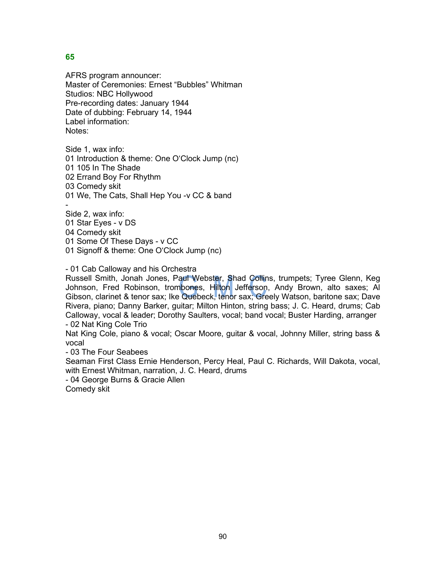AFRS program announcer: Master of Ceremonies: Ernest "Bubbles" Whitman Studios: NBC Hollywood Pre-recording dates: January 1944 Date of dubbing: February 14, 1944 Label information: Notes:

Side 1, wax info: 01 Introduction & theme: One O'Clock Jump (nc) 01 105 In The Shade 02 Errand Boy For Rhythm 03 Comedy skit 01 We, The Cats, Shall Hep You -v CC & band -

Side 2, wax info: 01 Star Eyes - v DS 04 Comedy skit 01 Some Of These Days - v CC 01 Signoff & theme: One O'Clock Jump (nc)

- 01 Cab Calloway and his Orchestra

Russell Smith, Jonah Jones, Paul Webster, Shad Collins, trumpets; Tyree Glenn, Keg Johnson, Fred Robinson, trombones, Hilton Jefferson, Andy Brown, alto saxes; Al Gibson, clarinet & tenor sax; Ike Quebeck, tenor sax; Greely Watson, baritone sax; Dave Rivera, piano; Danny Barker, guitar; Milton Hinton, string bass; J. C. Heard, drums; Cab Calloway, vocal & leader; Dorothy Saulters, vocal; band vocal; Buster Harding, arranger - 02 Nat King Cole Trio

Nat King Cole, piano & vocal; Oscar Moore, guitar & vocal, Johnny Miller, string bass & vocal

- 03 The Four Seabees

Seaman First Class Ernie Henderson, Percy Heal, Paul C. Richards, Will Dakota, vocal, with Ernest Whitman, narration, J. C. Heard, drums

- 04 George Burns & Gracie Allen

Comedy skit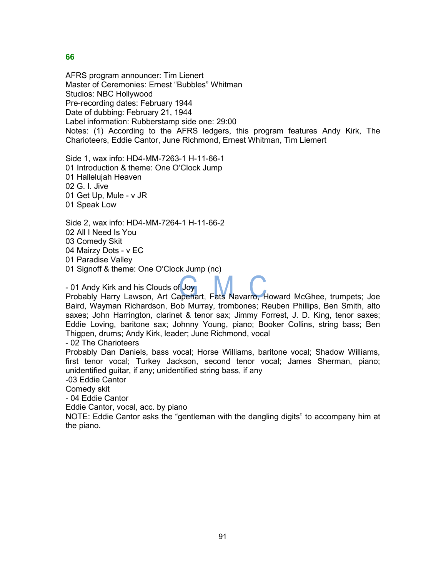AFRS program announcer: Tim Lienert Master of Ceremonies: Ernest "Bubbles" Whitman Studios: NBC Hollywood Pre-recording dates: February 1944 Date of dubbing: February 21, 1944 Label information: Rubberstamp side one: 29:00 Notes: (1) According to the AFRS ledgers, this program features Andy Kirk, The Charioteers, Eddie Cantor, June Richmond, Ernest Whitman, Tim Liemert

Side 1, wax info: HD4-MM-7263-1 H-11-66-1 01 Introduction & theme: One O'Clock Jump 01 Hallelujah Heaven 02 G. I. Jive 01 Get Up, Mule - v JR 01 Speak Low

Side 2, wax info: HD4-MM-7264-1 H-11-66-2 02 All I Need Is You 03 Comedy Skit 04 Mairzy Dots - v EC 01 Paradise Valley

01 Signoff & theme: One O'Clock Jump (nc)

- 01 Andy Kirk and his Clouds of Joy

Probably Harry Lawson, Art Capehart, Fats Navarro, Howard McGhee, trumpets; Joe Baird, Wayman Richardson, Bob Murray, trombones; Reuben Phillips, Ben Smith, alto saxes; John Harrington, clarinet & tenor sax; Jimmy Forrest, J. D. King, tenor saxes; Eddie Loving, baritone sax; Johnny Young, piano; Booker Collins, string bass; Ben Thigpen, drums; Andy Kirk, leader; June Richmond, vocal

- 02 The Charioteers

Probably Dan Daniels, bass vocal; Horse Williams, baritone vocal; Shadow Williams, first tenor vocal; Turkey Jackson, second tenor vocal; James Sherman, piano; unidentified guitar, if any; unidentified string bass, if any

-03 Eddie Cantor

Comedy skit

- 04 Eddie Cantor

Eddie Cantor, vocal, acc. by piano

NOTE: Eddie Cantor asks the "gentleman with the dangling digits" to accompany him at the piano.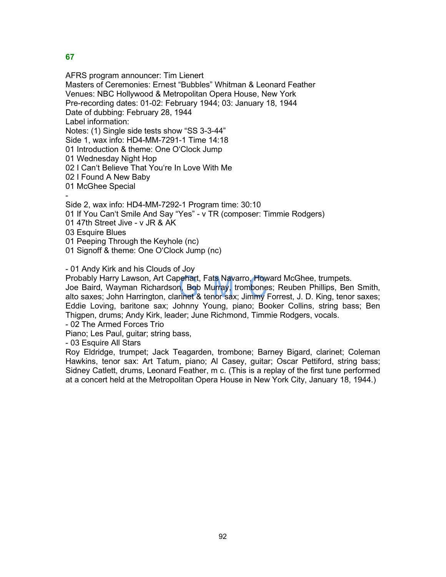AFRS program announcer: Tim Lienert Masters of Ceremonies: Ernest "Bubbles" Whitman & Leonard Feather Venues: NBC Hollywood & Metropolitan Opera House, New York Pre-recording dates: 01-02: February 1944; 03: January 18, 1944 Date of dubbing: February 28, 1944 Label information: Notes: (1) Single side tests show "SS 3-3-44" Side 1, wax info: HD4-MM-7291-1 Time 14:18 01 Introduction & theme: One O'Clock Jump 01 Wednesday Night Hop 02 I Can't Believe That You're In Love With Me 02 I Found A New Baby 01 McGhee Special - Side 2, wax info: HD4-MM-7292-1 Program time: 30:10 01 If You Can't Smile And Say "Yes" - v TR (composer: Timmie Rodgers) 01 47th Street Jive - v JR & AK

03 Esquire Blues

01 Peeping Through the Keyhole (nc)

01 Signoff & theme: One O'Clock Jump (nc)

- 01 Andy Kirk and his Clouds of Joy

Probably Harry Lawson, Art Capehart, Fats Navarro, Howard McGhee, trumpets.

Joe Baird, Wayman Richardson, Bob Murray, trombones; Reuben Phillips, Ben Smith, alto saxes; John Harrington, clarinet & tenor sax; Jimmy Forrest, J. D. King, tenor saxes; Eddie Loving, baritone sax; Johnny Young, piano; Booker Collins, string bass; Ben Thigpen, drums; Andy Kirk, leader; June Richmond, Timmie Rodgers, vocals.

- 02 The Armed Forces Trio

Piano; Les Paul, guitar; string bass,

- 03 Esquire All Stars

Roy Eldridge, trumpet; Jack Teagarden, trombone; Barney Bigard, clarinet; Coleman Hawkins, tenor sax: Art Tatum, piano; Al Casey, guitar; Oscar Pettiford, string bass; Sidney Catlett, drums, Leonard Feather, m c. (This is a replay of the first tune performed at a concert held at the Metropolitan Opera House in New York City, January 18, 1944.)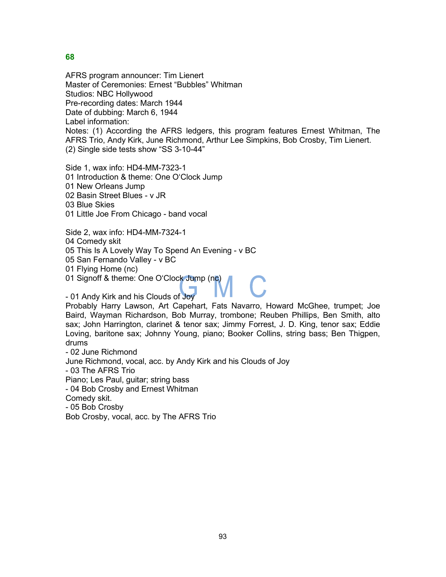AFRS program announcer: Tim Lienert Master of Ceremonies: Ernest "Bubbles" Whitman Studios: NBC Hollywood Pre-recording dates: March 1944 Date of dubbing: March 6, 1944 Label information: Notes: (1) According the AFRS ledgers, this program features Ernest Whitman, The AFRS Trio, Andy Kirk, June Richmond, Arthur Lee Simpkins, Bob Crosby, Tim Lienert. (2) Single side tests show "SS 3-10-44"

Side 1, wax info: HD4-MM-7323-1 01 Introduction & theme: One O'Clock Jump 01 New Orleans Jump 02 Basin Street Blues - v JR 03 Blue Skies 01 Little Joe From Chicago - band vocal

Side 2, wax info: HD4-MM-7324-1 04 Comedy skit 05 This Is A Lovely Way To Spend An Evening - v BC 05 San Fernando Valley - v BC 01 Flying Home (nc) 01 Signoff & theme: One O'Clock Jump (nc)

- 01 Andy Kirk and his Clouds of Joy

Probably Harry Lawson, Art Capehart, Fats Navarro, Howard McGhee, trumpet; Joe Baird, Wayman Richardson, Bob Murray, trombone; Reuben Phillips, Ben Smith, alto sax; John Harrington, clarinet & tenor sax; Jimmy Forrest, J. D. King, tenor sax; Eddie Loving, baritone sax; Johnny Young, piano; Booker Collins, string bass; Ben Thigpen, drums

- 02 June Richmond

June Richmond, vocal, acc. by Andy Kirk and his Clouds of Joy

- 03 The AFRS Trio

Piano; Les Paul, guitar; string bass

- 04 Bob Crosby and Ernest Whitman

Comedy skit.

- 05 Bob Crosby

Bob Crosby, vocal, acc. by The AFRS Trio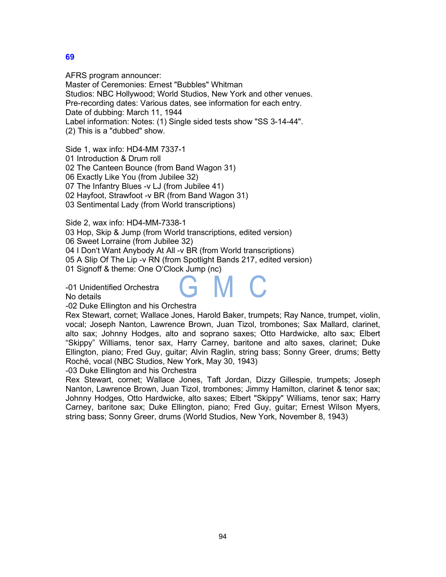AFRS program announcer: Master of Ceremonies: Ernest "Bubbles" Whitman Studios: NBC Hollywood; World Studios, New York and other venues. Pre-recording dates: Various dates, see information for each entry. Date of dubbing: March 11, 1944 Label information: Notes: (1) Single sided tests show "SS 3-14-44". (2) This is a "dubbed" show.

Side 1, wax info: HD4-MM 7337-1 01 Introduction & Drum roll 02 The Canteen Bounce (from Band Wagon 31) 06 Exactly Like You (from Jubilee 32) 07 The Infantry Blues -v LJ (from Jubilee 41) 02 Hayfoot, Strawfoot -v BR (from Band Wagon 31) 03 Sentimental Lady (from World transcriptions)

Side 2, wax info: HD4-MM-7338-1

03 Hop, Skip & Jump (from World transcriptions, edited version)

06 Sweet Lorraine (from Jubilee 32)

04 I Don't Want Anybody At All -v BR (from World transcriptions)

05 A Slip Of The Lip -v RN (from Spotlight Bands 217, edited version)

01 Signoff & theme: One O'Clock Jump (nc)

-01 Unidentified Orchestra

No details

-02 Duke Ellington and his Orchestra

Rex Stewart, cornet; Wallace Jones, Harold Baker, trumpets; Ray Nance, trumpet, violin, vocal; Joseph Nanton, Lawrence Brown, Juan Tizol, trombones; Sax Mallard, clarinet, alto sax; Johnny Hodges, alto and soprano saxes; Otto Hardwicke, alto sax; Elbert "Skippy" Williams, tenor sax, Harry Carney, baritone and alto saxes, clarinet; Duke Ellington, piano; Fred Guy, guitar; Alvin Raglin, string bass; Sonny Greer, drums; Betty Roché, vocal (NBC Studios, New York, May 30, 1943)

-03 Duke Ellington and his Orchestra

Rex Stewart, cornet; Wallace Jones, Taft Jordan, Dizzy Gillespie, trumpets; Joseph Nanton, Lawrence Brown, Juan Tizol, trombones; Jimmy Hamilton, clarinet & tenor sax; Johnny Hodges, Otto Hardwicke, alto saxes; Elbert "Skippy" Williams, tenor sax; Harry Carney, baritone sax; Duke Ellington, piano; Fred Guy, guitar; Ernest Wilson Myers, string bass; Sonny Greer, drums (World Studios, New York, November 8, 1943)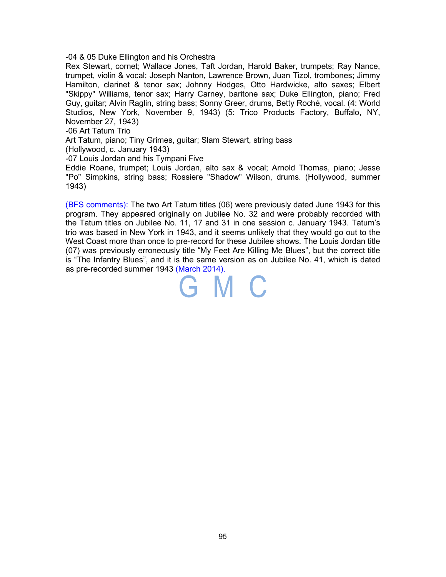-04 & 05 Duke Ellington and his Orchestra

Rex Stewart, cornet; Wallace Jones, Taft Jordan, Harold Baker, trumpets; Ray Nance, trumpet, violin & vocal; Joseph Nanton, Lawrence Brown, Juan Tizol, trombones; Jimmy Hamilton, clarinet & tenor sax; Johnny Hodges, Otto Hardwicke, alto saxes; Elbert "Skippy" Williams, tenor sax; Harry Carney, baritone sax; Duke Ellington, piano; Fred Guy, guitar; Alvin Raglin, string bass; Sonny Greer, drums, Betty Roché, vocal. (4: World Studios, New York, November 9, 1943) (5: Trico Products Factory, Buffalo, NY, November 27, 1943)

-06 Art Tatum Trio

Art Tatum, piano; Tiny Grimes, guitar; Slam Stewart, string bass

(Hollywood, c. January 1943)

-07 Louis Jordan and his Tympani Five

Eddie Roane, trumpet; Louis Jordan, alto sax & vocal; Arnold Thomas, piano; Jesse "Po" Simpkins, string bass; Rossiere "Shadow" Wilson, drums. (Hollywood, summer 1943)

(BFS comments): The two Art Tatum titles (06) were previously dated June 1943 for this program. They appeared originally on Jubilee No. 32 and were probably recorded with the Tatum titles on Jubilee No. 11, 17 and 31 in one session c. January 1943. Tatum's trio was based in New York in 1943, and it seems unlikely that they would go out to the West Coast more than once to pre-record for these Jubilee shows. The Louis Jordan title (07) was previously erroneously title "My Feet Are Killing Me Blues", but the correct title is "The Infantry Blues", and it is the same version as on Jubilee No. 41, which is dated as pre-recorded summer 1943 (March 2014).

GMC

95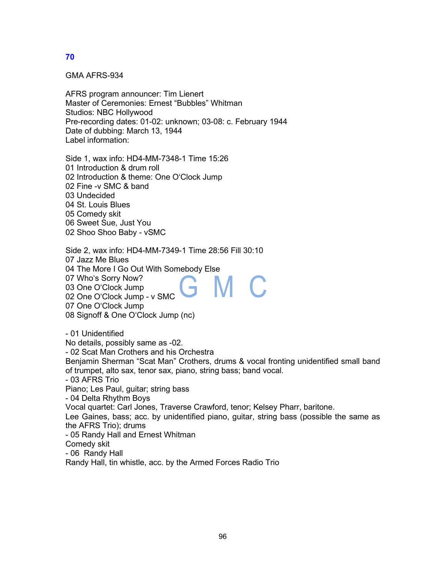GMA AFRS-934

AFRS program announcer: Tim Lienert Master of Ceremonies: Ernest "Bubbles" Whitman Studios: NBC Hollywood Pre-recording dates: 01-02: unknown; 03-08: c. February 1944 Date of dubbing: March 13, 1944 Label information:

Side 1, wax info: HD4-MM-7348-1 Time 15:26 01 Introduction & drum roll 02 Introduction & theme: One O'Clock Jump 02 Fine -v SMC & band 03 Undecided 04 St. Louis Blues 05 Comedy skit 06 Sweet Sue, Just You 02 Shoo Shoo Baby - vSMC

Side 2, wax info: HD4-MM-7349-1 Time 28:56 Fill 30:10 07 Jazz Me Blues 04 The More I Go Out With Somebody Else 07 Who's Sorry Now? M m. 03 One O'Clock Jump 02 One O'Clock Jump - v SMC 07 One O'Clock Jump 08 Signoff & One O'Clock Jump (nc)

- 01 Unidentified No details, possibly same as -02. - 02 Scat Man Crothers and his Orchestra Benjamin Sherman "Scat Man" Crothers, drums & vocal fronting unidentified small band of trumpet, alto sax, tenor sax, piano, string bass; band vocal. - 03 AFRS Trio Piano; Les Paul, guitar; string bass - 04 Delta Rhythm Boys Vocal quartet: Carl Jones, Traverse Crawford, tenor; Kelsey Pharr, baritone. Lee Gaines, bass; acc. by unidentified piano, guitar, string bass (possible the same as the AFRS Trio); drums - 05 Randy Hall and Ernest Whitman Comedy skit - 06 Randy Hall

Randy Hall, tin whistle, acc. by the Armed Forces Radio Trio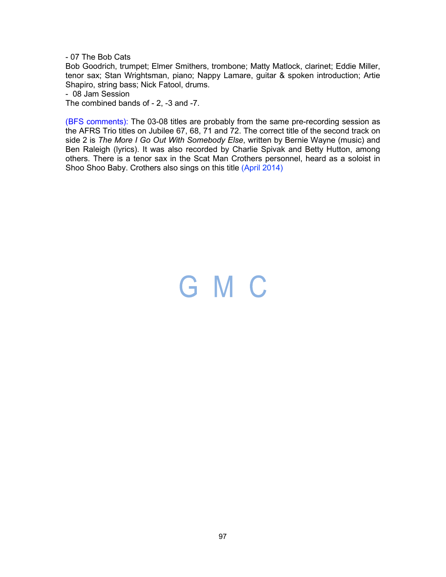- 07 The Bob Cats

Bob Goodrich, trumpet; Elmer Smithers, trombone; Matty Matlock, clarinet; Eddie Miller, tenor sax; Stan Wrightsman, piano; Nappy Lamare, guitar & spoken introduction; Artie Shapiro, string bass; Nick Fatool, drums.

- 08 Jam Session

The combined bands of - 2, -3 and -7.

(BFS comments): The 03-08 titles are probably from the same pre-recording session as the AFRS Trio titles on Jubilee 67, 68, 71 and 72. The correct title of the second track on side 2 is *The More I Go Out With Somebody Else*, written by Bernie Wayne (music) and Ben Raleigh (lyrics). It was also recorded by Charlie Spivak and Betty Hutton, among others. There is a tenor sax in the Scat Man Crothers personnel, heard as a soloist in Shoo Shoo Baby. Crothers also sings on this title (April 2014)

## GMC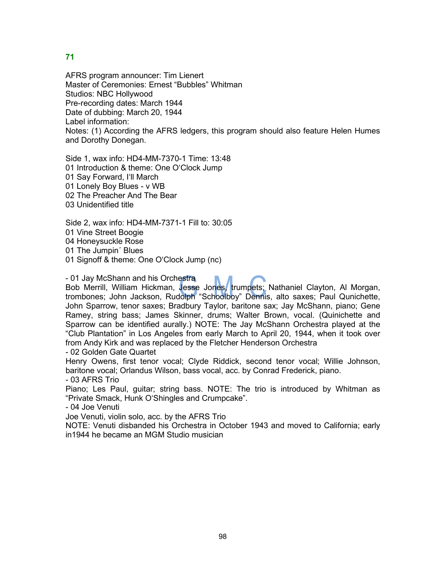AFRS program announcer: Tim Lienert Master of Ceremonies: Ernest "Bubbles" Whitman Studios: NBC Hollywood Pre-recording dates: March 1944 Date of dubbing: March 20, 1944 Label information: Notes: (1) According the AFRS ledgers, this program should also feature Helen Humes and Dorothy Donegan.

Side 1, wax info: HD4-MM-7370-1 Time: 13:48 01 Introduction & theme: One O'Clock Jump 01 Say Forward, I'll March 01 Lonely Boy Blues - v WB 02 The Preacher And The Bear 03 Unidentified title

Side 2, wax info: HD4-MM-7371-1 Fill to: 30:05 01 Vine Street Boogie 04 Honeysuckle Rose 01 The Jumpin´ Blues 01 Signoff & theme: One O'Clock Jump (nc)

- 01 Jay McShann and his Orchestra

Bob Merrill, William Hickman, Jesse Jones, trumpets; Nathaniel Clayton, Al Morgan, trombones; John Jackson, Rudolph "Schoolboy" Dennis, alto saxes; Paul Qunichette, John Sparrow, tenor saxes; Bradbury Taylor, baritone sax; Jay McShann, piano; Gene Ramey, string bass; James Skinner, drums; Walter Brown, vocal. (Quinichette and Sparrow can be identified aurally.) NOTE: The Jay McShann Orchestra played at the "Club Plantation" in Los Angeles from early March to April 20, 1944, when it took over from Andy Kirk and was replaced by the Fletcher Henderson Orchestra

- 02 Golden Gate Quartet

Henry Owens, first tenor vocal; Clyde Riddick, second tenor vocal; Willie Johnson, baritone vocal; Orlandus Wilson, bass vocal, acc. by Conrad Frederick, piano.

- 03 AFRS Trio

Piano; Les Paul, guitar; string bass. NOTE: The trio is introduced by Whitman as "Private Smack, Hunk O'Shingles and Crumpcake".

- 04 Joe Venuti

Joe Venuti, violin solo, acc. by the AFRS Trio

NOTE: Venuti disbanded his Orchestra in October 1943 and moved to California; early in1944 he became an MGM Studio musician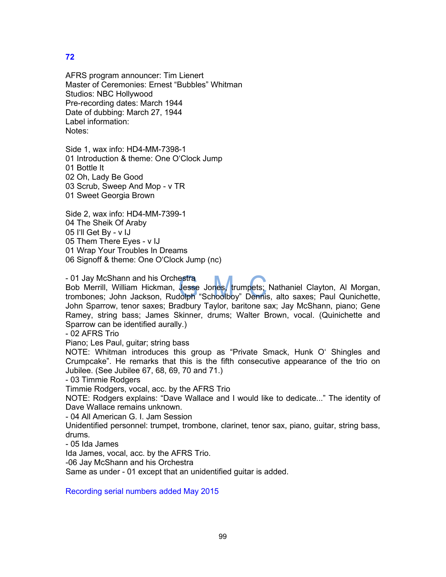AFRS program announcer: Tim Lienert Master of Ceremonies: Ernest "Bubbles" Whitman Studios: NBC Hollywood Pre-recording dates: March 1944 Date of dubbing: March 27, 1944 Label information: Notes:

Side 1, wax info: HD4-MM-7398-1 01 Introduction & theme: One O'Clock Jump 01 Bottle It 02 Oh, Lady Be Good 03 Scrub, Sweep And Mop - v TR 01 Sweet Georgia Brown

Side 2, wax info: HD4-MM-7399-1 04 The Sheik Of Araby 05 I'll Get By - v IJ 05 Them There Eyes - v IJ 01 Wrap Your Troubles In Dreams 06 Signoff & theme: One O'Clock Jump (nc)

- 01 Jay McShann and his Orchestra Bob Merrill, William Hickman, Jesse Jones, trumpets; Nathaniel Clayton, Al Morgan, trombones; John Jackson, Rudolph "Schoolboy" Dennis, alto saxes; Paul Qunichette, John Sparrow, tenor saxes; Bradbury Taylor, baritone sax; Jay McShann, piano; Gene Ramey, string bass; James Skinner, drums; Walter Brown, vocal. (Quinichette and Sparrow can be identified aurally.)

- 02 AFRS Trio

Piano; Les Paul, guitar; string bass

NOTE: Whitman introduces this group as "Private Smack, Hunk O' Shingles and Crumpcake". He remarks that this is the fifth consecutive appearance of the trio on Jubilee. (See Jubilee 67, 68, 69, 70 and 71.)

- 03 Timmie Rodgers

Timmie Rodgers, vocal, acc. by the AFRS Trio

NOTE: Rodgers explains: "Dave Wallace and I would like to dedicate..." The identity of Dave Wallace remains unknown.

- 04 All American G. I. Jam Session

Unidentified personnel: trumpet, trombone, clarinet, tenor sax, piano, guitar, string bass, drums.

- 05 Ida James

Ida James, vocal, acc. by the AFRS Trio.

-06 Jay McShann and his Orchestra

Same as under - 01 except that an unidentified guitar is added.

Recording serial numbers added May 2015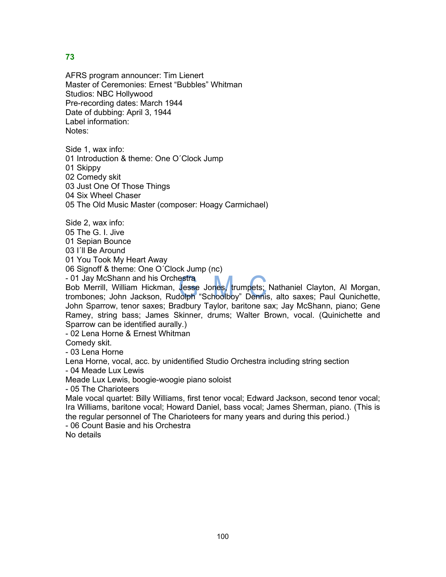AFRS program announcer: Tim Lienert Master of Ceremonies: Ernest "Bubbles" Whitman Studios: NBC Hollywood Pre-recording dates: March 1944 Date of dubbing: April 3, 1944 Label information: Notes:

Side 1, wax info: 01 Introduction & theme: One O´Clock Jump 01 Skippy 02 Comedy skit 03 Just One Of Those Things 04 Six Wheel Chaser 05 The Old Music Master (composer: Hoagy Carmichael)

Side 2, wax info:

05 The G. I. Jive

01 Sepian Bounce

03 I'll Be Around

01 You Took My Heart Away

06 Signoff & theme: One O´Clock Jump (nc)

- 01 Jay McShann and his Orchestra

Bob Merrill, William Hickman, Jesse Jones, trumpets; Nathaniel Clayton, Al Morgan, trombones; John Jackson, Rudolph "Schoolboy" Dennis, alto saxes; Paul Qunichette, John Sparrow, tenor saxes; Bradbury Taylor, baritone sax; Jay McShann, piano; Gene Ramey, string bass; James Skinner, drums; Walter Brown, vocal. (Quinichette and Sparrow can be identified aurally.)

- 02 Lena Horne & Ernest Whitman

Comedy skit.

- 03 Lena Horne

Lena Horne, vocal, acc. by unidentified Studio Orchestra including string section

- 04 Meade Lux Lewis

Meade Lux Lewis, boogie-woogie piano soloist

- 05 The Charioteers

Male vocal quartet: Billy Williams, first tenor vocal; Edward Jackson, second tenor vocal; Ira Williams, baritone vocal; Howard Daniel, bass vocal; James Sherman, piano. (This is the regular personnel of The Charioteers for many years and during this period.)

- 06 Count Basie and his Orchestra

No details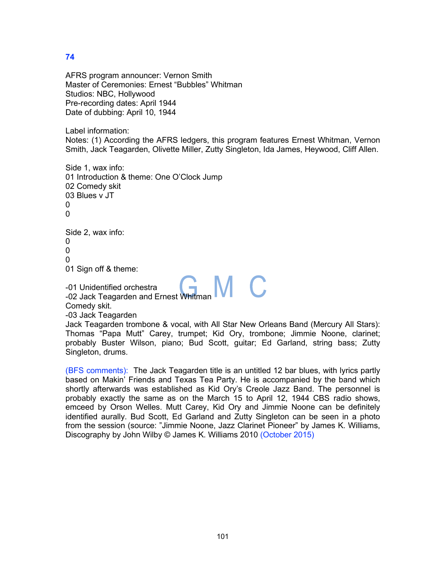AFRS program announcer: Vernon Smith Master of Ceremonies: Ernest "Bubbles" Whitman Studios: NBC, Hollywood Pre-recording dates: April 1944 Date of dubbing: April 10, 1944

Label information:

Notes: (1) According the AFRS ledgers, this program features Ernest Whitman, Vernon Smith, Jack Teagarden, Olivette Miller, Zutty Singleton, Ida James, Heywood, Cliff Allen.

Side 1, wax info: 01 Introduction & theme: One O'Clock Jump 02 Comedy skit 03 Blues v JT 0  $\Omega$ 

Side 2, wax info:

 $\Omega$  $\Omega$ 

0

01 Sign off & theme:

-01 Unidentified orchestra

-02 Jack Teagarden and Ernest Whitman

Comedy skit.

-03 Jack Teagarden

Jack Teagarden trombone & vocal, with All Star New Orleans Band (Mercury All Stars): Thomas "Papa Mutt" Carey, trumpet; Kid Ory, trombone; Jimmie Noone, clarinet; probably Buster Wilson, piano; Bud Scott, guitar; Ed Garland, string bass; Zutty Singleton, drums.

(BFS comments): The Jack Teagarden title is an untitled 12 bar blues, with lyrics partly based on Makin' Friends and Texas Tea Party. He is accompanied by the band which shortly afterwards was established as Kid Ory's Creole Jazz Band. The personnel is probably exactly the same as on the March 15 to April 12, 1944 CBS radio shows, emceed by Orson Welles. Mutt Carey, Kid Ory and Jimmie Noone can be definitely identified aurally. Bud Scott, Ed Garland and Zutty Singleton can be seen in a photo from the session (source: "Jimmie Noone, Jazz Clarinet Pioneer" by James K. Williams, Discography by John Wilby © James K. Williams 2010 (October 2015)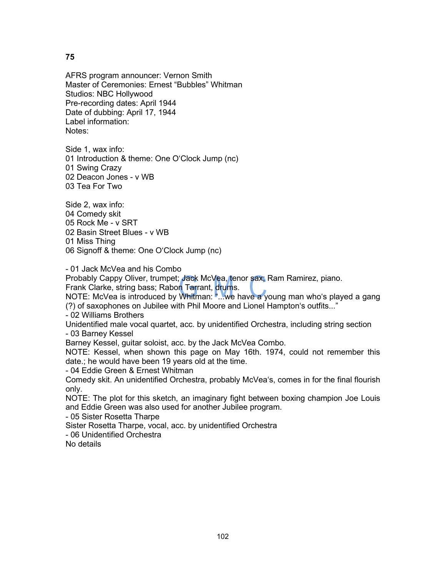AFRS program announcer: Vernon Smith Master of Ceremonies: Ernest "Bubbles" Whitman Studios: NBC Hollywood Pre-recording dates: April 1944 Date of dubbing: April 17, 1944 Label information: Notes:

Side 1, wax info: 01 Introduction & theme: One O'Clock Jump (nc) 01 Swing Crazy 02 Deacon Jones - v WB 03 Tea For Two

Side 2, wax info: 04 Comedy skit 05 Rock Me - v SRT 02 Basin Street Blues - v WB 01 Miss Thing 06 Signoff & theme: One O'Clock Jump (nc)

- 01 Jack McVea and his Combo

Probably Cappy Oliver, trumpet; Jack McVea, tenor sax; Ram Ramirez, piano.

Frank Clarke, string bass; Rabon Tarrant, drums.

NOTE: McVea is introduced by Whitman: "...we have a young man who's played a gang (?) of saxophones on Jubilee with Phil Moore and Lionel Hampton's outfits..."

- 02 Williams Brothers

Unidentified male vocal quartet, acc. by unidentified Orchestra, including string section - 03 Barney Kessel

Barney Kessel, guitar soloist, acc. by the Jack McVea Combo.

NOTE: Kessel, when shown this page on May 16th. 1974, could not remember this date.; he would have been 19 years old at the time.

- 04 Eddie Green & Ernest Whitman

Comedy skit. An unidentified Orchestra, probably McVea's, comes in for the final flourish only.

NOTE: The plot for this sketch, an imaginary fight between boxing champion Joe Louis and Eddie Green was also used for another Jubilee program.

- 05 Sister Rosetta Tharpe

Sister Rosetta Tharpe, vocal, acc. by unidentified Orchestra

- 06 Unidentified Orchestra

No details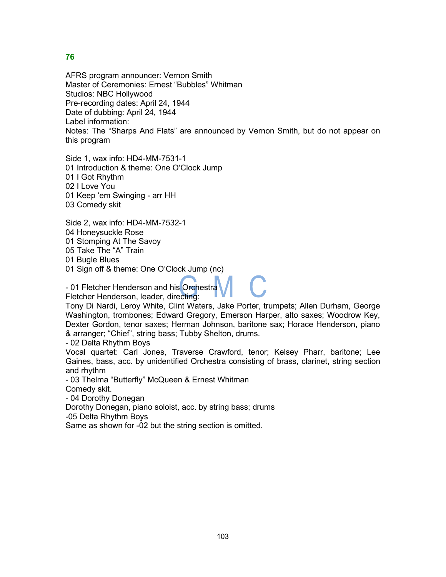AFRS program announcer: Vernon Smith Master of Ceremonies: Ernest "Bubbles" Whitman Studios: NBC Hollywood Pre-recording dates: April 24, 1944 Date of dubbing: April 24, 1944 Label information: Notes: The "Sharps And Flats" are announced by Vernon Smith, but do not appear on this program

Side 1, wax info: HD4-MM-7531-1 01 Introduction & theme: One O'Clock Jump 01 I Got Rhythm 02 I Love You 01 Keep 'em Swinging - arr HH 03 Comedy skit

Side 2, wax info: HD4-MM-7532-1

04 Honeysuckle Rose

01 Stomping At The Savoy

05 Take The "A" Train

01 Bugle Blues

01 Sign off & theme: One O'Clock Jump (nc)

- 01 Fletcher Henderson and his Orchestra

Fletcher Henderson, leader, directing:

Tony Di Nardi, Leroy White, Clint Waters, Jake Porter, trumpets; Allen Durham, George Washington, trombones; Edward Gregory, Emerson Harper, alto saxes; Woodrow Key, Dexter Gordon, tenor saxes; Herman Johnson, baritone sax; Horace Henderson, piano & arranger; "Chief", string bass; Tubby Shelton, drums.

- 02 Delta Rhythm Boys

Vocal quartet: Carl Jones, Traverse Crawford, tenor; Kelsey Pharr, baritone; Lee Gaines, bass, acc. by unidentified Orchestra consisting of brass, clarinet, string section and rhythm

- 03 Thelma "Butterfly" McQueen & Ernest Whitman

Comedy skit.

- 04 Dorothy Donegan

Dorothy Donegan, piano soloist, acc. by string bass; drums

-05 Delta Rhythm Boys

Same as shown for -02 but the string section is omitted.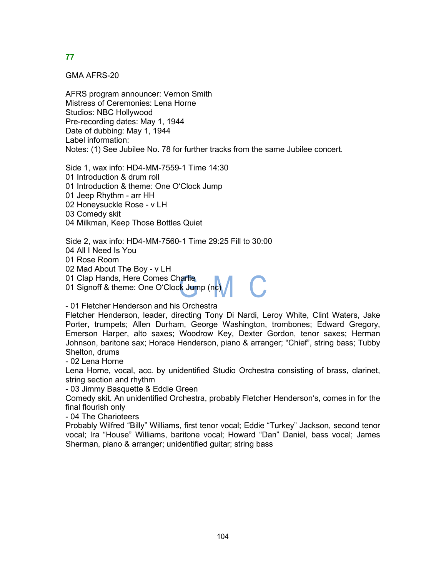GMA AFRS-20

AFRS program announcer: Vernon Smith Mistress of Ceremonies: Lena Horne Studios: NBC Hollywood Pre-recording dates: May 1, 1944 Date of dubbing: May 1, 1944 Label information: Notes: (1) See Jubilee No. 78 for further tracks from the same Jubilee concert.

Side 1, wax info: HD4-MM-7559-1 Time 14:30 01 Introduction & drum roll 01 Introduction & theme: One O'Clock Jump 01 Jeep Rhythm - arr HH 02 Honeysuckle Rose - v LH 03 Comedy skit 04 Milkman, Keep Those Bottles Quiet

Side 2, wax info: HD4-MM-7560-1 Time 29:25 Fill to 30:00 04 All I Need Is You 01 Rose Room 02 Mad About The Boy - v LH 01 Clap Hands, Here Comes Charlie 01 Signoff & theme: One O'Clock Jump (nc)

- 01 Fletcher Henderson and his Orchestra

Fletcher Henderson, leader, directing Tony Di Nardi, Leroy White, Clint Waters, Jake Porter, trumpets; Allen Durham, George Washington, trombones; Edward Gregory, Emerson Harper, alto saxes; Woodrow Key, Dexter Gordon, tenor saxes; Herman Johnson, baritone sax; Horace Henderson, piano & arranger; "Chief", string bass; Tubby Shelton, drums

- 02 Lena Horne

Lena Horne, vocal, acc. by unidentified Studio Orchestra consisting of brass, clarinet, string section and rhythm

- 03 Jimmy Basquette & Eddie Green

Comedy skit. An unidentified Orchestra, probably Fletcher Henderson's, comes in for the final flourish only

- 04 The Charioteers

Probably Wilfred "Billy" Williams, first tenor vocal; Eddie "Turkey" Jackson, second tenor vocal; Ira "House" Williams, baritone vocal; Howard "Dan" Daniel, bass vocal; James Sherman, piano & arranger; unidentified guitar; string bass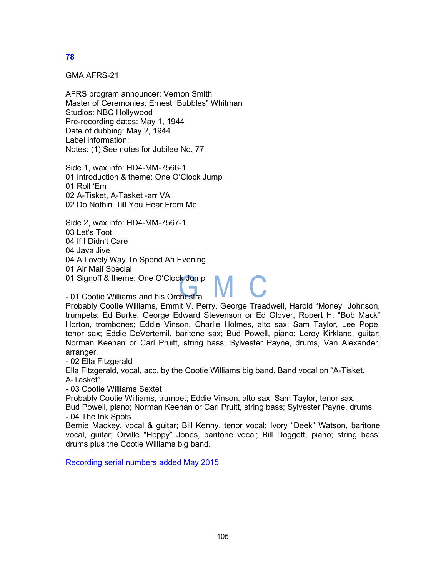GMA AFRS-21

AFRS program announcer: Vernon Smith Master of Ceremonies: Ernest "Bubbles" Whitman Studios: NBC Hollywood Pre-recording dates: May 1, 1944 Date of dubbing: May 2, 1944 Label information: Notes: (1) See notes for Jubilee No. 77

Side 1, wax info: HD4-MM-7566-1 01 Introduction & theme: One O'Clock Jump 01 Roll 'Em 02 A-Tisket, A-Tasket -arr VA 02 Do Nothin' Till You Hear From Me

Side 2, wax info: HD4-MM-7567-1 03 Let's Toot 04 If I Didn't Care 04 Java Jive 04 A Lovely Way To Spend An Evening 01 Air Mail Special 01 Signoff & theme: One O'Clock Jump

- 01 Cootie Williams and his Orchestra

Probably Cootie Williams, Emmit V. Perry, George Treadwell, Harold "Money" Johnson, trumpets; Ed Burke, George Edward Stevenson or Ed Glover, Robert H. "Bob Mack" Horton, trombones; Eddie Vinson, Charlie Holmes, alto sax; Sam Taylor, Lee Pope, tenor sax; Eddie DeVertemil, baritone sax; Bud Powell, piano; Leroy Kirkland, guitar; Norman Keenan or Carl Pruitt, string bass; Sylvester Payne, drums, Van Alexander, arranger.

- 02 Ella Fitzgerald

Ella Fitzgerald, vocal, acc. by the Cootie Williams big band. Band vocal on "A-Tisket, A-Tasket".

- 03 Cootie Williams Sextet

Probably Cootie Williams, trumpet; Eddie Vinson, alto sax; Sam Taylor, tenor sax.

Bud Powell, piano; Norman Keenan or Carl Pruitt, string bass; Sylvester Payne, drums. - 04 The Ink Spots

Bernie Mackey, vocal & guitar; Bill Kenny, tenor vocal; Ivory "Deek" Watson, baritone vocal, guitar; Orville "Hoppy" Jones, baritone vocal; Bill Doggett, piano; string bass; drums plus the Cootie Williams big band.

Recording serial numbers added May 2015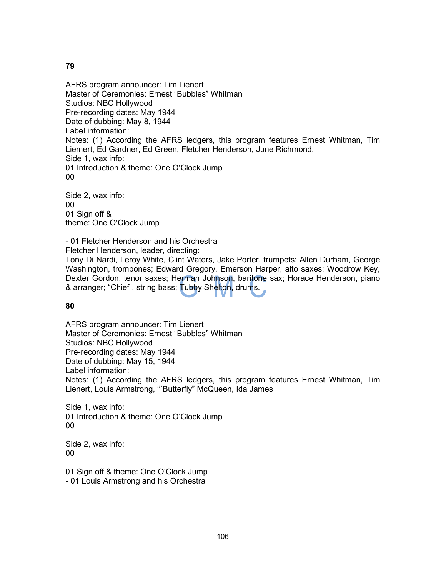AFRS program announcer: Tim Lienert Master of Ceremonies: Ernest "Bubbles" Whitman Studios: NBC Hollywood Pre-recording dates: May 1944 Date of dubbing: May 8, 1944 Label information: Notes: (1) According the AFRS ledgers, this program features Ernest Whitman, Tim Liemert, Ed Gardner, Ed Green, Fletcher Henderson, June Richmond. Side 1, wax info: 01 Introduction & theme: One O'Clock Jump 00

Side 2, wax info: 00 01 Sign off & theme: One O'Clock Jump

- 01 Fletcher Henderson and his Orchestra Fletcher Henderson, leader, directing:

Tony Di Nardi, Leroy White, Clint Waters, Jake Porter, trumpets; Allen Durham, George Washington, trombones; Edward Gregory, Emerson Harper, alto saxes; Woodrow Key, Dexter Gordon, tenor saxes; Herman Johnson, baritone sax; Horace Henderson, piano & arranger; "Chief", string bass; Tubby Shelton, drums.

**80**

AFRS program announcer: Tim Lienert Master of Ceremonies: Ernest "Bubbles" Whitman Studios: NBC Hollywood Pre-recording dates: May 1944 Date of dubbing: May 15, 1944 Label information: Notes: (1) According the AFRS ledgers, this program features Ernest Whitman, Tim Lienert, Louis Armstrong, "´Butterfly" McQueen, Ida James

Side 1, wax info: 01 Introduction & theme: One O'Clock Jump 00

Side 2, wax info: 00

01 Sign off & theme: One O'Clock Jump - 01 Louis Armstrong and his Orchestra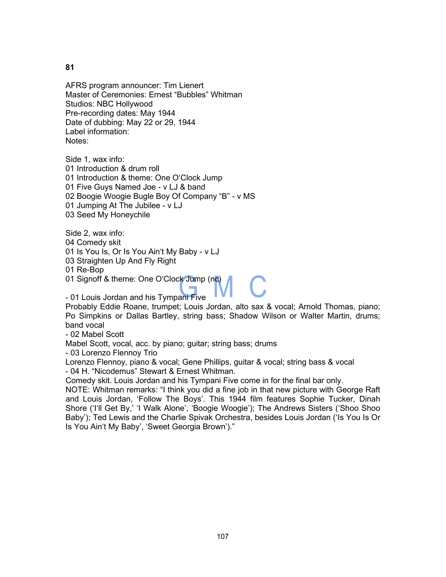AFRS program announcer: Tim Lienert Master of Ceremonies: Ernest "Bubbles" Whitman Studios: NBC Hollywood Pre-recording dates: May 1944 Date of dubbing: May 22 or 29, 1944 Label information: Notes:

Side 1, wax info: 01 Introduction & drum roll 01 Introduction & theme: One O'Clock Jump 01 Five Guys Named Joe - v LJ & band 02 Boogie Woogie Bugle Boy Of Company "B" - v MS 01 Jumping At The Jubilee - v LJ 03 Seed My Honeychile

Side 2, wax info:

04 Comedy skit

01 Is You Is, Or Is You Ain't My Baby - v LJ

03 Straighten Up And Fly Right

01 Re-Bop

01 Signoff & theme: One O'Clock Jump (nc)

- 01 Louis Jordan and his Tympani Five

Probably Eddie Roane, trumpet; Louis Jordan, alto sax & vocal; Arnold Thomas, piano; Po Simpkins or Dallas Bartley, string bass; Shadow Wilson or Walter Martin, drums; band vocal

- 02 Mabel Scott

Mabel Scott, vocal, acc. by piano; guitar; string bass; drums

- 03 Lorenzo Flennoy Trio

Lorenzo Flennoy, piano & vocal; Gene Phillips, guitar & vocal; string bass & vocal - 04 H. "Nicodemus" Stewart & Ernest Whitman.

Comedy skit. Louis Jordan and his Tympani Five come in for the final bar only.

NOTE: Whitman remarks: "I think you did a fine job in that new picture with George Raft and Louis Jordan, 'Follow The Boys'. This 1944 film features Sophie Tucker, Dinah Shore ('I'll Get By,' 'I Walk Alone', 'Boogie Woogie'); The Andrews Sisters ('Shoo Shoo Baby'); Ted Lewis and the Charlie Spivak Orchestra, besides Louis Jordan ('Is You Is Or Is You Ain't My Baby', 'Sweet Georgia Brown')."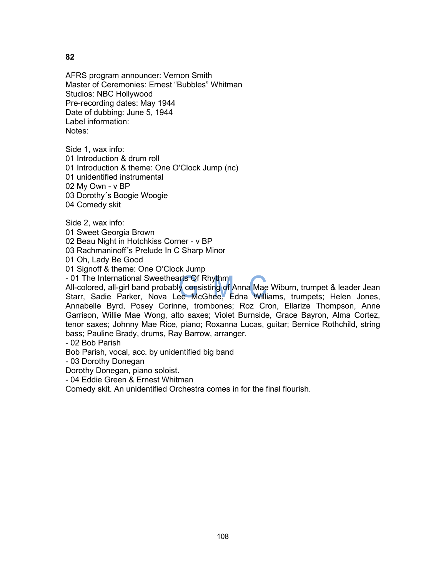AFRS program announcer: Vernon Smith Master of Ceremonies: Ernest "Bubbles" Whitman Studios: NBC Hollywood Pre-recording dates: May 1944 Date of dubbing: June 5, 1944 Label information: Notes:

Side 1, wax info: 01 Introduction & drum roll 01 Introduction & theme: One O'Clock Jump (nc) 01 unidentified instrumental 02 My Own - v BP 03 Dorothy´s Boogie Woogie 04 Comedy skit

Side 2, wax info:

01 Sweet Georgia Brown

02 Beau Night in Hotchkiss Corner - v BP

03 Rachmaninoff´s Prelude In C Sharp Minor

01 Oh, Lady Be Good

01 Signoff & theme: One O'Clock Jump

- 01 The International Sweethearts Of Rhythm

All-colored, all-girl band probably consisting of Anna Mae Wiburn, trumpet & leader Jean Starr, Sadie Parker, Nova Lee McGhee, Edna Williams, trumpets; Helen Jones, Annabelle Byrd, Posey Corinne, trombones; Roz Cron, Ellarize Thompson, Anne Garrison, Willie Mae Wong, alto saxes; Violet Burnside, Grace Bayron, Alma Cortez, tenor saxes; Johnny Mae Rice, piano; Roxanna Lucas, guitar; Bernice Rothchild, string bass; Pauline Brady, drums, Ray Barrow, arranger.

- 02 Bob Parish

Bob Parish, vocal, acc. by unidentified big band

- 03 Dorothy Donegan

Dorothy Donegan, piano soloist.

- 04 Eddie Green & Ernest Whitman

Comedy skit. An unidentified Orchestra comes in for the final flourish.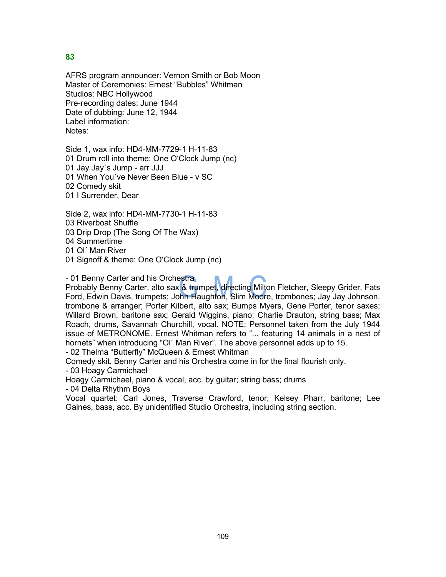AFRS program announcer: Vernon Smith or Bob Moon Master of Ceremonies: Ernest "Bubbles" Whitman Studios: NBC Hollywood Pre-recording dates: June 1944 Date of dubbing: June 12, 1944 Label information: Notes:

Side 1, wax info: HD4-MM-7729-1 H-11-83 01 Drum roll into theme: One O'Clock Jump (nc) 01 Jay Jay´s Jump - arr JJJ 01 When You´ve Never Been Blue - v SC 02 Comedy skit 01 I Surrender, Dear

Side 2, wax info: HD4-MM-7730-1 H-11-83 03 Riverboat Shuffle 03 Drip Drop (The Song Of The Wax) 04 Summertime

01 Ol´ Man River

01 Signoff & theme: One O'Clock Jump (nc)

- 01 Benny Carter and his Orchestra

Probably Benny Carter, alto sax & trumpet, directing Milton Fletcher, Sleepy Grider, Fats Ford, Edwin Davis, trumpets; John Haughton, Slim Moore, trombones; Jay Jay Johnson. trombone & arranger; Porter Kilbert, alto sax; Bumps Myers, Gene Porter, tenor saxes; Willard Brown, baritone sax; Gerald Wiggins, piano; Charlie Drauton, string bass; Max Roach, drums, Savannah Churchill, vocal. NOTE: Personnel taken from the July 1944 issue of METRONOME. Ernest Whitman refers to "... featuring 14 animals in a nest of hornets" when introducing "Ol´ Man River". The above personnel adds up to 15.

- 02 Thelma "Butterfly" McQueen & Ernest Whitman

Comedy skit. Benny Carter and his Orchestra come in for the final flourish only.

- 03 Hoagy Carmichael

Hoagy Carmichael, piano & vocal, acc. by guitar; string bass; drums

- 04 Delta Rhythm Boys

Vocal quartet: Carl Jones, Traverse Crawford, tenor; Kelsey Pharr, baritone; Lee Gaines, bass, acc. By unidentified Studio Orchestra, including string section.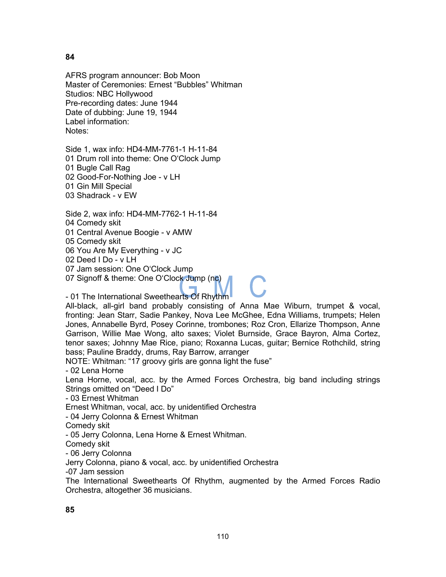AFRS program announcer: Bob Moon Master of Ceremonies: Ernest "Bubbles" Whitman Studios: NBC Hollywood Pre-recording dates: June 1944 Date of dubbing: June 19, 1944 Label information: Notes:

Side 1, wax info: HD4-MM-7761-1 H-11-84 01 Drum roll into theme: One O'Clock Jump 01 Bugle Call Rag 02 Good-For-Nothing Joe - v LH 01 Gin Mill Special 03 Shadrack - v EW

Side 2, wax info: HD4-MM-7762-1 H-11-84 04 Comedy skit

01 Central Avenue Boogie - v AMW

05 Comedy skit

06 You Are My Everything - v JC

02 Deed I Do - v LH

07 Jam session: One O'Clock Jump

07 Signoff & theme: One O'Clock Jump (nc)

- 01 The International Sweethearts Of Rhythm

All-black, all-girl band probably consisting of Anna Mae Wiburn, trumpet & vocal, fronting: Jean Starr, Sadie Pankey, Nova Lee McGhee, Edna Williams, trumpets; Helen Jones, Annabelle Byrd, Posey Corinne, trombones; Roz Cron, Ellarize Thompson, Anne Garrison, Willie Mae Wong, alto saxes; Violet Burnside, Grace Bayron, Alma Cortez, tenor saxes; Johnny Mae Rice, piano; Roxanna Lucas, guitar; Bernice Rothchild, string bass; Pauline Braddy, drums, Ray Barrow, arranger

NOTE: Whitman: "17 groovy girls are gonna light the fuse"

- 02 Lena Horne

Lena Horne, vocal, acc. by the Armed Forces Orchestra, big band including strings Strings omitted on "Deed I Do"

- 03 Ernest Whitman

Ernest Whitman, vocal, acc. by unidentified Orchestra

- 04 Jerry Colonna & Ernest Whitman

Comedy skit

- 05 Jerry Colonna, Lena Horne & Ernest Whitman.

Comedy skit

- 06 Jerry Colonna

Jerry Colonna, piano & vocal, acc. by unidentified Orchestra

-07 Jam session

The International Sweethearts Of Rhythm, augmented by the Armed Forces Radio Orchestra, altogether 36 musicians.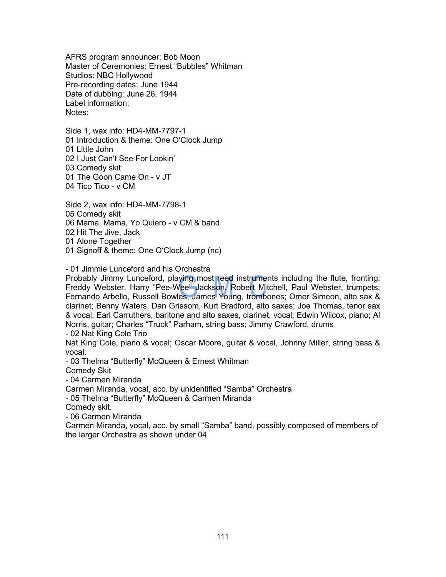AFRS program announcer: Bob Moon Master of Ceremonies: Ernest "Bubbles" Whitman Studios: NBC Hollywood Pre-recording dates: June 1944 Date of dubbing: June 26, 1944 Label information: Notes:

Side 1, wax info: HD4-MM-7797-1 01 Introduction & theme: One O'Clock Jump 01 Little John 02 I Just Can't See For Lookin´ 03 Comedy skit 01 The Goon Came On - v JT 04 Tico Tico - v CM

Side 2, wax info: HD4-MM-7798-1 05 Comedy skit 06 Mama, Mama, Yo Quiero - v CM & band 02 Hit The Jive, Jack 01 Alone Together 01 Signoff & theme: One O'Clock Jump (nc)

- 01 Jimmie Lunceford and his Orchestra

Probably Jimmy Lunceford, playing most reed instruments including the flute, fronting: Freddy Webster, Harry "Pee-Wee" Jackson, Robert Mitchell, Paul Webster, trumpets; Fernando Arbello, Russell Bowles, James Young, trombones; Omer Simeon, alto sax & clarinet; Benny Waters, Dan Grissom, Kurt Bradford, alto saxes; Joe Thomas, tenor sax & vocal; Earl Carruthers, baritone and alto saxes, clarinet, vocal; Edwin Wilcox, piano; Al Norris, guitar; Charles "Truck" Parham, string bass; Jimmy Crawford, drums

- 02 Nat King Cole Trio

Nat King Cole, piano & vocal; Oscar Moore, guitar & vocal, Johnny Miller, string bass & vocal.

- 03 Thelma "Butterfly" McQueen & Ernest Whitman

Comedy Skit

- 04 Carmen Miranda

Carmen Miranda, vocal, acc. by unidentified "Samba" Orchestra

- 05 Thelma "Butterfly" McQueen & Carmen Miranda

Comedy skit.

- 06 Carmen Miranda

Carmen Miranda, vocal, acc. by small "Samba" band, possibly composed of members of the larger Orchestra as shown under 04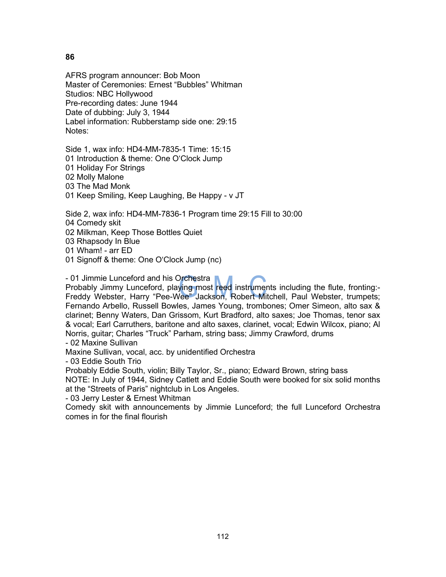AFRS program announcer: Bob Moon Master of Ceremonies: Ernest "Bubbles" Whitman Studios: NBC Hollywood Pre-recording dates: June 1944 Date of dubbing: July 3, 1944 Label information: Rubberstamp side one: 29:15 Notes:

Side 1, wax info: HD4-MM-7835-1 Time: 15:15 01 Introduction & theme: One O'Clock Jump 01 Holiday For Strings 02 Molly Malone 03 The Mad Monk 01 Keep Smiling, Keep Laughing, Be Happy - v JT

Side 2, wax info: HD4-MM-7836-1 Program time 29:15 Fill to 30:00

04 Comedy skit

02 Milkman, Keep Those Bottles Quiet

03 Rhapsody In Blue

01 Wham! - arr ED

01 Signoff & theme: One O'Clock Jump (nc)

- 01 Jimmie Lunceford and his Orchestra

Probably Jimmy Lunceford, playing most reed instruments including the flute, fronting:- Freddy Webster, Harry "Pee-Wee" Jackson, Robert Mitchell, Paul Webster, trumpets; Fernando Arbello, Russell Bowles, James Young, trombones; Omer Simeon, alto sax & clarinet; Benny Waters, Dan Grissom, Kurt Bradford, alto saxes; Joe Thomas, tenor sax & vocal; Earl Carruthers, baritone and alto saxes, clarinet, vocal; Edwin Wilcox, piano; Al Norris, guitar; Charles "Truck" Parham, string bass; Jimmy Crawford, drums

- 02 Maxine Sullivan

Maxine Sullivan, vocal, acc. by unidentified Orchestra

- 03 Eddie South Trio

Probably Eddie South, violin; Billy Taylor, Sr., piano; Edward Brown, string bass

NOTE: In July of 1944, Sidney Catlett and Eddie South were booked for six solid months at the "Streets of Paris" nightclub in Los Angeles.

- 03 Jerry Lester & Ernest Whitman

Comedy skit with announcements by Jimmie Lunceford; the full Lunceford Orchestra comes in for the final flourish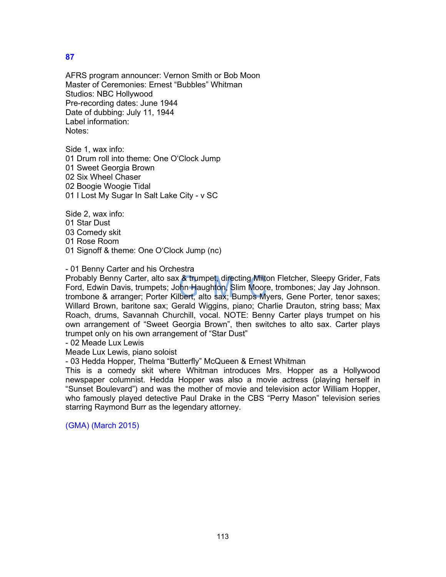AFRS program announcer: Vernon Smith or Bob Moon Master of Ceremonies: Ernest "Bubbles" Whitman Studios: NBC Hollywood Pre-recording dates: June 1944 Date of dubbing: July 11, 1944 Label information: Notes:

Side 1, wax info: 01 Drum roll into theme: One O'Clock Jump 01 Sweet Georgia Brown 02 Six Wheel Chaser 02 Boogie Woogie Tidal 01 I Lost My Sugar In Salt Lake City - v SC

Side 2, wax info:

01 Star Dust

03 Comedy skit

01 Rose Room

01 Signoff & theme: One O'Clock Jump (nc)

# - 01 Benny Carter and his Orchestra

Probably Benny Carter, alto sax & trumpet, directing Milton Fletcher, Sleepy Grider, Fats Ford, Edwin Davis, trumpets; John Haughton, Slim Moore, trombones; Jay Jay Johnson. trombone & arranger; Porter Kilbert, alto sax; Bumps Myers, Gene Porter, tenor saxes; Willard Brown, baritone sax; Gerald Wiggins, piano; Charlie Drauton, string bass; Max Roach, drums, Savannah Churchill, vocal. NOTE: Benny Carter plays trumpet on his own arrangement of "Sweet Georgia Brown", then switches to alto sax. Carter plays trumpet only on his own arrangement of "Star Dust"

- 02 Meade Lux Lewis

Meade Lux Lewis, piano soloist

- 03 Hedda Hopper, Thelma "Butterfly" McQueen & Ernest Whitman

This is a comedy skit where Whitman introduces Mrs. Hopper as a Hollywood newspaper columnist. Hedda Hopper was also a movie actress (playing herself in "Sunset Boulevard") and was the mother of movie and television actor William Hopper, who famously played detective Paul Drake in the CBS "Perry Mason" television series starring Raymond Burr as the legendary attorney.

(GMA) (March 2015)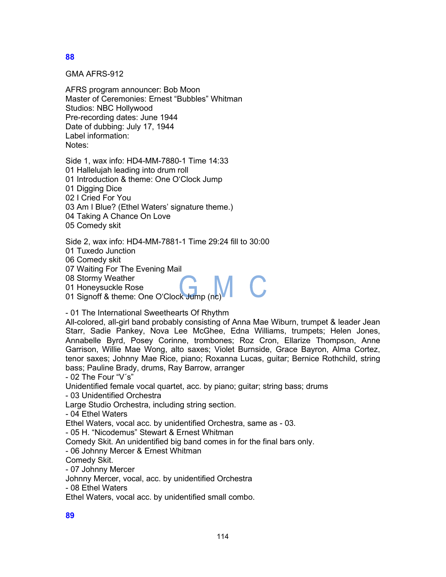GMA AFRS-912

AFRS program announcer: Bob Moon Master of Ceremonies: Ernest "Bubbles" Whitman Studios: NBC Hollywood Pre-recording dates: June 1944 Date of dubbing: July 17, 1944 Label information: Notes:

Side 1, wax info: HD4-MM-7880-1 Time 14:33 01 Hallelujah leading into drum roll 01 Introduction & theme: One O'Clock Jump 01 Digging Dice 02 I Cried For You 03 Am I Blue? (Ethel Waters' signature theme.) 04 Taking A Chance On Love 05 Comedy skit

Side 2, wax info: HD4-MM-7881-1 Time 29:24 fill to 30:00

01 Tuxedo Junction

06 Comedy skit

07 Waiting For The Evening Mail

08 Stormy Weather

01 Honeysuckle Rose

01 Signoff & theme: One O'Clock Jump (no

- 01 The International Sweethearts Of Rhythm

All-colored, all-girl band probably consisting of Anna Mae Wiburn, trumpet & leader Jean Starr, Sadie Pankey, Nova Lee McGhee, Edna Williams, trumpets; Helen Jones, Annabelle Byrd, Posey Corinne, trombones; Roz Cron, Ellarize Thompson, Anne Garrison, Willie Mae Wong, alto saxes; Violet Burnside, Grace Bayron, Alma Cortez, tenor saxes; Johnny Mae Rice, piano; Roxanna Lucas, guitar; Bernice Rothchild, string bass; Pauline Brady, drums, Ray Barrow, arranger

- 02 The Four "V´s"

Unidentified female vocal quartet, acc. by piano; guitar; string bass; drums

- 03 Unidentified Orchestra

Large Studio Orchestra, including string section.

- 04 Ethel Waters

Ethel Waters, vocal acc. by unidentified Orchestra, same as - 03.

- 05 H. "Nicodemus" Stewart & Ernest Whitman

Comedy Skit. An unidentified big band comes in for the final bars only.

- 06 Johnny Mercer & Ernest Whitman

Comedy Skit.

- 07 Johnny Mercer

Johnny Mercer, vocal, acc. by unidentified Orchestra

- 08 Ethel Waters

Ethel Waters, vocal acc. by unidentified small combo.

**89**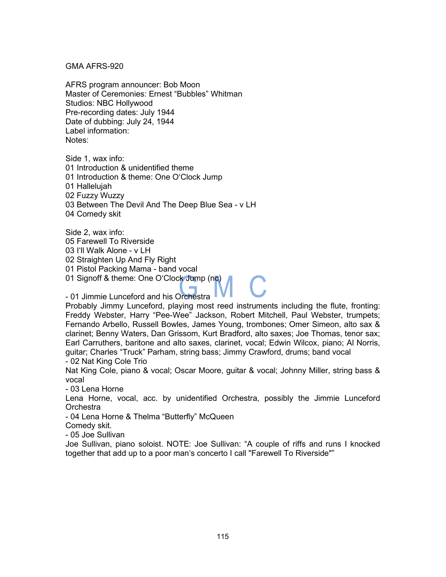#### GMA AFRS-920

AFRS program announcer: Bob Moon Master of Ceremonies: Ernest "Bubbles" Whitman Studios: NBC Hollywood Pre-recording dates: July 1944 Date of dubbing: July 24, 1944 Label information: Notes:

Side 1, wax info: 01 Introduction & unidentified theme 01 Introduction & theme: One O'Clock Jump 01 Hallelujah 02 Fuzzy Wuzzy 03 Between The Devil And The Deep Blue Sea - v LH 04 Comedy skit

Side 2, wax info: 05 Farewell To Riverside 03 I'll Walk Alone - v LH 02 Straighten Up And Fly Right 01 Pistol Packing Mama - band vocal 01 Signoff & theme: One O'Clock Jump (nc) - 01 Jimmie Lunceford and his Orchestra

Probably Jimmy Lunceford, playing most reed instruments including the flute, fronting: Freddy Webster, Harry "Pee-Wee" Jackson, Robert Mitchell, Paul Webster, trumpets; Fernando Arbello, Russell Bowles, James Young, trombones; Omer Simeon, alto sax & clarinet; Benny Waters, Dan Grissom, Kurt Bradford, alto saxes; Joe Thomas, tenor sax; Earl Carruthers, baritone and alto saxes, clarinet, vocal; Edwin Wilcox, piano; Al Norris, guitar; Charles "Truck" Parham, string bass; Jimmy Crawford, drums; band vocal - 02 Nat King Cole Trio

Nat King Cole, piano & vocal; Oscar Moore, guitar & vocal; Johnny Miller, string bass & vocal

- 03 Lena Horne

Lena Horne, vocal, acc. by unidentified Orchestra, possibly the Jimmie Lunceford **Orchestra** 

- 04 Lena Horne & Thelma "Butterfly" McQueen

Comedy skit.

- 05 Joe Sullivan

Joe Sullivan, piano soloist. NOTE: Joe Sullivan: "A couple of riffs and runs I knocked together that add up to a poor man's concerto I call "Farewell To Riverside""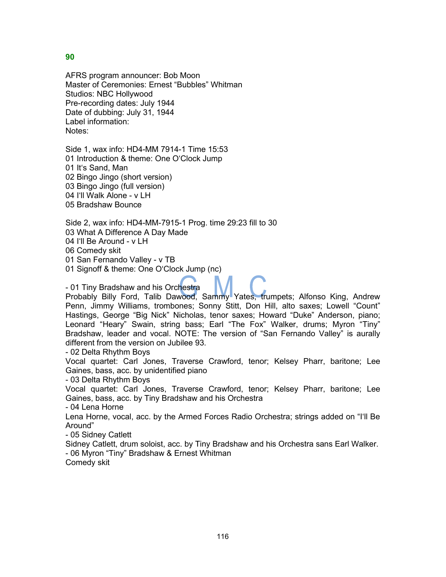AFRS program announcer: Bob Moon Master of Ceremonies: Ernest "Bubbles" Whitman Studios: NBC Hollywood Pre-recording dates: July 1944 Date of dubbing: July 31, 1944 Label information: Notes:

Side 1, wax info: HD4-MM 7914-1 Time 15:53 01 Introduction & theme: One O'Clock Jump 01 It's Sand, Man 02 Bingo Jingo (short version) 03 Bingo Jingo (full version) 04 I'll Walk Alone - v LH 05 Bradshaw Bounce

Side 2, wax info: HD4-MM-7915-1 Prog. time 29:23 fill to 30 03 What A Difference A Day Made 04 I'll Be Around - v LH 06 Comedy skit 01 San Fernando Valley - v TB 01 Signoff & theme: One O'Clock Jump (nc)

- 01 Tiny Bradshaw and his Orchestra

Probably Billy Ford, Talib Dawood, Sammy Yates, trumpets; Alfonso King, Andrew Penn, Jimmy Williams, trombones; Sonny Stitt, Don Hill, alto saxes; Lowell "Count" Hastings, George "Big Nick" Nicholas, tenor saxes; Howard "Duke" Anderson, piano; Leonard "Heary" Swain, string bass; Earl "The Fox" Walker, drums; Myron "Tiny" Bradshaw, leader and vocal. NOTE: The version of "San Fernando Valley" is aurally different from the version on Jubilee 93.

- 02 Delta Rhythm Boys

Vocal quartet: Carl Jones, Traverse Crawford, tenor; Kelsey Pharr, baritone; Lee Gaines, bass, acc. by unidentified piano

- 03 Delta Rhythm Boys

Vocal quartet: Carl Jones, Traverse Crawford, tenor; Kelsey Pharr, baritone; Lee Gaines, bass, acc. by Tiny Bradshaw and his Orchestra

- 04 Lena Horne

Lena Horne, vocal, acc. by the Armed Forces Radio Orchestra; strings added on "I'll Be Around"

- 05 Sidney Catlett

Sidney Catlett, drum soloist, acc. by Tiny Bradshaw and his Orchestra sans Earl Walker. - 06 Myron "Tiny" Bradshaw & Ernest Whitman

Comedy skit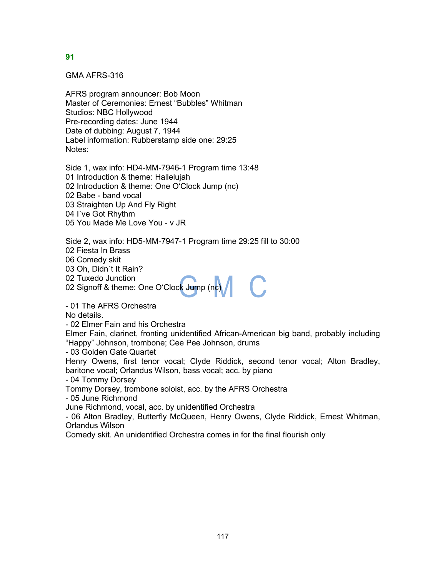GMA AFRS-316

AFRS program announcer: Bob Moon Master of Ceremonies: Ernest "Bubbles" Whitman Studios: NBC Hollywood Pre-recording dates: June 1944 Date of dubbing: August 7, 1944 Label information: Rubberstamp side one: 29:25 Notes:

Side 1, wax info: HD4-MM-7946-1 Program time 13:48 01 Introduction & theme: Hallelujah 02 Introduction & theme: One O'Clock Jump (nc) 02 Babe - band vocal 03 Straighten Up And Fly Right 04 I´ve Got Rhythm 05 You Made Me Love You - v JR

Side 2, wax info: HD5-MM-7947-1 Program time 29:25 fill to 30:00

02 Fiesta In Brass

06 Comedy skit

03 Oh, Didn´t It Rain?

02 Tuxedo Junction

02 Signoff & theme: One O'Cloc<mark>k</mark> Jump (n<mark>c)</mark>

- 01 The AFRS Orchestra

No details.

- 02 Elmer Fain and his Orchestra

Elmer Fain, clarinet, fronting unidentified African-American big band, probably including "Happy" Johnson, trombone; Cee Pee Johnson, drums

- 03 Golden Gate Quartet

Henry Owens, first tenor vocal; Clyde Riddick, second tenor vocal; Alton Bradley, baritone vocal; Orlandus Wilson, bass vocal; acc. by piano

- 04 Tommy Dorsey

Tommy Dorsey, trombone soloist, acc. by the AFRS Orchestra

- 05 June Richmond

June Richmond, vocal, acc. by unidentified Orchestra

- 06 Alton Bradley, Butterfly McQueen, Henry Owens, Clyde Riddick, Ernest Whitman, Orlandus Wilson

Comedy skit. An unidentified Orchestra comes in for the final flourish only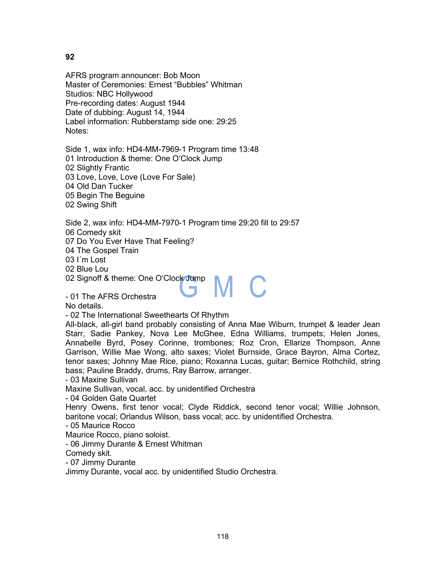AFRS program announcer: Bob Moon Master of Ceremonies: Ernest "Bubbles" Whitman Studios: NBC Hollywood Pre-recording dates: August 1944 Date of dubbing: August 14, 1944 Label information: Rubberstamp side one: 29:25 Notes:

Side 1, wax info: HD4-MM-7969-1 Program time 13:48 01 Introduction & theme: One O'Clock Jump 02 Slightly Frantic 03 Love, Love, Love (Love For Sale) 04 Old Dan Tucker 05 Begin The Beguine 02 Swing Shift

Side 2, wax info: HD4-MM-7970-1 Program time 29:20 fill to 29:57 06 Comedy skit 07 Do You Ever Have That Feeling? 04 The Gospel Train

03 I´m Lost

02 Blue Lou

02 Signoff & theme: One O'Clock Jump

- 01 The AFRS Orchestra

No details.

- 02 The International Sweethearts Of Rhythm

All-black, all-girl band probably consisting of Anna Mae Wiburn, trumpet & leader Jean Starr, Sadie Pankey, Nova Lee McGhee, Edna Williams, trumpets; Helen Jones, Annabelle Byrd, Posey Corinne, trombones; Roz Cron, Ellarize Thompson, Anne Garrison, Willie Mae Wong, alto saxes; Violet Burnside, Grace Bayron, Alma Cortez, tenor saxes; Johnny Mae Rice, piano; Roxanna Lucas, guitar; Bernice Rothchild, string bass; Pauline Braddy, drums, Ray Barrow, arranger.

M C

- 03 Maxine Sullivan

Maxine Sullivan, vocal, acc. by unidentified Orchestra

- 04 Golden Gate Quartet

Henry Owens, first tenor vocal; Clyde Riddick, second tenor vocal; Willie Johnson, baritone vocal; Orlandus Wilson, bass vocal; acc. by unidentified Orchestra.

- 05 Maurice Rocco

Maurice Rocco, piano soloist.

- 06 Jimmy Durante & Ernest Whitman

Comedy skit.

- 07 Jimmy Durante

Jimmy Durante, vocal acc. by unidentified Studio Orchestra.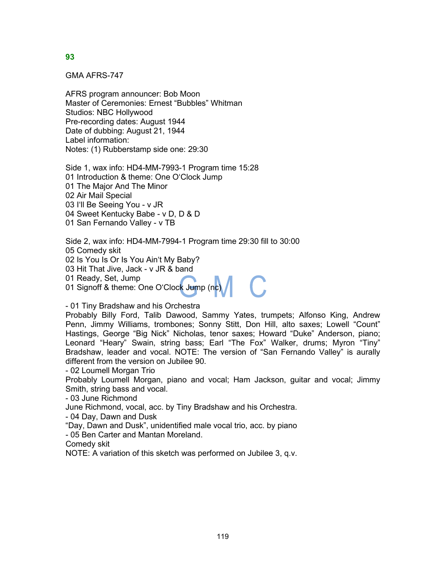GMA AFRS-747

AFRS program announcer: Bob Moon Master of Ceremonies: Ernest "Bubbles" Whitman Studios: NBC Hollywood Pre-recording dates: August 1944 Date of dubbing: August 21, 1944 Label information: Notes: (1) Rubberstamp side one: 29:30

Side 1, wax info: HD4-MM-7993-1 Program time 15:28 01 Introduction & theme: One O'Clock Jump 01 The Major And The Minor 02 Air Mail Special 03 I'll Be Seeing You - v JR 04 Sweet Kentucky Babe - v D, D & D 01 San Fernando Valley - v TB

Side 2, wax info: HD4-MM-7994-1 Program time 29:30 fill to 30:00 05 Comedy skit 02 Is You Is Or Is You Ain't My Baby? 03 Hit That Jive, Jack - v JR & band 01 Ready, Set, Jump 01 Ready, Set, Jump<br>01 Signoff & theme: One O'Clock Jump (nc)

# - 01 Tiny Bradshaw and his Orchestra

Probably Billy Ford, Talib Dawood, Sammy Yates, trumpets; Alfonso King, Andrew Penn, Jimmy Williams, trombones; Sonny Stitt, Don Hill, alto saxes; Lowell "Count" Hastings, George "Big Nick" Nicholas, tenor saxes; Howard "Duke" Anderson, piano; Leonard "Heary" Swain, string bass; Earl "The Fox" Walker, drums; Myron "Tiny" Bradshaw, leader and vocal. NOTE: The version of "San Fernando Valley" is aurally different from the version on Jubilee 90.

- 02 Loumell Morgan Trio

Probably Loumell Morgan, piano and vocal; Ham Jackson, guitar and vocal; Jimmy Smith, string bass and vocal.

- 03 June Richmond

June Richmond, vocal, acc. by Tiny Bradshaw and his Orchestra.

- 04 Day, Dawn and Dusk

"Day, Dawn and Dusk", unidentified male vocal trio, acc. by piano

- 05 Ben Carter and Mantan Moreland.

Comedy skit

NOTE: A variation of this sketch was performed on Jubilee 3, q.v.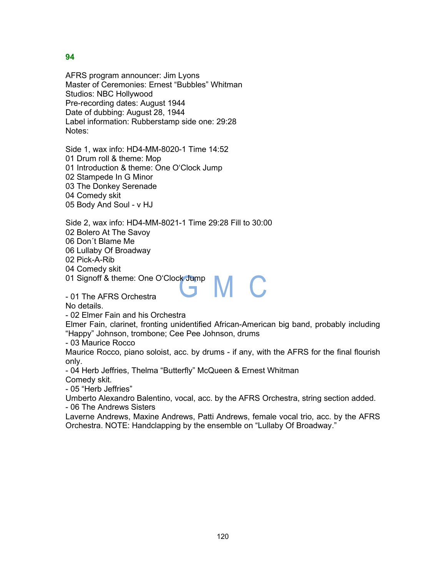AFRS program announcer: Jim Lyons Master of Ceremonies: Ernest "Bubbles" Whitman Studios: NBC Hollywood Pre-recording dates: August 1944 Date of dubbing: August 28, 1944 Label information: Rubberstamp side one: 29:28 Notes:

Side 1, wax info: HD4-MM-8020-1 Time 14:52 01 Drum roll & theme: Mop 01 Introduction & theme: One O'Clock Jump 02 Stampede In G Minor 03 The Donkey Serenade 04 Comedy skit 05 Body And Soul - v HJ

Side 2, wax info: HD4-MM-8021-1 Time 29:28 Fill to 30:00 02 Bolero At The Savoy 06 Don´t Blame Me 06 Lullaby Of Broadway 02 Pick-A-Rib 04 Comedy skit

01 Signoff & theme: One O'Clock Jump

- 01 The AFRS Orchestra

No details.

- 02 Elmer Fain and his Orchestra

Elmer Fain, clarinet, fronting unidentified African-American big band, probably including "Happy" Johnson, trombone; Cee Pee Johnson, drums

M C

- 03 Maurice Rocco

Maurice Rocco, piano soloist, acc. by drums - if any, with the AFRS for the final flourish only.

- 04 Herb Jeffries, Thelma "Butterfly" McQueen & Ernest Whitman Comedy skit.

- 05 "Herb Jeffries"

Umberto Alexandro Balentino, vocal, acc. by the AFRS Orchestra, string section added. - 06 The Andrews Sisters

Laverne Andrews, Maxine Andrews, Patti Andrews, female vocal trio, acc. by the AFRS Orchestra. NOTE: Handclapping by the ensemble on "Lullaby Of Broadway."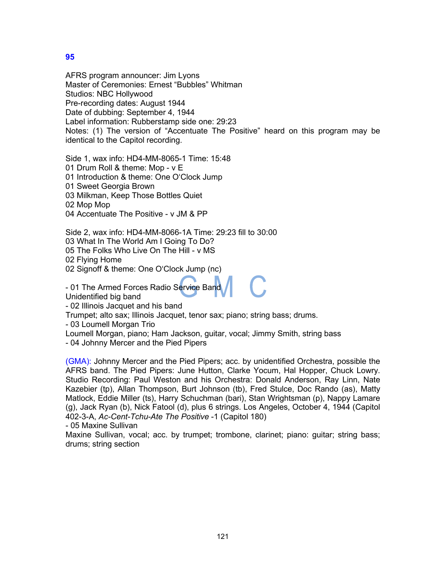AFRS program announcer: Jim Lyons Master of Ceremonies: Ernest "Bubbles" Whitman Studios: NBC Hollywood Pre-recording dates: August 1944 Date of dubbing: September 4, 1944 Label information: Rubberstamp side one: 29:23 Notes: (1) The version of "Accentuate The Positive" heard on this program may be identical to the Capitol recording.

Side 1, wax info: HD4-MM-8065-1 Time: 15:48

01 Drum Roll & theme: Mop - v E

01 Introduction & theme: One O'Clock Jump

01 Sweet Georgia Brown

03 Milkman, Keep Those Bottles Quiet

02 Mop Mop

04 Accentuate The Positive - v JM & PP

Side 2, wax info: HD4-MM-8066-1A Time: 29:23 fill to 30:00

03 What In The World Am I Going To Do?

05 The Folks Who Live On The Hill - v MS

02 Flying Home

02 Signoff & theme: One O'Clock Jump (nc)

- 01 The Armed Forces Radio Service Band

Unidentified big band

- 02 Illinois Jacquet and his band

Trumpet; alto sax; Illinois Jacquet, tenor sax; piano; string bass; drums.

- 03 Loumell Morgan Trio

Loumell Morgan, piano; Ham Jackson, guitar, vocal; Jimmy Smith, string bass

- 04 Johnny Mercer and the Pied Pipers

(GMA): Johnny Mercer and the Pied Pipers; acc. by unidentified Orchestra, possible the AFRS band. The Pied Pipers: June Hutton, Clarke Yocum, Hal Hopper, Chuck Lowry. Studio Recording: Paul Weston and his Orchestra: Donald Anderson, Ray Linn, Nate Kazebier (tp), Allan Thompson, Burt Johnson (tb), Fred Stulce, Doc Rando (as), Matty Matlock, Eddie Miller (ts), Harry Schuchman (bari), Stan Wrightsman (p), Nappy Lamare (g), Jack Ryan (b), Nick Fatool (d), plus 6 strings. Los Angeles, October 4, 1944 (Capitol 402-3-A, *Ac-Cent-Tchu-Ate The Positive* -1 (Capitol 180)

- 05 Maxine Sullivan

Maxine Sullivan, vocal; acc. by trumpet; trombone, clarinet; piano: guitar; string bass; drums; string section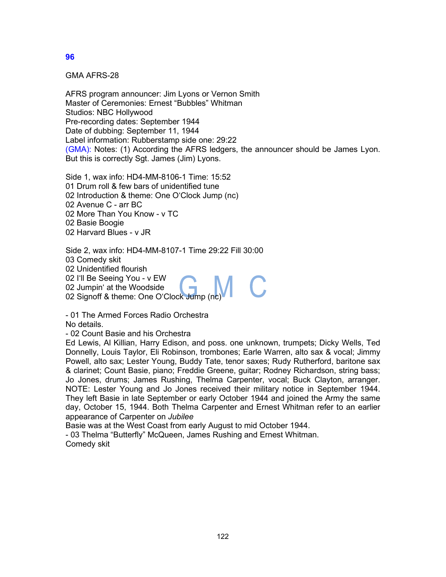GMA AFRS-28

AFRS program announcer: Jim Lyons or Vernon Smith Master of Ceremonies: Ernest "Bubbles" Whitman Studios: NBC Hollywood Pre-recording dates: September 1944 Date of dubbing: September 11, 1944 Label information: Rubberstamp side one: 29:22 (GMA): Notes: (1) According the AFRS ledgers, the announcer should be James Lyon. But this is correctly Sgt. James (Jim) Lyons.

Side 1, wax info: HD4-MM-8106-1 Time: 15:52 01 Drum roll & few bars of unidentified tune 02 Introduction & theme: One O'Clock Jump (nc) 02 Avenue C - arr BC 02 More Than You Know - v TC 02 Basie Boogie 02 Harvard Blues - v JR

Side 2, wax info: HD4-MM-8107-1 Time 29:22 Fill 30:00 03 Comedy skit 02 Unidentified flourish 02 I'll Be Seeing You - v EW 02 Jumpin' at the Woodside

02 Signoff & theme: One O'Clock Jump (nc)

- 01 The Armed Forces Radio Orchestra No details.

- 02 Count Basie and his Orchestra

Ed Lewis, Al Killian, Harry Edison, and poss. one unknown, trumpets; Dicky Wells, Ted Donnelly, Louis Taylor, Eli Robinson, trombones; Earle Warren, alto sax & vocal; Jimmy Powell, alto sax; Lester Young, Buddy Tate, tenor saxes; Rudy Rutherford, baritone sax & clarinet; Count Basie, piano; Freddie Greene, guitar; Rodney Richardson, string bass; Jo Jones, drums; James Rushing, Thelma Carpenter, vocal; Buck Clayton, arranger. NOTE: Lester Young and Jo Jones received their military notice in September 1944. They left Basie in late September or early October 1944 and joined the Army the same day, October 15, 1944. Both Thelma Carpenter and Ernest Whitman refer to an earlier appearance of Carpenter on *Jubilee*

Basie was at the West Coast from early August to mid October 1944.

- 03 Thelma "Butterfly" McQueen, James Rushing and Ernest Whitman. Comedy skit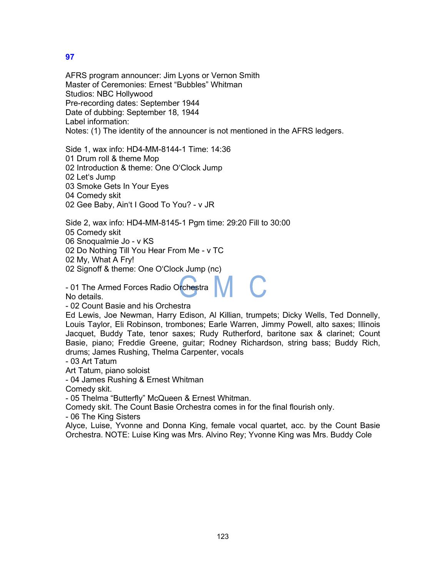AFRS program announcer: Jim Lyons or Vernon Smith Master of Ceremonies: Ernest "Bubbles" Whitman Studios: NBC Hollywood Pre-recording dates: September 1944 Date of dubbing: September 18, 1944 Label information: Notes: (1) The identity of the announcer is not mentioned in the AFRS ledgers.

Side 1, wax info: HD4-MM-8144-1 Time: 14:36

01 Drum roll & theme Mop

02 Introduction & theme: One O'Clock Jump

02 Let's Jump

03 Smoke Gets In Your Eyes

04 Comedy skit

02 Gee Baby, Ain't I Good To You? - v JR

Side 2, wax info: HD4-MM-8145-1 Pgm time: 29:20 Fill to 30:00

05 Comedy skit

06 Snoqualmie Jo - v KS

02 Do Nothing Till You Hear From Me - v TC

02 My, What A Fry!

02 Signoff & theme: One O'Clock Jump (nc)

- 01 The Armed Forces Radio Orchestra No details.

- 02 Count Basie and his Orchestra

Ed Lewis, Joe Newman, Harry Edison, Al Killian, trumpets; Dicky Wells, Ted Donnelly, Louis Taylor, Eli Robinson, trombones; Earle Warren, Jimmy Powell, alto saxes; Illinois Jacquet, Buddy Tate, tenor saxes; Rudy Rutherford, baritone sax & clarinet; Count Basie, piano; Freddie Greene, guitar; Rodney Richardson, string bass; Buddy Rich, drums; James Rushing, Thelma Carpenter, vocals

- 03 Art Tatum

Art Tatum, piano soloist

- 04 James Rushing & Ernest Whitman

Comedy skit.

- 05 Thelma "Butterfly" McQueen & Ernest Whitman.

Comedy skit. The Count Basie Orchestra comes in for the final flourish only.

- 06 The King Sisters

Alyce, Luise, Yvonne and Donna King, female vocal quartet, acc. by the Count Basie Orchestra. NOTE: Luise King was Mrs. Alvino Rey; Yvonne King was Mrs. Buddy Cole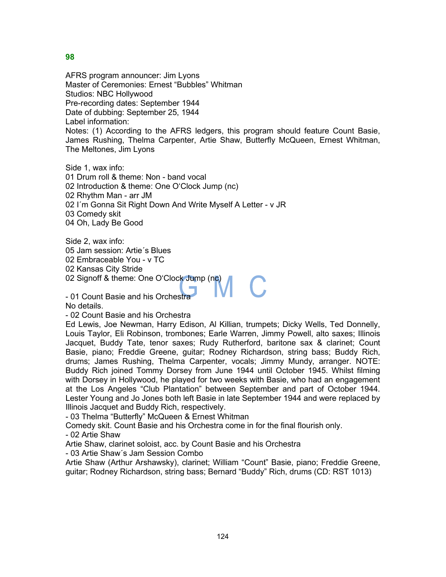AFRS program announcer: Jim Lyons Master of Ceremonies: Ernest "Bubbles" Whitman Studios: NBC Hollywood Pre-recording dates: September 1944 Date of dubbing: September 25, 1944 Label information: Notes: (1) According to the AFRS ledgers, this program should feature Count Basie, James Rushing, Thelma Carpenter, Artie Shaw, Butterfly McQueen, Ernest Whitman, The Meltones, Jim Lyons

Side 1, wax info: 01 Drum roll & theme: Non - band vocal 02 Introduction & theme: One O'Clock Jump (nc) 02 Rhythm Man - arr JM 02 I´m Gonna Sit Right Down And Write Myself A Letter - v JR 03 Comedy skit 04 Oh, Lady Be Good

Side 2, wax info: 05 Jam session: Artie´s Blues 02 Embraceable You - v TC 02 Kansas City Stride 02 Signoff & theme: One O'Clock Jump (nc)

- 01 Count Basie and his Orchestra

No details.

- 02 Count Basie and his Orchestra

Ed Lewis, Joe Newman, Harry Edison, Al Killian, trumpets; Dicky Wells, Ted Donnelly, Louis Taylor, Eli Robinson, trombones; Earle Warren, Jimmy Powell, alto saxes; Illinois Jacquet, Buddy Tate, tenor saxes; Rudy Rutherford, baritone sax & clarinet; Count Basie, piano; Freddie Greene, guitar; Rodney Richardson, string bass; Buddy Rich, drums; James Rushing, Thelma Carpenter, vocals; Jimmy Mundy, arranger. NOTE: Buddy Rich joined Tommy Dorsey from June 1944 until October 1945. Whilst filming with Dorsey in Hollywood, he played for two weeks with Basie, who had an engagement at the Los Angeles "Club Plantation" between September and part of October 1944. Lester Young and Jo Jones both left Basie in late September 1944 and were replaced by Illinois Jacquet and Buddy Rich, respectively.

- 03 Thelma "Butterfly" McQueen & Ernest Whitman

Comedy skit. Count Basie and his Orchestra come in for the final flourish only.

- 02 Artie Shaw

Artie Shaw, clarinet soloist, acc. by Count Basie and his Orchestra

- 03 Artie Shaw´s Jam Session Combo

Artie Shaw (Arthur Arshawsky), clarinet; William "Count" Basie, piano; Freddie Greene, guitar; Rodney Richardson, string bass; Bernard "Buddy" Rich, drums (CD: RST 1013)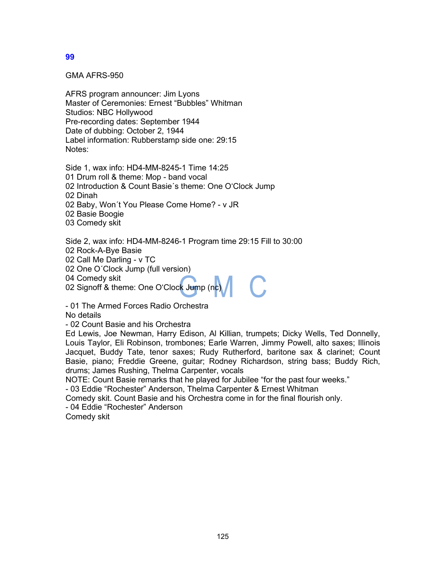GMA AFRS-950

AFRS program announcer: Jim Lyons Master of Ceremonies: Ernest "Bubbles" Whitman Studios: NBC Hollywood Pre-recording dates: September 1944 Date of dubbing: October 2, 1944 Label information: Rubberstamp side one: 29:15 Notes:

Side 1, wax info: HD4-MM-8245-1 Time 14:25 01 Drum roll & theme: Mop - band vocal 02 Introduction & Count Basie´s theme: One O'Clock Jump 02 Dinah 02 Baby, Won´t You Please Come Home? - v JR

02 Basie Boogie

03 Comedy skit

Side 2, wax info: HD4-MM-8246-1 Program time 29:15 Fill to 30:00

02 Rock-A-Bye Basie

02 Call Me Darling - v TC

02 One O´Clock Jump (full version)

04 Comedy skit

02 Signoff & theme: One O'Clock Jump (nc)

- 01 The Armed Forces Radio Orchestra No details

- 02 Count Basie and his Orchestra

Ed Lewis, Joe Newman, Harry Edison, Al Killian, trumpets; Dicky Wells, Ted Donnelly, Louis Taylor, Eli Robinson, trombones; Earle Warren, Jimmy Powell, alto saxes; Illinois Jacquet, Buddy Tate, tenor saxes; Rudy Rutherford, baritone sax & clarinet; Count Basie, piano; Freddie Greene, guitar; Rodney Richardson, string bass; Buddy Rich, drums; James Rushing, Thelma Carpenter, vocals

NOTE: Count Basie remarks that he played for Jubilee "for the past four weeks."

- 03 Eddie "Rochester" Anderson, Thelma Carpenter & Ernest Whitman

Comedy skit. Count Basie and his Orchestra come in for the final flourish only.

- 04 Eddie "Rochester" Anderson

Comedy skit